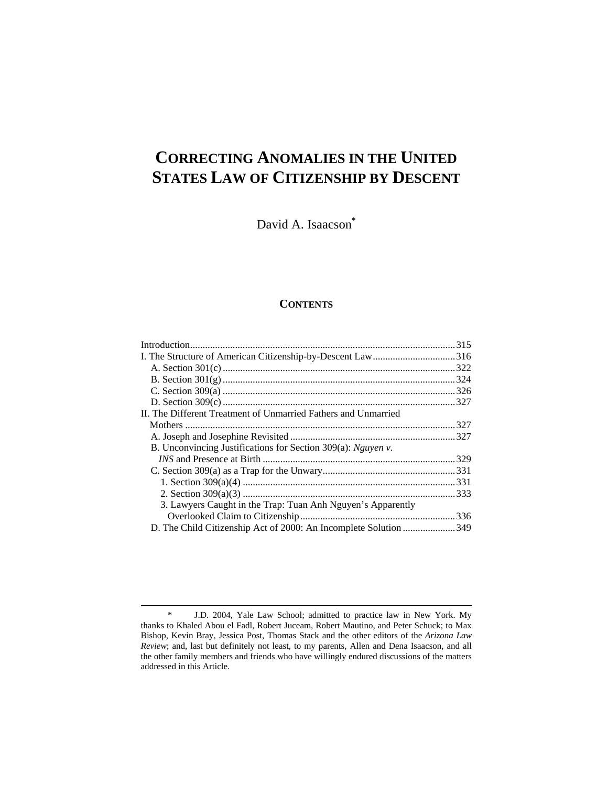# **CORRECTING ANOMALIES IN THE UNITED STATES LAW OF CITIZENSHIP BY DESCENT**

David A. Isaacson**\***

# **CONTENTS**

| I. The Structure of American Citizenship-by-Descent Law316       |  |
|------------------------------------------------------------------|--|
|                                                                  |  |
|                                                                  |  |
|                                                                  |  |
|                                                                  |  |
| II. The Different Treatment of Unmarried Fathers and Unmarried   |  |
|                                                                  |  |
|                                                                  |  |
| B. Unconvincing Justifications for Section 309(a): Nguyen v.     |  |
|                                                                  |  |
|                                                                  |  |
|                                                                  |  |
|                                                                  |  |
| 3. Lawyers Caught in the Trap: Tuan Anh Nguyen's Apparently      |  |
|                                                                  |  |
| D. The Child Citizenship Act of 2000: An Incomplete Solution 349 |  |
|                                                                  |  |

 <sup>\*</sup> J.D. 2004, Yale Law School; admitted to practice law in New York. My thanks to Khaled Abou el Fadl, Robert Juceam, Robert Mautino, and Peter Schuck; to Max Bishop, Kevin Bray, Jessica Post, Thomas Stack and the other editors of the *Arizona Law Review*; and, last but definitely not least, to my parents, Allen and Dena Isaacson, and all the other family members and friends who have willingly endured discussions of the matters addressed in this Article.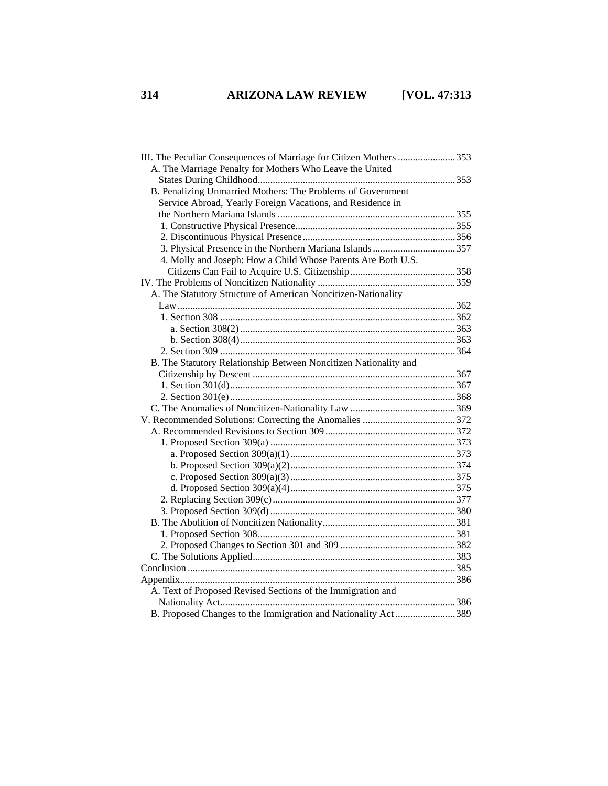| III. The Peculiar Consequences of Marriage for Citizen Mothers 353 |  |
|--------------------------------------------------------------------|--|
| A. The Marriage Penalty for Mothers Who Leave the United           |  |
|                                                                    |  |
| B. Penalizing Unmarried Mothers: The Problems of Government        |  |
| Service Abroad, Yearly Foreign Vacations, and Residence in         |  |
|                                                                    |  |
|                                                                    |  |
|                                                                    |  |
|                                                                    |  |
| 4. Molly and Joseph: How a Child Whose Parents Are Both U.S.       |  |
|                                                                    |  |
|                                                                    |  |
| A. The Statutory Structure of American Noncitizen-Nationality      |  |
|                                                                    |  |
|                                                                    |  |
|                                                                    |  |
|                                                                    |  |
|                                                                    |  |
| B. The Statutory Relationship Between Noncitizen Nationality and   |  |
|                                                                    |  |
|                                                                    |  |
|                                                                    |  |
|                                                                    |  |
|                                                                    |  |
|                                                                    |  |
|                                                                    |  |
|                                                                    |  |
|                                                                    |  |
|                                                                    |  |
|                                                                    |  |
|                                                                    |  |
|                                                                    |  |
|                                                                    |  |
|                                                                    |  |
|                                                                    |  |
|                                                                    |  |
|                                                                    |  |
|                                                                    |  |
| A. Text of Proposed Revised Sections of the Immigration and        |  |
|                                                                    |  |
| B. Proposed Changes to the Immigration and Nationality Act389      |  |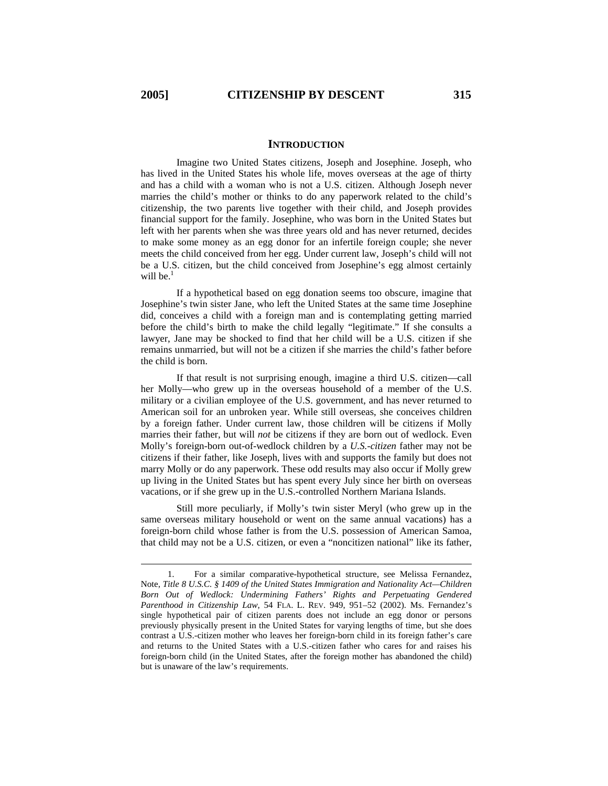### **INTRODUCTION**

Imagine two United States citizens, Joseph and Josephine. Joseph, who has lived in the United States his whole life, moves overseas at the age of thirty and has a child with a woman who is not a U.S. citizen. Although Joseph never marries the child's mother or thinks to do any paperwork related to the child's citizenship, the two parents live together with their child, and Joseph provides financial support for the family. Josephine, who was born in the United States but left with her parents when she was three years old and has never returned, decides to make some money as an egg donor for an infertile foreign couple; she never meets the child conceived from her egg. Under current law, Joseph's child will not be a U.S. citizen, but the child conceived from Josephine's egg almost certainly will be. $<sup>1</sup>$ </sup>

If a hypothetical based on egg donation seems too obscure, imagine that Josephine's twin sister Jane, who left the United States at the same time Josephine did, conceives a child with a foreign man and is contemplating getting married before the child's birth to make the child legally "legitimate." If she consults a lawyer, Jane may be shocked to find that her child will be a U.S. citizen if she remains unmarried, but will not be a citizen if she marries the child's father before the child is born.

If that result is not surprising enough, imagine a third U.S. citizen—call her Molly—who grew up in the overseas household of a member of the U.S. military or a civilian employee of the U.S. government, and has never returned to American soil for an unbroken year. While still overseas, she conceives children by a foreign father. Under current law, those children will be citizens if Molly marries their father, but will *not* be citizens if they are born out of wedlock. Even Molly's foreign-born out-of-wedlock children by a *U.S.-citizen* father may not be citizens if their father, like Joseph, lives with and supports the family but does not marry Molly or do any paperwork. These odd results may also occur if Molly grew up living in the United States but has spent every July since her birth on overseas vacations, or if she grew up in the U.S.-controlled Northern Mariana Islands.

Still more peculiarly, if Molly's twin sister Meryl (who grew up in the same overseas military household or went on the same annual vacations) has a foreign-born child whose father is from the U.S. possession of American Samoa, that child may not be a U.S. citizen, or even a "noncitizen national" like its father,

 <sup>1.</sup> For a similar comparative-hypothetical structure, see Melissa Fernandez, Note, *Title 8 U.S.C. § 1409 of the United States Immigration and Nationality Act—Children Born Out of Wedlock: Undermining Fathers' Rights and Perpetuating Gendered Parenthood in Citizenship Law*, 54 FLA. L. REV. 949, 951–52 (2002). Ms. Fernandez's single hypothetical pair of citizen parents does not include an egg donor or persons previously physically present in the United States for varying lengths of time, but she does contrast a U.S.-citizen mother who leaves her foreign-born child in its foreign father's care and returns to the United States with a U.S.-citizen father who cares for and raises his foreign-born child (in the United States, after the foreign mother has abandoned the child) but is unaware of the law's requirements.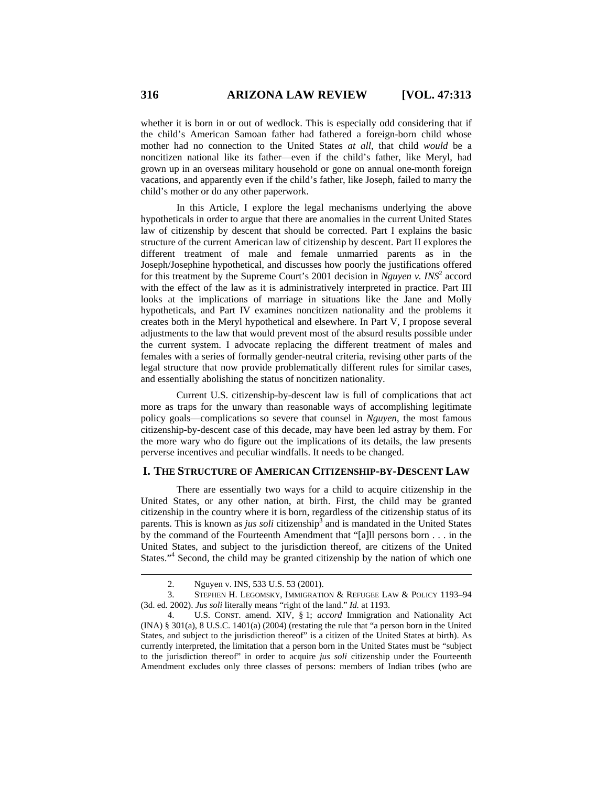whether it is born in or out of wedlock. This is especially odd considering that if the child's American Samoan father had fathered a foreign-born child whose mother had no connection to the United States *at all*, that child *would* be a noncitizen national like its father—even if the child's father, like Meryl, had grown up in an overseas military household or gone on annual one-month foreign vacations, and apparently even if the child's father, like Joseph, failed to marry the child's mother or do any other paperwork.

In this Article, I explore the legal mechanisms underlying the above hypotheticals in order to argue that there are anomalies in the current United States law of citizenship by descent that should be corrected. Part I explains the basic structure of the current American law of citizenship by descent. Part II explores the different treatment of male and female unmarried parents as in the Joseph/Josephine hypothetical, and discusses how poorly the justifications offered for this treatment by the Supreme Court's 2001 decision in *Nguyen v. INS*<sup>2</sup> accord with the effect of the law as it is administratively interpreted in practice. Part III looks at the implications of marriage in situations like the Jane and Molly hypotheticals, and Part IV examines noncitizen nationality and the problems it creates both in the Meryl hypothetical and elsewhere. In Part V, I propose several adjustments to the law that would prevent most of the absurd results possible under the current system. I advocate replacing the different treatment of males and females with a series of formally gender-neutral criteria, revising other parts of the legal structure that now provide problematically different rules for similar cases, and essentially abolishing the status of noncitizen nationality.

Current U.S. citizenship-by-descent law is full of complications that act more as traps for the unwary than reasonable ways of accomplishing legitimate policy goals—complications so severe that counsel in *Nguyen*, the most famous citizenship-by-descent case of this decade, may have been led astray by them. For the more wary who do figure out the implications of its details, the law presents perverse incentives and peculiar windfalls. It needs to be changed.

# **I. THE STRUCTURE OF AMERICAN CITIZENSHIP-BY-DESCENT LAW**

There are essentially two ways for a child to acquire citizenship in the United States, or any other nation, at birth. First, the child may be granted citizenship in the country where it is born, regardless of the citizenship status of its parents. This is known as *jus soli* citizenship<sup>3</sup> and is mandated in the United States by the command of the Fourteenth Amendment that "[a]ll persons born . . . in the United States, and subject to the jurisdiction thereof, are citizens of the United States."<sup>4</sup> Second, the child may be granted citizenship by the nation of which one

 <sup>2.</sup> Nguyen v. INS, 533 U.S. 53 (2001).

 <sup>3.</sup> STEPHEN H. LEGOMSKY, IMMIGRATION & REFUGEE LAW & POLICY 1193–94 (3d. ed. 2002). *Jus soli* literally means "right of the land." *Id.* at 1193.

 <sup>4.</sup> U.S. CONST. amend. XIV, § 1; *accord* Immigration and Nationality Act (INA) § 301(a), 8 U.S.C. 1401(a) (2004) (restating the rule that "a person born in the United States, and subject to the jurisdiction thereof" is a citizen of the United States at birth). As currently interpreted, the limitation that a person born in the United States must be "subject to the jurisdiction thereof" in order to acquire *jus soli* citizenship under the Fourteenth Amendment excludes only three classes of persons: members of Indian tribes (who are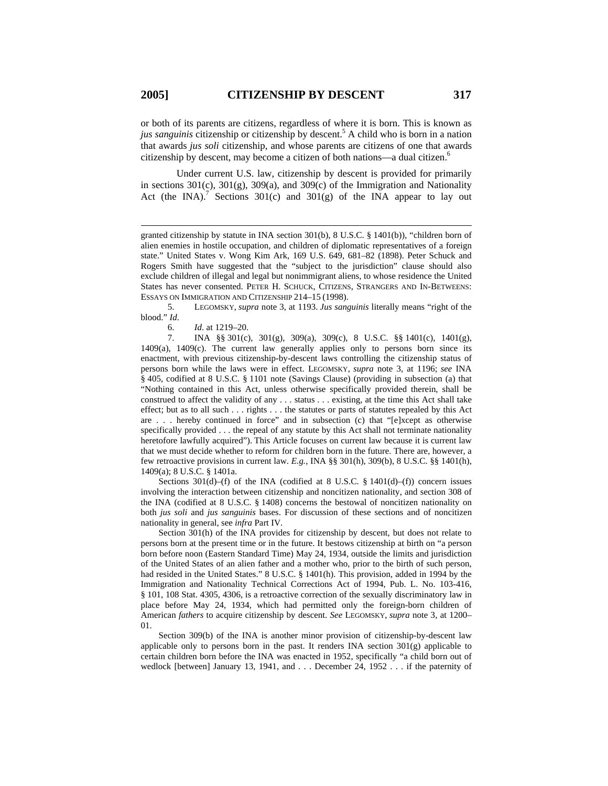or both of its parents are citizens, regardless of where it is born. This is known as *jus sanguinis* citizenship or citizenship by descent.5 A child who is born in a nation that awards *jus soli* citizenship, and whose parents are citizens of one that awards citizenship by descent, may become a citizen of both nations—a dual citizen.6

Under current U.S. law, citizenship by descent is provided for primarily in sections 301(c), 301(g), 309(a), and 309(c) of the Immigration and Nationality Act (the INA).<sup>7</sup> Sections 301(c) and 301(g) of the INA appear to lay out

 5. LEGOMSKY, *supra* note 3, at 1193. *Jus sanguinis* literally means "right of the blood." *Id*.

6. *Id*. at 1219–20.

 7. INA §§ 301(c), 301(g), 309(a), 309(c), 8 U.S.C. §§ 1401(c), 1401(g), 1409(a), 1409(c). The current law generally applies only to persons born since its enactment, with previous citizenship-by-descent laws controlling the citizenship status of persons born while the laws were in effect. LEGOMSKY, *supra* note 3, at 1196; *see* INA § 405, codified at 8 U.S.C. § 1101 note (Savings Clause) (providing in subsection (a) that "Nothing contained in this Act, unless otherwise specifically provided therein, shall be construed to affect the validity of any . . . status . . . existing, at the time this Act shall take effect; but as to all such . . . rights . . . the statutes or parts of statutes repealed by this Act are . . . hereby continued in force" and in subsection (c) that "[e]xcept as otherwise specifically provided . . . the repeal of any statute by this Act shall not terminate nationality heretofore lawfully acquired"). This Article focuses on current law because it is current law that we must decide whether to reform for children born in the future. There are, however, a few retroactive provisions in current law. *E.g.*, INA §§ 301(h), 309(b), 8 U.S.C. §§ 1401(h), 1409(a); 8 U.S.C. § 1401a.

Sections  $301(d)$ –(f) of the INA (codified at 8 U.S.C. § 1401(d)–(f)) concern issues involving the interaction between citizenship and noncitizen nationality, and section 308 of the INA (codified at 8 U.S.C. § 1408) concerns the bestowal of noncitizen nationality on both *jus soli* and *jus sanguinis* bases. For discussion of these sections and of noncitizen nationality in general, see *infra* Part IV.

Section 301(h) of the INA provides for citizenship by descent, but does not relate to persons born at the present time or in the future. It bestows citizenship at birth on "a person born before noon (Eastern Standard Time) May 24, 1934, outside the limits and jurisdiction of the United States of an alien father and a mother who, prior to the birth of such person, had resided in the United States." 8 U.S.C. § 1401(h). This provision, added in 1994 by the Immigration and Nationality Technical Corrections Act of 1994, Pub. L. No. 103-416, § 101, 108 Stat. 4305, 4306, is a retroactive correction of the sexually discriminatory law in place before May 24, 1934, which had permitted only the foreign-born children of American *fathers* to acquire citizenship by descent. *See* LEGOMSKY, *supra* note 3, at 1200– 01.

Section 309(b) of the INA is another minor provision of citizenship-by-descent law applicable only to persons born in the past. It renders  $INA$  section  $301(g)$  applicable to certain children born before the INA was enacted in 1952, specifically "a child born out of wedlock [between] January 13, 1941, and . . . December 24, 1952 . . . if the paternity of

granted citizenship by statute in INA section 301(b), 8 U.S.C. § 1401(b)), "children born of alien enemies in hostile occupation, and children of diplomatic representatives of a foreign state." United States v. Wong Kim Ark, 169 U.S. 649, 681–82 (1898). Peter Schuck and Rogers Smith have suggested that the "subject to the jurisdiction" clause should also exclude children of illegal and legal but nonimmigrant aliens, to whose residence the United States has never consented. PETER H. SCHUCK, CITIZENS, STRANGERS AND IN-BETWEENS: ESSAYS ON IMMIGRATION AND CITIZENSHIP 214–15 (1998).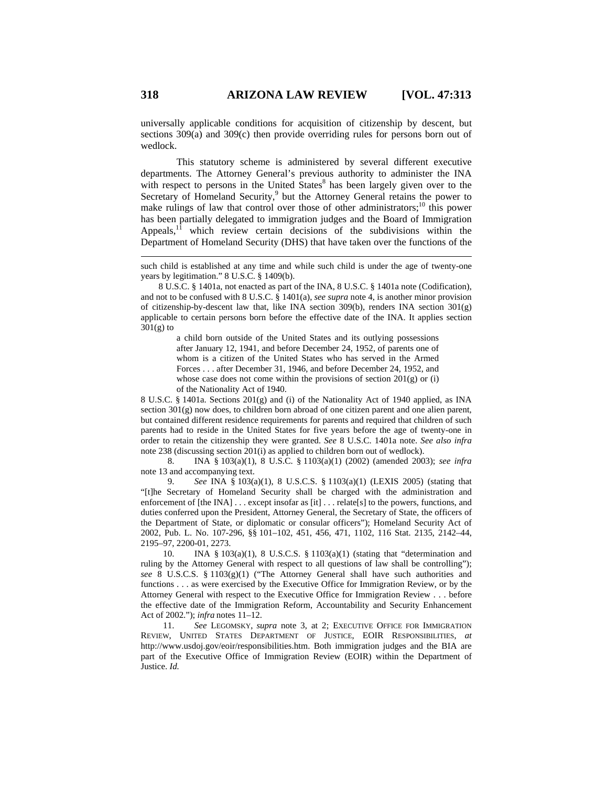universally applicable conditions for acquisition of citizenship by descent, but sections 309(a) and 309(c) then provide overriding rules for persons born out of wedlock.

This statutory scheme is administered by several different executive departments. The Attorney General's previous authority to administer the INA with respect to persons in the United  $States^8$  has been largely given over to the Secretary of Homeland Security,<sup>9</sup> but the Attorney General retains the power to make rulings of law that control over those of other administrators;<sup>10</sup> this power has been partially delegated to immigration judges and the Board of Immigration Appeals,<sup>11</sup> which review certain decisions of the subdivisions within the Department of Homeland Security (DHS) that have taken over the functions of the

8 U.S.C. § 1401a, not enacted as part of the INA, 8 U.S.C. § 1401a note (Codification), and not to be confused with 8 U.S.C. § 1401(a), *see supra* note 4, is another minor provision of citizenship-by-descent law that, like INA section 309(b), renders INA section 301(g) applicable to certain persons born before the effective date of the INA. It applies section  $301(g)$  to

> a child born outside of the United States and its outlying possessions after January 12, 1941, and before December 24, 1952, of parents one of whom is a citizen of the United States who has served in the Armed Forces . . . after December 31, 1946, and before December 24, 1952, and whose case does not come within the provisions of section 201(g) or (i) of the Nationality Act of 1940.

8 U.S.C. § 1401a. Sections 201(g) and (i) of the Nationality Act of 1940 applied, as INA section 301(g) now does, to children born abroad of one citizen parent and one alien parent, but contained different residence requirements for parents and required that children of such parents had to reside in the United States for five years before the age of twenty-one in order to retain the citizenship they were granted. *See* 8 U.S.C. 1401a note. *See also infra* note 238 (discussing section 201(i) as applied to children born out of wedlock).

 8. INA § 103(a)(1), 8 U.S.C. § 1103(a)(1) (2002) (amended 2003); *see infra* note 13 and accompanying text.

 9. *See* INA § 103(a)(1), 8 U.S.C.S. § 1103(a)(1) (LEXIS 2005) (stating that "[t]he Secretary of Homeland Security shall be charged with the administration and enforcement of [the INA] . . . except insofar as [it] . . . relate[s] to the powers, functions, and duties conferred upon the President, Attorney General, the Secretary of State, the officers of the Department of State, or diplomatic or consular officers"); Homeland Security Act of 2002, Pub. L. No. 107-296, §§ 101–102, 451, 456, 471, 1102, 116 Stat. 2135, 2142–44, 2195–97, 2200-01, 2273.

 10. INA § 103(a)(1), 8 U.S.C.S. § 1103(a)(1) (stating that "determination and ruling by the Attorney General with respect to all questions of law shall be controlling"); *see* 8 U.S.C.S. § 1103(g)(1) ("The Attorney General shall have such authorities and functions . . . as were exercised by the Executive Office for Immigration Review, or by the Attorney General with respect to the Executive Office for Immigration Review . . . before the effective date of the Immigration Reform, Accountability and Security Enhancement Act of 2002."); *infra* notes 11–12.

 11. *See* LEGOMSKY, *supra* note 3, at 2; EXECUTIVE OFFICE FOR IMMIGRATION REVIEW, UNITED STATES DEPARTMENT OF JUSTICE, EOIR RESPONSIBILITIES, *at*  http://www.usdoj.gov/eoir/responsibilities.htm. Both immigration judges and the BIA are part of the Executive Office of Immigration Review (EOIR) within the Department of Justice. *Id.*

such child is established at any time and while such child is under the age of twenty-one years by legitimation." 8 U.S.C. § 1409(b).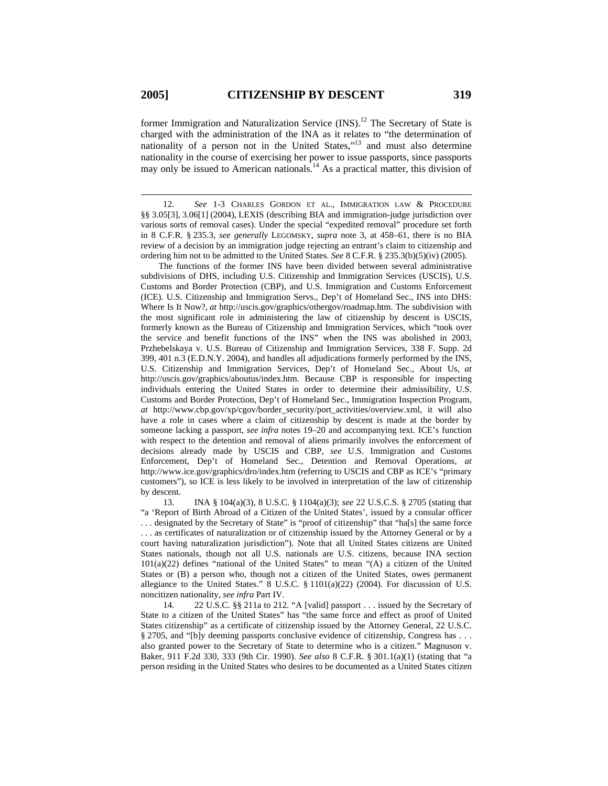former Immigration and Naturalization Service (INS).<sup>12</sup> The Secretary of State is charged with the administration of the INA as it relates to "the determination of nationality of a person not in the United States,"13 and must also determine nationality in the course of exercising her power to issue passports, since passports may only be issued to American nationals.<sup>14</sup> As a practical matter, this division of

 12. *See* 1-3 CHARLES GORDON ET AL., IMMIGRATION LAW & PROCEDURE §§ 3.05[3], 3.06[1] (2004), LEXIS (describing BIA and immigration-judge jurisdiction over various sorts of removal cases). Under the special "expedited removal" procedure set forth in 8 C.F.R. § 235.3, *see generally* LEGOMSKY, *supra* note 3, at 458–61, there is no BIA review of a decision by an immigration judge rejecting an entrant's claim to citizenship and ordering him not to be admitted to the United States. *See* 8 C.F.R. § 235.3(b)(5)(iv) (2005).

The functions of the former INS have been divided between several administrative subdivisions of DHS, including U.S. Citizenship and Immigration Services (USCIS), U.S. Customs and Border Protection (CBP), and U.S. Immigration and Customs Enforcement (ICE). U.S. Citizenship and Immigration Servs., Dep't of Homeland Sec., INS into DHS: Where Is It Now?, *at* http://uscis.gov/graphics/othergov/roadmap.htm. The subdivision with the most significant role in administering the law of citizenship by descent is USCIS, formerly known as the Bureau of Citizenship and Immigration Services, which "took over the service and benefit functions of the INS" when the INS was abolished in 2003, Przhebelskaya v. U.S. Bureau of Citizenship and Immigration Services, 338 F. Supp. 2d 399, 401 n.3 (E.D.N.Y. 2004), and handles all adjudications formerly performed by the INS, U.S. Citizenship and Immigration Services, Dep't of Homeland Sec., About Us, *at* http://uscis.gov/graphics/aboutus/index.htm. Because CBP is responsible for inspecting individuals entering the United States in order to determine their admissibility, U.S. Customs and Border Protection, Dep't of Homeland Sec., Immigration Inspection Program, *at* http://www.cbp.gov/xp/cgov/border\_security/port\_activities/overview.xml, it will also have a role in cases where a claim of citizenship by descent is made at the border by someone lacking a passport, *see infra* notes 19–20 and accompanying text. ICE's function with respect to the detention and removal of aliens primarily involves the enforcement of decisions already made by USCIS and CBP, *see* U.S. Immigration and Customs Enforcement, Dep't of Homeland Sec., Detention and Removal Operations, *at* http://www.ice.gov/graphics/dro/index.htm (referring to USCIS and CBP as ICE's "primary customers"), so ICE is less likely to be involved in interpretation of the law of citizenship by descent.

 13. INA § 104(a)(3), 8 U.S.C. § 1104(a)(3); *see* 22 U.S.C.S. § 2705 (stating that "a 'Report of Birth Abroad of a Citizen of the United States', issued by a consular officer . . . designated by the Secretary of State" is "proof of citizenship" that "ha[s] the same force . . . as certificates of naturalization or of citizenship issued by the Attorney General or by a court having naturalization jurisdiction"). Note that all United States citizens are United States nationals, though not all U.S. nationals are U.S. citizens, because INA section 101(a)(22) defines "national of the United States" to mean "(A) a citizen of the United States or (B) a person who, though not a citizen of the United States, owes permanent allegiance to the United States." 8 U.S.C. § 1101(a)(22) (2004). For discussion of U.S. noncitizen nationality, *see infra* Part IV.

 14. 22 U.S.C. §§ 211a to 212. "A [valid] passport . . . issued by the Secretary of State to a citizen of the United States" has "the same force and effect as proof of United States citizenship" as a certificate of citizenship issued by the Attorney General, 22 U.S.C. § 2705, and "[b]y deeming passports conclusive evidence of citizenship, Congress has . . . also granted power to the Secretary of State to determine who is a citizen." Magnuson v. Baker, 911 F.2d 330, 333 (9th Cir. 1990). *See also* 8 C.F.R. § 301.1(a)(1) (stating that "a person residing in the United States who desires to be documented as a United States citizen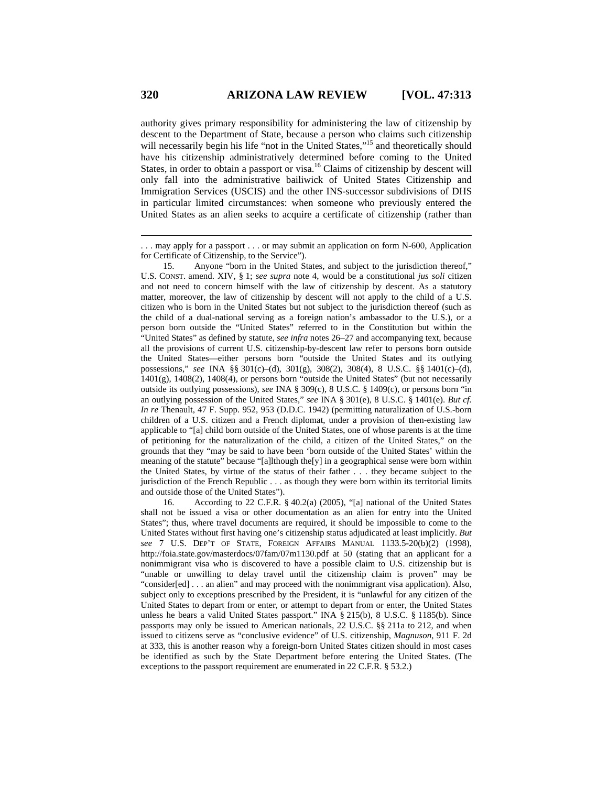authority gives primary responsibility for administering the law of citizenship by descent to the Department of State, because a person who claims such citizenship will necessarily begin his life "not in the United States,"<sup>15</sup> and theoretically should have his citizenship administratively determined before coming to the United States, in order to obtain a passport or visa.<sup>16</sup> Claims of citizenship by descent will only fall into the administrative bailiwick of United States Citizenship and Immigration Services (USCIS) and the other INS-successor subdivisions of DHS in particular limited circumstances: when someone who previously entered the United States as an alien seeks to acquire a certificate of citizenship (rather than

 15. Anyone "born in the United States, and subject to the jurisdiction thereof," U.S. CONST. amend. XIV, § 1; *see supra* note 4, would be a constitutional *jus soli* citizen and not need to concern himself with the law of citizenship by descent. As a statutory matter, moreover, the law of citizenship by descent will not apply to the child of a U.S. citizen who is born in the United States but not subject to the jurisdiction thereof (such as the child of a dual-national serving as a foreign nation's ambassador to the U.S.), or a person born outside the "United States" referred to in the Constitution but within the "United States" as defined by statute, *see infra* notes 26–27 and accompanying text, because all the provisions of current U.S. citizenship-by-descent law refer to persons born outside the United States—either persons born "outside the United States and its outlying possessions," *see* INA §§ 301(c)–(d), 301(g), 308(2), 308(4), 8 U.S.C. §§ 1401(c)–(d), 1401(g), 1408(2), 1408(4), or persons born "outside the United States" (but not necessarily outside its outlying possessions), *see* INA § 309(c), 8 U.S.C. § 1409(c), or persons born "in an outlying possession of the United States," *see* INA § 301(e), 8 U.S.C. § 1401(e). *But cf. In re* Thenault, 47 F. Supp. 952, 953 (D.D.C. 1942) (permitting naturalization of U.S.-born children of a U.S. citizen and a French diplomat, under a provision of then-existing law applicable to "[a] child born outside of the United States, one of whose parents is at the time of petitioning for the naturalization of the child, a citizen of the United States," on the grounds that they "may be said to have been 'born outside of the United States' within the meaning of the statute" because "[a]lthough the[y] in a geographical sense were born within the United States, by virtue of the status of their father . . . they became subject to the jurisdiction of the French Republic . . . as though they were born within its territorial limits and outside those of the United States").

 16. According to 22 C.F.R. § 40.2(a) (2005), "[a] national of the United States shall not be issued a visa or other documentation as an alien for entry into the United States"; thus, where travel documents are required, it should be impossible to come to the United States without first having one's citizenship status adjudicated at least implicitly. *But see* 7 U.S. DEP'T OF STATE, FOREIGN AFFAIRS MANUAL 1133.5-20(b)(2) (1998), http://foia.state.gov/masterdocs/07fam/07m1130.pdf at 50 (stating that an applicant for a nonimmigrant visa who is discovered to have a possible claim to U.S. citizenship but is "unable or unwilling to delay travel until the citizenship claim is proven" may be "consider[ed] . . . an alien" and may proceed with the nonimmigrant visa application). Also, subject only to exceptions prescribed by the President, it is "unlawful for any citizen of the United States to depart from or enter, or attempt to depart from or enter, the United States unless he bears a valid United States passport." INA § 215(b), 8 U.S.C. § 1185(b). Since passports may only be issued to American nationals, 22 U.S.C. §§ 211a to 212, and when issued to citizens serve as "conclusive evidence" of U.S. citizenship, *Magnuson*, 911 F. 2d at 333, this is another reason why a foreign-born United States citizen should in most cases be identified as such by the State Department before entering the United States. (The exceptions to the passport requirement are enumerated in 22 C.F.R. § 53.2.)

<sup>. . .</sup> may apply for a passport . . . or may submit an application on form N-600, Application for Certificate of Citizenship, to the Service").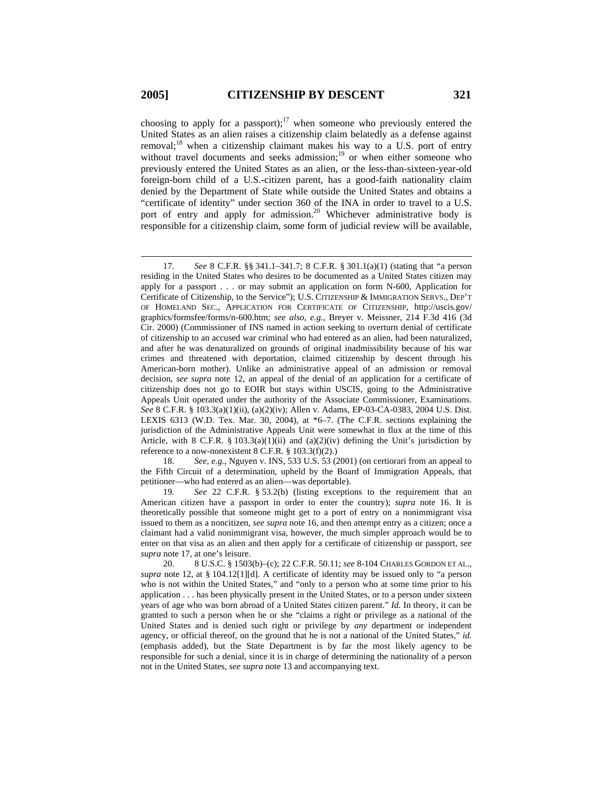choosing to apply for a passport);<sup>17</sup> when someone who previously entered the United States as an alien raises a citizenship claim belatedly as a defense against removal;<sup>18</sup> when a citizenship claimant makes his way to a U.S. port of entry without travel documents and seeks admission;<sup>19</sup> or when either someone who previously entered the United States as an alien, or the less-than-sixteen-year-old foreign-born child of a U.S.-citizen parent, has a good-faith nationality claim denied by the Department of State while outside the United States and obtains a "certificate of identity" under section 360 of the INA in order to travel to a U.S. port of entry and apply for admission.<sup>20</sup> Whichever administrative body is responsible for a citizenship claim, some form of judicial review will be available,

 18. *See, e.g.*, Nguyen v. INS, 533 U.S. 53 (2001) (on certiorari from an appeal to the Fifth Circuit of a determination, upheld by the Board of Immigration Appeals, that petitioner—who had entered as an alien—was deportable).

 19. *See* 22 C.F.R. § 53.2(b) (listing exceptions to the requirement that an American citizen have a passport in order to enter the country); *supra* note 16. It is theoretically possible that someone might get to a port of entry on a nonimmigrant visa issued to them as a noncitizen, *see supra* note 16, and then attempt entry as a citizen; once a claimant had a valid nonimmigrant visa, however, the much simpler approach would be to enter on that visa as an alien and then apply for a certificate of citizenship or passport, *see supra* note 17, at one's leisure.

 <sup>17.</sup> *See* 8 C.F.R. §§ 341.1–341.7; 8 C.F.R. § 301.1(a)(1) (stating that "a person residing in the United States who desires to be documented as a United States citizen may apply for a passport . . . or may submit an application on form N-600, Application for Certificate of Citizenship, to the Service"); U.S. CITIZENSHIP & IMMIGRATION SERVS., DEP'T OF HOMELAND SEC., APPLICATION FOR CERTIFICATE OF CITIZENSHIP, http://uscis.gov/ graphics/formsfee/forms/n-600.htm; *see also*, *e.g.*, Breyer v. Meissner, 214 F.3d 416 (3d Cir. 2000) (Commissioner of INS named in action seeking to overturn denial of certificate of citizenship to an accused war criminal who had entered as an alien, had been naturalized, and after he was denaturalized on grounds of original inadmissibility because of his war crimes and threatened with deportation, claimed citizenship by descent through his American-born mother). Unlike an administrative appeal of an admission or removal decision, *see supra* note 12, an appeal of the denial of an application for a certificate of citizenship does not go to EOIR but stays within USCIS, going to the Administrative Appeals Unit operated under the authority of the Associate Commissioner, Examinations. *See* 8 C.F.R. § 103.3(a)(1)(ii), (a)(2)(iv); Allen v. Adams, EP-03-CA-0383, 2004 U.S. Dist. LEXIS 6313 (W.D. Tex. Mar. 30, 2004), at \*6–7. (The C.F.R. sections explaining the jurisdiction of the Administrative Appeals Unit were somewhat in flux at the time of this Article, with 8 C.F.R. § 103.3(a)(1)(ii) and (a)(2)(iv) defining the Unit's jurisdiction by reference to a now-nonexistent 8 C.F.R. § 103.3(f)(2).)

 <sup>20. 8</sup> U.S.C. § 1503(b)–(c); 22 C.F.R. 50.11; *see* 8-104 CHARLES GORDON ET AL., *supra* note 12, at § 104.12[1][d]. A certificate of identity may be issued only to "a person who is not within the United States," and "only to a person who at some time prior to his application . . . has been physically present in the United States, or to a person under sixteen years of age who was born abroad of a United States citizen parent." *Id.* In theory, it can be granted to such a person when he or she "claims a right or privilege as a national of the United States and is denied such right or privilege by *any* department or independent agency, or official thereof, on the ground that he is not a national of the United States," *id.* (emphasis added), but the State Department is by far the most likely agency to be responsible for such a denial, since it is in charge of determining the nationality of a person not in the United States, *see supra* note 13 and accompanying text.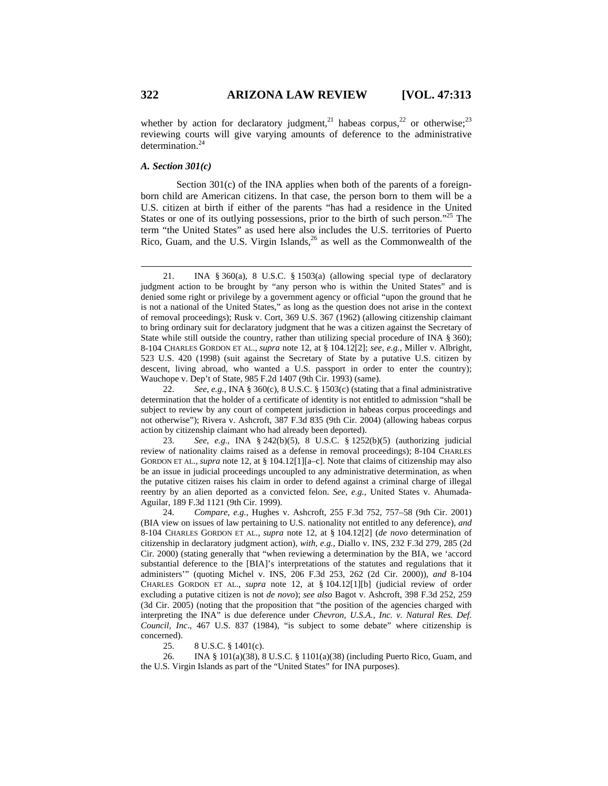whether by action for declaratory judgment,<sup>21</sup> habeas corpus,<sup>22</sup> or otherwise;<sup>23</sup> reviewing courts will give varying amounts of deference to the administrative determination.24

### *A. Section 301(c)*

Section 301(c) of the INA applies when both of the parents of a foreignborn child are American citizens. In that case, the person born to them will be a U.S. citizen at birth if either of the parents "has had a residence in the United States or one of its outlying possessions, prior to the birth of such person."<sup>25</sup> The term "the United States" as used here also includes the U.S. territories of Puerto Rico, Guam, and the U.S. Virgin Islands, $^{26}$  as well as the Commonwealth of the

25. 8 U.S.C. § 1401(c).

 26. INA § 101(a)(38), 8 U.S.C. § 1101(a)(38) (including Puerto Rico, Guam, and the U.S. Virgin Islands as part of the "United States" for INA purposes).

 <sup>21.</sup> INA § 360(a), 8 U.S.C. § 1503(a) (allowing special type of declaratory judgment action to be brought by "any person who is within the United States" and is denied some right or privilege by a government agency or official "upon the ground that he is not a national of the United States," as long as the question does not arise in the context of removal proceedings); Rusk v. Cort, 369 U.S. 367 (1962) (allowing citizenship claimant to bring ordinary suit for declaratory judgment that he was a citizen against the Secretary of State while still outside the country, rather than utilizing special procedure of INA § 360); 8-104 CHARLES GORDON ET AL., *supra* note 12, at § 104.12[2]; *see, e.g.*, Miller v. Albright, 523 U.S. 420 (1998) (suit against the Secretary of State by a putative U.S. citizen by descent, living abroad, who wanted a U.S. passport in order to enter the country); Wauchope v. Dep't of State, 985 F.2d 1407 (9th Cir. 1993) (same).

 <sup>22.</sup> *See*, *e.g.*, INA § 360(c), 8 U.S.C. § 1503(c) (stating that a final administrative determination that the holder of a certificate of identity is not entitled to admission "shall be subject to review by any court of competent jurisdiction in habeas corpus proceedings and not otherwise"); Rivera v. Ashcroft, 387 F.3d 835 (9th Cir. 2004) (allowing habeas corpus action by citizenship claimant who had already been deported).

 <sup>23.</sup> *See*, *e.g.*, INA § 242(b)(5), 8 U.S.C. § 1252(b)(5) (authorizing judicial review of nationality claims raised as a defense in removal proceedings); 8-104 CHARLES GORDON ET AL., *supra* note 12, at § 104.12[1][a–c]. Note that claims of citizenship may also be an issue in judicial proceedings uncoupled to any administrative determination, as when the putative citizen raises his claim in order to defend against a criminal charge of illegal reentry by an alien deported as a convicted felon. *See, e.g.*, United States v. Ahumada-Aguilar, 189 F.3d 1121 (9th Cir. 1999).

 <sup>24.</sup> *Compare, e.g.*, Hughes v. Ashcroft, 255 F.3d 752, 757–58 (9th Cir. 2001) (BIA view on issues of law pertaining to U.S. nationality not entitled to any deference), *and* 8-104 CHARLES GORDON ET AL., *supra* note 12, at § 104.12[2] (*de novo* determination of citizenship in declaratory judgment action), *with, e.g.*, Diallo v. INS, 232 F.3d 279, 285 (2d Cir. 2000) (stating generally that "when reviewing a determination by the BIA, we 'accord substantial deference to the [BIA]'s interpretations of the statutes and regulations that it administers'" (quoting Michel v. INS, 206 F.3d 253, 262 (2d Cir. 2000)), *and* 8-104 CHARLES GORDON ET AL., *supra* note 12, at § 104.12[1][b] (judicial review of order excluding a putative citizen is not *de novo*); *see also* Bagot v. Ashcroft, 398 F.3d 252, 259 (3d Cir. 2005) (noting that the proposition that "the position of the agencies charged with interpreting the INA" is due deference under *Chevron, U.S.A., Inc. v. Natural Res. Def. Council, Inc*., 467 U.S. 837 (1984), "is subject to some debate" where citizenship is concerned).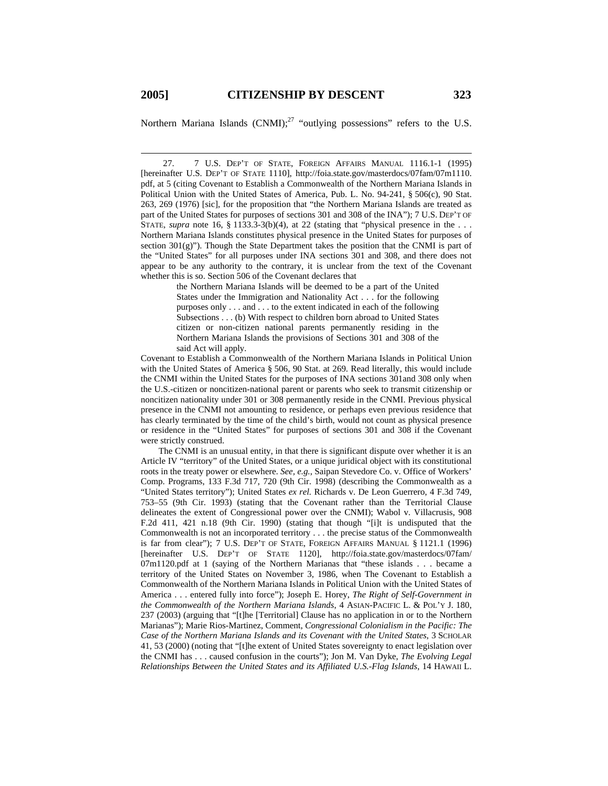Northern Mariana Islands  $(CNMI)$ ;<sup>27</sup> "outlying possessions" refers to the U.S.

 27. 7 U.S. DEP'T OF STATE, FOREIGN AFFAIRS MANUAL 1116.1-1 (1995) [hereinafter U.S. DEP'T OF STATE 1110], http://foia.state.gov/masterdocs/07fam/07m1110. pdf, at 5 (citing Covenant to Establish a Commonwealth of the Northern Mariana Islands in Political Union with the United States of America, Pub. L. No. 94-241, § 506(c), 90 Stat. 263, 269 (1976) [sic], for the proposition that "the Northern Mariana Islands are treated as part of the United States for purposes of sections 301 and 308 of the INA"); 7 U.S. DEP'T OF STATE, *supra* note 16, § 1133.3-3(b)(4), at 22 (stating that "physical presence in the . . . Northern Mariana Islands constitutes physical presence in the United States for purposes of section 301(g)"). Though the State Department takes the position that the CNMI is part of the "United States" for all purposes under INA sections 301 and 308, and there does not appear to be any authority to the contrary, it is unclear from the text of the Covenant whether this is so. Section 506 of the Covenant declares that

> the Northern Mariana Islands will be deemed to be a part of the United States under the Immigration and Nationality Act . . . for the following purposes only . . . and . . . to the extent indicated in each of the following Subsections . . . (b) With respect to children born abroad to United States citizen or non-citizen national parents permanently residing in the Northern Mariana Islands the provisions of Sections 301 and 308 of the said Act will apply.

Covenant to Establish a Commonwealth of the Northern Mariana Islands in Political Union with the United States of America § 506, 90 Stat. at 269. Read literally, this would include the CNMI within the United States for the purposes of INA sections 301and 308 only when the U.S.-citizen or noncitizen-national parent or parents who seek to transmit citizenship or noncitizen nationality under 301 or 308 permanently reside in the CNMI. Previous physical presence in the CNMI not amounting to residence, or perhaps even previous residence that has clearly terminated by the time of the child's birth, would not count as physical presence or residence in the "United States" for purposes of sections 301 and 308 if the Covenant were strictly construed.

The CNMI is an unusual entity, in that there is significant dispute over whether it is an Article IV "territory" of the United States, or a unique juridical object with its constitutional roots in the treaty power or elsewhere. *See, e.g.*, Saipan Stevedore Co. v. Office of Workers' Comp. Programs, 133 F.3d 717, 720 (9th Cir. 1998) (describing the Commonwealth as a "United States territory"); United States *ex rel.* Richards v. De Leon Guerrero, 4 F.3d 749, 753–55 (9th Cir. 1993) (stating that the Covenant rather than the Territorial Clause delineates the extent of Congressional power over the CNMI); Wabol v. Villacrusis, 908 F.2d 411, 421 n.18 (9th Cir. 1990) (stating that though "[i]t is undisputed that the Commonwealth is not an incorporated territory . . . the precise status of the Commonwealth is far from clear"); 7 U.S. DEP'T OF STATE, FOREIGN AFFAIRS MANUAL § 1121.1 (1996) [hereinafter U.S. DEP'T OF STATE 1120], http://foia.state.gov/masterdocs/07fam/ 07m1120.pdf at 1 (saying of the Northern Marianas that "these islands . . . became a territory of the United States on November 3, 1986, when The Covenant to Establish a Commonwealth of the Northern Mariana Islands in Political Union with the United States of America . . . entered fully into force"); Joseph E. Horey, *The Right of Self-Government in the Commonwealth of the Northern Mariana Islands*, 4 ASIAN-PACIFIC L. & POL'Y J. 180, 237 (2003) (arguing that "[t]he [Territorial] Clause has no application in or to the Northern Marianas"); Marie Rios-Martinez, Comment, *Congressional Colonialism in the Pacific: The Case of the Northern Mariana Islands and its Covenant with the United States*, 3 SCHOLAR 41, 53 (2000) (noting that "[t]he extent of United States sovereignty to enact legislation over the CNMI has . . . caused confusion in the courts"); Jon M. Van Dyke, *The Evolving Legal Relationships Between the United States and its Affiliated U.S.-Flag Islands*, 14 HAWAII L.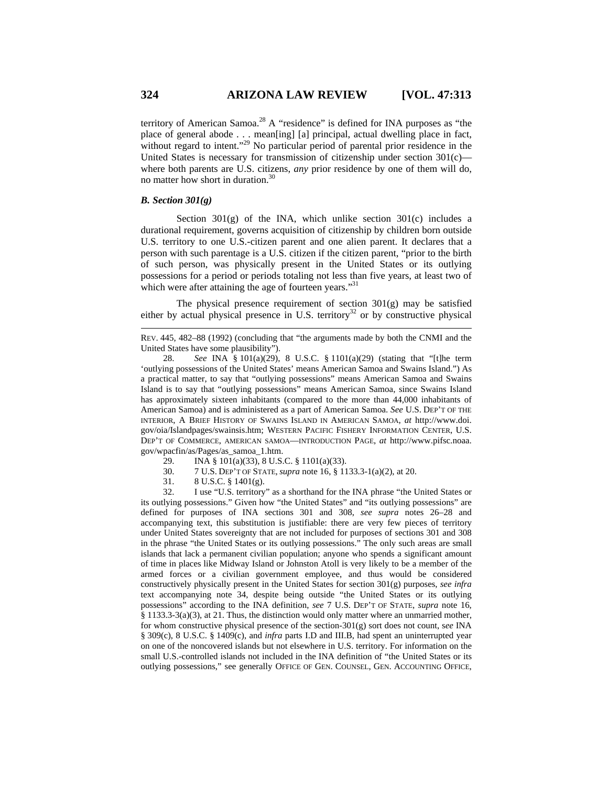territory of American Samoa.<sup>28</sup> A "residence" is defined for INA purposes as "the place of general abode . . . mean[ing] [a] principal, actual dwelling place in fact, without regard to intent."<sup>29</sup> No particular period of parental prior residence in the United States is necessary for transmission of citizenship under section  $301(c)$  where both parents are U.S. citizens, *any* prior residence by one of them will do, no matter how short in duration.30

### *B. Section 301(g)*

Section  $301(g)$  of the INA, which unlike section  $301(c)$  includes a durational requirement, governs acquisition of citizenship by children born outside U.S. territory to one U.S.-citizen parent and one alien parent. It declares that a person with such parentage is a U.S. citizen if the citizen parent, "prior to the birth of such person, was physically present in the United States or its outlying possessions for a period or periods totaling not less than five years, at least two of which were after attaining the age of fourteen years."<sup>31</sup>

The physical presence requirement of section 301(g) may be satisfied either by actual physical presence in U.S. territory<sup>32</sup> or by constructive physical

- 29. INA § 101(a)(33), 8 U.S.C. § 1101(a)(33).
- 30. 7 U.S. DEP'T OF STATE, *supra* note 16, § 1133.3-1(a)(2), at 20.
- 31. 8 U.S.C. § 1401(g).

 32. I use "U.S. territory" as a shorthand for the INA phrase "the United States or its outlying possessions." Given how "the United States" and "its outlying possessions" are defined for purposes of INA sections 301 and 308, *see supra* notes 26–28 and accompanying text, this substitution is justifiable: there are very few pieces of territory under United States sovereignty that are not included for purposes of sections 301 and 308 in the phrase "the United States or its outlying possessions." The only such areas are small islands that lack a permanent civilian population; anyone who spends a significant amount of time in places like Midway Island or Johnston Atoll is very likely to be a member of the armed forces or a civilian government employee, and thus would be considered constructively physically present in the United States for section 301(g) purposes, *see infra* text accompanying note 34, despite being outside "the United States or its outlying possessions" according to the INA definition, *see* 7 U.S. DEP'T OF STATE, *supra* note 16, § 1133.3-3(a)(3), at 21. Thus, the distinction would only matter where an unmarried mother, for whom constructive physical presence of the section-301(g) sort does not count, s*ee* INA § 309(c), 8 U.S.C. § 1409(c), and *infra* parts I.D and III.B, had spent an uninterrupted year on one of the noncovered islands but not elsewhere in U.S. territory. For information on the small U.S.-controlled islands not included in the INA definition of "the United States or its outlying possessions," see generally OFFICE OF GEN. COUNSEL, GEN. ACCOUNTING OFFICE,

REV. 445, 482–88 (1992) (concluding that "the arguments made by both the CNMI and the United States have some plausibility").

 <sup>28.</sup> *See* INA § 101(a)(29), 8 U.S.C. § 1101(a)(29) (stating that "[t]he term 'outlying possessions of the United States' means American Samoa and Swains Island.") As a practical matter, to say that "outlying possessions" means American Samoa and Swains Island is to say that "outlying possessions" means American Samoa, since Swains Island has approximately sixteen inhabitants (compared to the more than 44,000 inhabitants of American Samoa) and is administered as a part of American Samoa. *See* U.S. DEP'T OF THE INTERIOR, A BRIEF HISTORY OF SWAINS ISLAND IN AMERICAN SAMOA, *at* http://www.doi. gov/oia/Islandpages/swainsis.htm; WESTERN PACIFIC FISHERY INFORMATION CENTER, U.S. DEP'T OF COMMERCE, AMERICAN SAMOA—INTRODUCTION PAGE, *at* http://www.pifsc.noaa. gov/wpacfin/as/Pages/as\_samoa\_1.htm.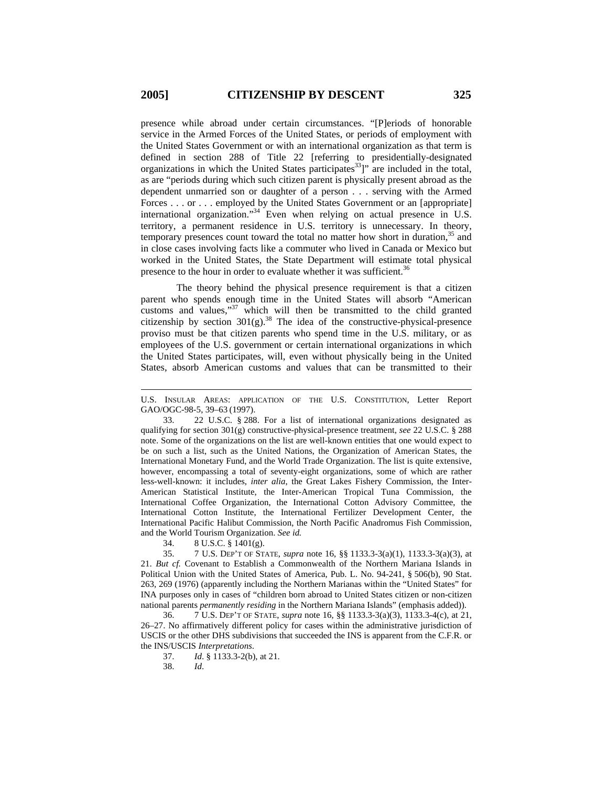presence while abroad under certain circumstances. "[P]eriods of honorable service in the Armed Forces of the United States, or periods of employment with the United States Government or with an international organization as that term is defined in section 288 of Title 22 [referring to presidentially-designated organizations in which the United States participates $33$ ]" are included in the total, as are "periods during which such citizen parent is physically present abroad as the dependent unmarried son or daughter of a person . . . serving with the Armed Forces . . . or . . . employed by the United States Government or an [appropriate] international organization."<sup>34</sup> Even when relying on actual presence in U.S. territory, a permanent residence in U.S. territory is unnecessary. In theory, temporary presences count toward the total no matter how short in duration, $35$  and in close cases involving facts like a commuter who lived in Canada or Mexico but worked in the United States, the State Department will estimate total physical presence to the hour in order to evaluate whether it was sufficient.<sup>36</sup>

The theory behind the physical presence requirement is that a citizen parent who spends enough time in the United States will absorb "American customs and values,"<sup>37</sup> which will then be transmitted to the child granted citizenship by section  $301(g)$ .<sup>38</sup> The idea of the constructive-physical-presence proviso must be that citizen parents who spend time in the U.S. military, or as employees of the U.S. government or certain international organizations in which the United States participates, will, even without physically being in the United States, absorb American customs and values that can be transmitted to their

 33. 22 U.S.C. § 288. For a list of international organizations designated as qualifying for section 301(g) constructive-physical-presence treatment, *see* 22 U.S.C. § 288 note. Some of the organizations on the list are well-known entities that one would expect to be on such a list, such as the United Nations, the Organization of American States, the International Monetary Fund, and the World Trade Organization. The list is quite extensive, however, encompassing a total of seventy-eight organizations, some of which are rather less-well-known: it includes, *inter alia*, the Great Lakes Fishery Commission, the Inter-American Statistical Institute, the Inter-American Tropical Tuna Commission, the International Coffee Organization, the International Cotton Advisory Committee, the International Cotton Institute, the International Fertilizer Development Center, the International Pacific Halibut Commission, the North Pacific Anadromus Fish Commission, and the World Tourism Organization. *See id.*

34. 8 U.S.C. § 1401(g).

 35. 7 U.S. DEP'T OF STATE, *supra* note 16, §§ 1133.3-3(a)(1), 1133.3-3(a)(3), at 21. *But cf.* Covenant to Establish a Commonwealth of the Northern Mariana Islands in Political Union with the United States of America, Pub. L. No. 94-241, § 506(b), 90 Stat. 263, 269 (1976) (apparently including the Northern Marianas within the "United States" for INA purposes only in cases of "children born abroad to United States citizen or non-citizen national parents *permanently residing* in the Northern Mariana Islands" (emphasis added)).

 36. 7 U.S. DEP'T OF STATE, *supra* note 16, §§ 1133.3-3(a)(3), 1133.3-4(c), at 21, 26–27. No affirmatively different policy for cases within the administrative jurisdiction of USCIS or the other DHS subdivisions that succeeded the INS is apparent from the C.F.R. or the INS/USCIS *Interpretations*.

37. *Id*. § 1133.3-2(b), at 21.

38. *Id*.

U.S. INSULAR AREAS: APPLICATION OF THE U.S. CONSTITUTION, Letter Report GAO/OGC-98-5, 39–63 (1997).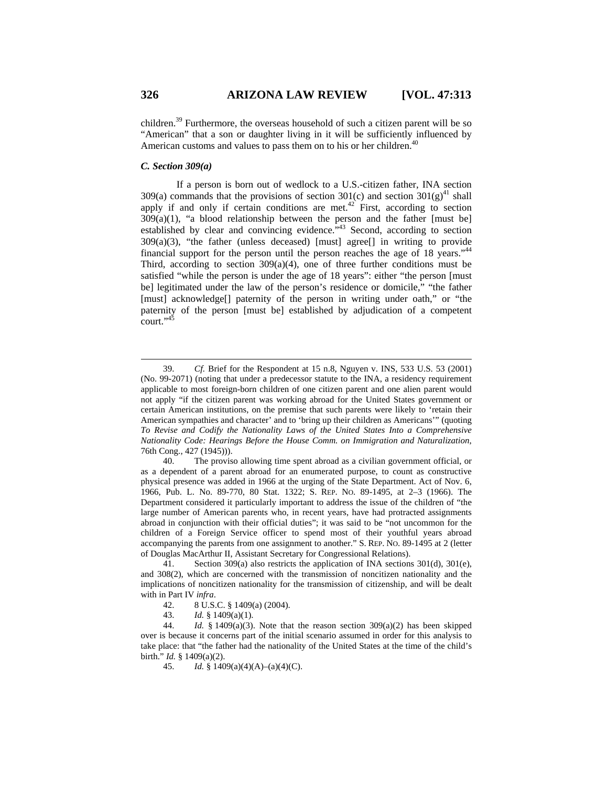children.39 Furthermore, the overseas household of such a citizen parent will be so "American" that a son or daughter living in it will be sufficiently influenced by American customs and values to pass them on to his or her children.<sup>40</sup>

### *C. Section 309(a)*

If a person is born out of wedlock to a U.S.-citizen father, INA section 309(a) commands that the provisions of section 301(c) and section 301(g)<sup>41</sup> shall apply if and only if certain conditions are met.<sup>42</sup> First, according to section  $309(a)(1)$ , "a blood relationship between the person and the father [must be] established by clear and convincing evidence.<sup>3,43</sup> Second, according to section  $309(a)(3)$ , "the father (unless deceased) [must] agree<sup>[]</sup> in writing to provide financial support for the person until the person reaches the age of 18 years."<sup>44</sup> Third, according to section  $309(a)(4)$ , one of three further conditions must be satisfied "while the person is under the age of 18 years": either "the person [must be] legitimated under the law of the person's residence or domicile," "the father [must] acknowledge[] paternity of the person in writing under oath," or "the paternity of the person [must be] established by adjudication of a competent court."45

 40. The proviso allowing time spent abroad as a civilian government official, or as a dependent of a parent abroad for an enumerated purpose, to count as constructive physical presence was added in 1966 at the urging of the State Department. Act of Nov. 6, 1966, Pub. L. No. 89-770, 80 Stat. 1322; S. REP. NO. 89-1495, at 2–3 (1966). The Department considered it particularly important to address the issue of the children of "the large number of American parents who, in recent years, have had protracted assignments abroad in conjunction with their official duties"; it was said to be "not uncommon for the children of a Foreign Service officer to spend most of their youthful years abroad accompanying the parents from one assignment to another." S. REP. NO. 89-1495 at 2 (letter of Douglas MacArthur II, Assistant Secretary for Congressional Relations).

 41. Section 309(a) also restricts the application of INA sections 301(d), 301(e), and 308(2), which are concerned with the transmission of noncitizen nationality and the implications of noncitizen nationality for the transmission of citizenship, and will be dealt with in Part IV *infra*.

- 42. 8 U.S.C. § 1409(a) (2004).
- 43. *Id.* § 1409(a)(1).

44. *Id.* § 1409(a)(3). Note that the reason section  $309(a)(2)$  has been skipped over is because it concerns part of the initial scenario assumed in order for this analysis to take place: that "the father had the nationality of the United States at the time of the child's birth." *Id.* § 1409(a)(2).

45. *Id.* § 1409(a)(4)(A)–(a)(4)(C).

 <sup>39.</sup> *Cf.* Brief for the Respondent at 15 n.8, Nguyen v. INS, 533 U.S. 53 (2001) (No. 99-2071) (noting that under a predecessor statute to the INA, a residency requirement applicable to most foreign-born children of one citizen parent and one alien parent would not apply "if the citizen parent was working abroad for the United States government or certain American institutions, on the premise that such parents were likely to 'retain their American sympathies and character' and to 'bring up their children as Americans'" (quoting *To Revise and Codify the Nationality Laws of the United States Into a Comprehensive Nationality Code: Hearings Before the House Comm. on Immigration and Naturalization*, 76th Cong., 427 (1945))).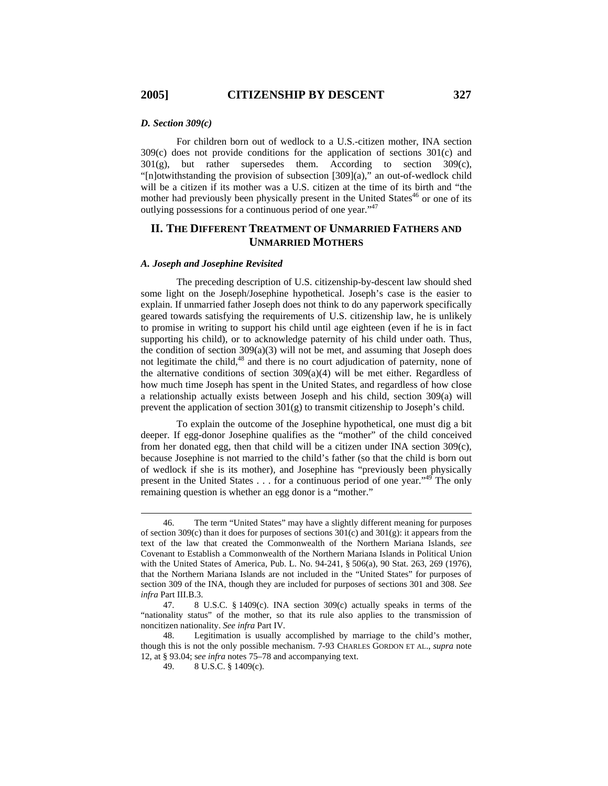### *D. Section 309(c)*

For children born out of wedlock to a U.S.-citizen mother, INA section 309(c) does not provide conditions for the application of sections 301(c) and 301(g), but rather supersedes them. According to section 309(c), "[n]otwithstanding the provision of subsection [309](a)," an out-of-wedlock child will be a citizen if its mother was a U.S. citizen at the time of its birth and "the mother had previously been physically present in the United States<sup>46</sup> or one of its outlying possessions for a continuous period of one year."47

# **II. THE DIFFERENT TREATMENT OF UNMARRIED FATHERS AND UNMARRIED MOTHERS**

#### *A. Joseph and Josephine Revisited*

The preceding description of U.S. citizenship-by-descent law should shed some light on the Joseph/Josephine hypothetical. Joseph's case is the easier to explain. If unmarried father Joseph does not think to do any paperwork specifically geared towards satisfying the requirements of U.S. citizenship law, he is unlikely to promise in writing to support his child until age eighteen (even if he is in fact supporting his child), or to acknowledge paternity of his child under oath. Thus, the condition of section  $309(a)(3)$  will not be met, and assuming that Joseph does not legitimate the child, $48$  and there is no court adjudication of paternity, none of the alternative conditions of section  $309(a)(4)$  will be met either. Regardless of how much time Joseph has spent in the United States, and regardless of how close a relationship actually exists between Joseph and his child, section 309(a) will prevent the application of section  $301(g)$  to transmit citizenship to Joseph's child.

To explain the outcome of the Josephine hypothetical, one must dig a bit deeper. If egg-donor Josephine qualifies as the "mother" of the child conceived from her donated egg, then that child will be a citizen under INA section 309(c), because Josephine is not married to the child's father (so that the child is born out of wedlock if she is its mother), and Josephine has "previously been physically present in the United States . . . for a continuous period of one year."49 The only remaining question is whether an egg donor is a "mother."

 <sup>46.</sup> The term "United States" may have a slightly different meaning for purposes of section 309 $(c)$  than it does for purposes of sections 301 $(c)$  and 301 $(g)$ : it appears from the text of the law that created the Commonwealth of the Northern Mariana Islands, *see* Covenant to Establish a Commonwealth of the Northern Mariana Islands in Political Union with the United States of America, Pub. L. No. 94-241, § 506(a), 90 Stat. 263, 269 (1976), that the Northern Mariana Islands are not included in the "United States" for purposes of section 309 of the INA, though they are included for purposes of sections 301 and 308. *See infra* Part III.B.3.

 <sup>47. 8</sup> U.S.C. § 1409(c). INA section 309(c) actually speaks in terms of the "nationality status" of the mother, so that its rule also applies to the transmission of noncitizen nationality. *See infra* Part IV*.*

 <sup>48.</sup> Legitimation is usually accomplished by marriage to the child's mother, though this is not the only possible mechanism. 7-93 CHARLES GORDON ET AL., *supra* note 12, at § 93.04; s*ee infra* notes 75–78 and accompanying text.

 <sup>49. 8</sup> U.S.C. § 1409(c).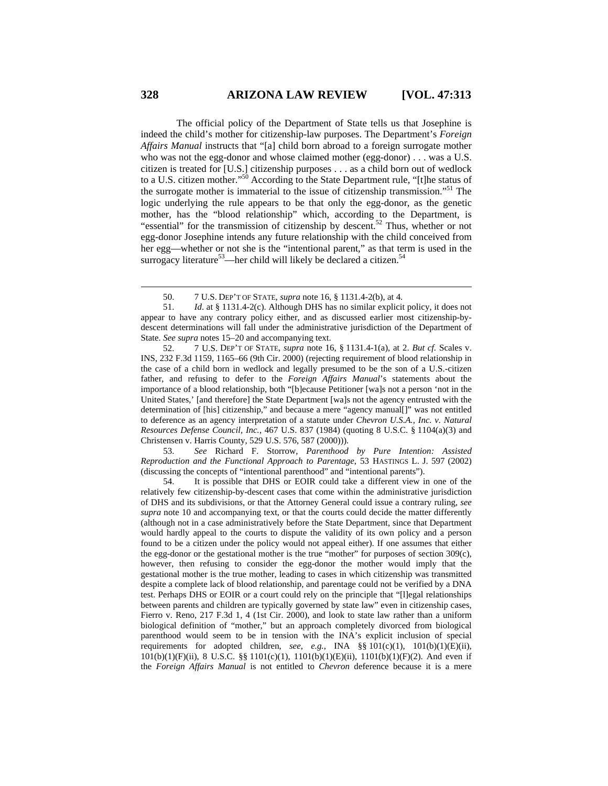The official policy of the Department of State tells us that Josephine is indeed the child's mother for citizenship-law purposes. The Department's *Foreign Affairs Manual* instructs that "[a] child born abroad to a foreign surrogate mother who was not the egg-donor and whose claimed mother (egg-donor) . . . was a U.S. citizen is treated for [U.S.] citizenship purposes . . . as a child born out of wedlock to a U.S. citizen mother."50 According to the State Department rule, "[t]he status of the surrogate mother is immaterial to the issue of citizenship transmission.<sup>51</sup> The logic underlying the rule appears to be that only the egg-donor, as the genetic mother, has the "blood relationship" which, according to the Department, is "essential" for the transmission of citizenship by descent.<sup>52</sup> Thus, whether or not egg-donor Josephine intends any future relationship with the child conceived from her egg—whether or not she is the "intentional parent," as that term is used in the surrogacy literature<sup>53</sup>—her child will likely be declared a citizen.<sup>54</sup>

 53. *See* Richard F. Storrow, *Parenthood by Pure Intention: Assisted Reproduction and the Functional Approach to Parentage*, 53 HASTINGS L. J. 597 (2002) (discussing the concepts of "intentional parenthood" and "intentional parents").

 54. It is possible that DHS or EOIR could take a different view in one of the relatively few citizenship-by-descent cases that come within the administrative jurisdiction of DHS and its subdivisions, or that the Attorney General could issue a contrary ruling, *see supra* note 10 and accompanying text, or that the courts could decide the matter differently (although not in a case administratively before the State Department, since that Department would hardly appeal to the courts to dispute the validity of its own policy and a person found to be a citizen under the policy would not appeal either). If one assumes that either the egg-donor or the gestational mother is the true "mother" for purposes of section 309(c), however, then refusing to consider the egg-donor the mother would imply that the gestational mother is the true mother, leading to cases in which citizenship was transmitted despite a complete lack of blood relationship, and parentage could not be verified by a DNA test. Perhaps DHS or EOIR or a court could rely on the principle that "[l]egal relationships between parents and children are typically governed by state law" even in citizenship cases, Fierro v. Reno, 217 F.3d 1, 4 (1st Cir. 2000), and look to state law rather than a uniform biological definition of "mother," but an approach completely divorced from biological parenthood would seem to be in tension with the INA's explicit inclusion of special requirements for adopted children, *see*, *e.g.*, INA §§ 101(c)(1), 101(b)(1)(E)(ii), 101(b)(1)(F)(ii), 8 U.S.C. §§ 1101(c)(1), 1101(b)(1)(E)(ii), 1101(b)(1)(F)(2). And even if the *Foreign Affairs Manual* is not entitled to *Chevron* deference because it is a mere

 <sup>50. 7</sup> U.S. DEP'T OF STATE, *supra* note 16, § 1131.4-2(b), at 4.

 <sup>51.</sup> *Id*. at § 1131.4-2(c). Although DHS has no similar explicit policy, it does not appear to have any contrary policy either, and as discussed earlier most citizenship-bydescent determinations will fall under the administrative jurisdiction of the Department of State. *See supra* notes 15–20 and accompanying text.

 <sup>52. 7</sup> U.S. DEP'T OF STATE, *supra* note 16, § 1131.4-1(a), at 2. *But cf.* Scales v. INS, 232 F.3d 1159, 1165–66 (9th Cir. 2000) (rejecting requirement of blood relationship in the case of a child born in wedlock and legally presumed to be the son of a U.S.-citizen father, and refusing to defer to the *Foreign Affairs Manual*'s statements about the importance of a blood relationship, both "[b]ecause Petitioner [wa]s not a person 'not in the United States,' [and therefore] the State Department [wa]s not the agency entrusted with the determination of [his] citizenship," and because a mere "agency manual[]" was not entitled to deference as an agency interpretation of a statute under *Chevron U.S.A., Inc. v. Natural Resources Defense Council, Inc.*, 467 U.S. 837 (1984) (quoting 8 U.S.C. § 1104(a)(3) and Christensen v. Harris County, 529 U.S. 576, 587 (2000))).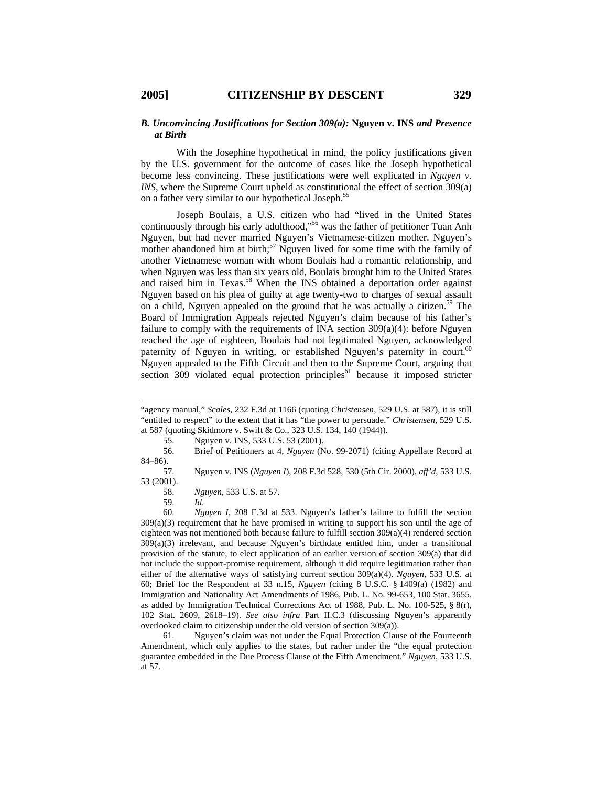### *B. Unconvincing Justifications for Section 309(a):* **Nguyen v. INS** *and Presence at Birth*

With the Josephine hypothetical in mind, the policy justifications given by the U.S. government for the outcome of cases like the Joseph hypothetical become less convincing. These justifications were well explicated in *Nguyen v. INS*, where the Supreme Court upheld as constitutional the effect of section 309(a) on a father very similar to our hypothetical Joseph.<sup>55</sup>

Joseph Boulais, a U.S. citizen who had "lived in the United States continuously through his early adulthood,"<sup>56</sup> was the father of petitioner Tuan Anh Nguyen, but had never married Nguyen's Vietnamese-citizen mother. Nguyen's mother abandoned him at birth;<sup>57</sup> Nguyen lived for some time with the family of another Vietnamese woman with whom Boulais had a romantic relationship, and when Nguyen was less than six years old, Boulais brought him to the United States and raised him in Texas.<sup>58</sup> When the INS obtained a deportation order against Nguyen based on his plea of guilty at age twenty-two to charges of sexual assault on a child, Nguyen appealed on the ground that he was actually a citizen.<sup>59</sup> The Board of Immigration Appeals rejected Nguyen's claim because of his father's failure to comply with the requirements of INA section  $309(a)(4)$ : before Nguyen reached the age of eighteen, Boulais had not legitimated Nguyen, acknowledged paternity of Nguyen in writing, or established Nguyen's paternity in court.<sup>60</sup> Nguyen appealed to the Fifth Circuit and then to the Supreme Court, arguing that section 309 violated equal protection principles<sup>61</sup> because it imposed stricter

55. Nguyen v. INS, 533 U.S. 53 (2001).

 56. Brief of Petitioners at 4, *Nguyen* (No. 99-2071) (citing Appellate Record at 84–86).

 57. Nguyen v. INS (*Nguyen I*), 208 F.3d 528, 530 (5th Cir. 2000), *aff'd*, 533 U.S. 53 (2001).

58. *Nguyen*, 533 U.S. at 57.

 $\overline{a}$ 

 59. *Id*. 60. *Nguyen I*, 208 F.3d at 533. Nguyen's father's failure to fulfill the section 309(a)(3) requirement that he have promised in writing to support his son until the age of eighteen was not mentioned both because failure to fulfill section 309(a)(4) rendered section 309(a)(3) irrelevant, and because Nguyen's birthdate entitled him, under a transitional provision of the statute, to elect application of an earlier version of section 309(a) that did not include the support-promise requirement, although it did require legitimation rather than either of the alternative ways of satisfying current section 309(a)(4). *Nguyen*, 533 U.S. at 60; Brief for the Respondent at 33 n.15, *Nguyen* (citing 8 U.S.C. § 1409(a) (1982) and Immigration and Nationality Act Amendments of 1986, Pub. L. No. 99-653, 100 Stat. 3655, as added by Immigration Technical Corrections Act of 1988, Pub. L. No. 100-525, § 8(r), 102 Stat. 2609, 2618–19). *See also infra* Part II.C.3 (discussing Nguyen's apparently overlooked claim to citizenship under the old version of section 309(a)).

 61. Nguyen's claim was not under the Equal Protection Clause of the Fourteenth Amendment, which only applies to the states, but rather under the "the equal protection guarantee embedded in the Due Process Clause of the Fifth Amendment." *Nguyen*, 533 U.S. at 57.

<sup>&</sup>quot;agency manual," *Scales*, 232 F.3d at 1166 (quoting *Christensen*, 529 U.S. at 587), it is still "entitled to respect" to the extent that it has "the power to persuade." *Christensen*, 529 U.S. at 587 (quoting Skidmore v. Swift & Co., 323 U.S. 134, 140 (1944)).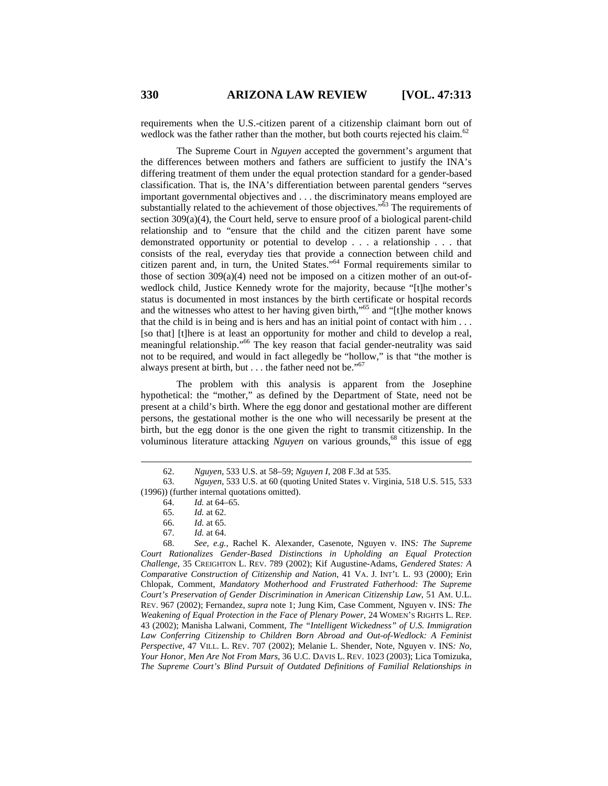requirements when the U.S.-citizen parent of a citizenship claimant born out of wedlock was the father rather than the mother, but both courts rejected his claim.<sup>62</sup>

The Supreme Court in *Nguyen* accepted the government's argument that the differences between mothers and fathers are sufficient to justify the INA's differing treatment of them under the equal protection standard for a gender-based classification. That is, the INA's differentiation between parental genders "serves important governmental objectives and . . . the discriminatory means employed are substantially related to the achievement of those objectives."<sup>63</sup> The requirements of section 309(a)(4), the Court held, serve to ensure proof of a biological parent-child relationship and to "ensure that the child and the citizen parent have some demonstrated opportunity or potential to develop . . . a relationship . . . that consists of the real, everyday ties that provide a connection between child and citizen parent and, in turn, the United States."64 Formal requirements similar to those of section 309(a)(4) need not be imposed on a citizen mother of an out-ofwedlock child, Justice Kennedy wrote for the majority, because "[t]he mother's status is documented in most instances by the birth certificate or hospital records and the witnesses who attest to her having given birth,"65 and "[t]he mother knows that the child is in being and is hers and has an initial point of contact with him . . . [so that] [t]here is at least an opportunity for mother and child to develop a real, meaningful relationship."<sup>66</sup> The key reason that facial gender-neutrality was said not to be required, and would in fact allegedly be "hollow," is that "the mother is always present at birth, but  $\dots$  the father need not be."<sup>67</sup>

The problem with this analysis is apparent from the Josephine hypothetical: the "mother," as defined by the Department of State, need not be present at a child's birth. Where the egg donor and gestational mother are different persons, the gestational mother is the one who will necessarily be present at the birth, but the egg donor is the one given the right to transmit citizenship. In the voluminous literature attacking *Nguyen* on various grounds,<sup>68</sup> this issue of egg

 <sup>62.</sup> *Nguyen*, 533 U.S. at 58–59; *Nguyen I*, 208 F.3d at 535.

 <sup>63.</sup> *Nguyen*, 533 U.S. at 60 (quoting United States v. Virginia, 518 U.S. 515, 533 (1996)) (further internal quotations omitted).

 <sup>64.</sup> *Id.* at 64–65.

 <sup>65.</sup> *Id.* at 62.

 <sup>66.</sup> *Id.* at 65.

 <sup>67.</sup> *Id.* at 64.

 <sup>68.</sup> *See, e.g.*, Rachel K. Alexander, Casenote, Nguyen v. INS*: The Supreme Court Rationalizes Gender-Based Distinctions in Upholding an Equal Protection Challenge*, 35 CREIGHTON L. REV. 789 (2002); Kif Augustine-Adams, *Gendered States: A Comparative Construction of Citizenship and Nation*, 41 VA. J. INT'L L. 93 (2000); Erin Chlopak, Comment, *Mandatory Motherhood and Frustrated Fatherhood: The Supreme Court's Preservation of Gender Discrimination in American Citizenship Law*, 51 AM. U.L. REV. 967 (2002); Fernandez, *supra* note 1; Jung Kim, Case Comment, Nguyen v. INS*: The Weakening of Equal Protection in the Face of Plenary Power*, 24 WOMEN'S RIGHTS L. REP. 43 (2002); Manisha Lalwani, Comment, *The "Intelligent Wickedness" of U.S. Immigration*  Law Conferring Citizenship to Children Born Abroad and Out-of-Wedlock: A Feminist *Perspective*, 47 VILL. L. REV. 707 (2002); Melanie L. Shender, Note, Nguyen v. INS*: No, Your Honor, Men Are Not From Mars*, 36 U.C. DAVIS L. REV. 1023 (2003); Lica Tomizuka, *The Supreme Court's Blind Pursuit of Outdated Definitions of Familial Relationships in*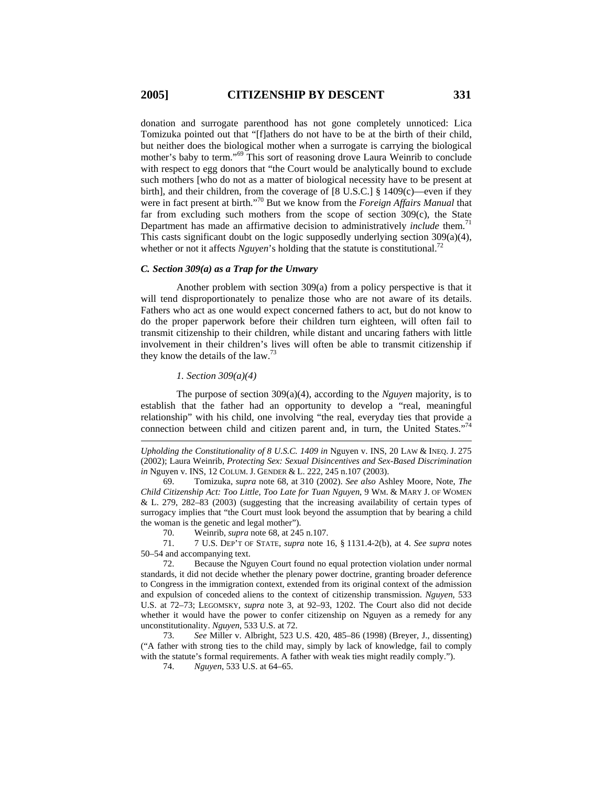donation and surrogate parenthood has not gone completely unnoticed: Lica Tomizuka pointed out that "[f]athers do not have to be at the birth of their child, but neither does the biological mother when a surrogate is carrying the biological mother's baby to term."69 This sort of reasoning drove Laura Weinrib to conclude with respect to egg donors that "the Court would be analytically bound to exclude such mothers [who do not as a matter of biological necessity have to be present at birth], and their children, from the coverage of [8 U.S.C.] § 1409(c)—even if they were in fact present at birth."70 But we know from the *Foreign Affairs Manual* that far from excluding such mothers from the scope of section  $309(c)$ , the State Department has made an affirmative decision to administratively *include* them.<sup>71</sup> This casts significant doubt on the logic supposedly underlying section 309(a)(4), whether or not it affects *Nguyen*'s holding that the statute is constitutional.<sup>72</sup>

#### *C. Section 309(a) as a Trap for the Unwary*

Another problem with section 309(a) from a policy perspective is that it will tend disproportionately to penalize those who are not aware of its details. Fathers who act as one would expect concerned fathers to act, but do not know to do the proper paperwork before their children turn eighteen, will often fail to transmit citizenship to their children, while distant and uncaring fathers with little involvement in their children's lives will often be able to transmit citizenship if they know the details of the law.73

# *1. Section 309(a)(4)*

 $\overline{a}$ 

The purpose of section 309(a)(4), according to the *Nguyen* majority, is to establish that the father had an opportunity to develop a "real, meaningful relationship" with his child, one involving "the real, everyday ties that provide a connection between child and citizen parent and, in turn, the United States."<sup>74</sup>

 69. Tomizuka, *supra* note 68, at 310 (2002). *See also* Ashley Moore, Note, *The Child Citizenship Act: Too Little, Too Late for Tuan Nguyen*, 9 WM. & MARY J. OF WOMEN & L. 279, 282–83 (2003) (suggesting that the increasing availability of certain types of surrogacy implies that "the Court must look beyond the assumption that by bearing a child the woman is the genetic and legal mother").

70. Weinrib, *supra* note 68, at 245 n.107.

 71. 7 U.S. DEP'T OF STATE, *supra* note 16, § 1131.4-2(b), at 4. *See supra* notes 50–54 and accompanying text.

 72. Because the Nguyen Court found no equal protection violation under normal standards, it did not decide whether the plenary power doctrine, granting broader deference to Congress in the immigration context, extended from its original context of the admission and expulsion of conceded aliens to the context of citizenship transmission. *Nguyen*, 533 U.S. at 72–73; LEGOMSKY, *supra* note 3, at 92–93, 1202. The Court also did not decide whether it would have the power to confer citizenship on Nguyen as a remedy for any unconstitutionality. *Nguyen*, 533 U.S. at 72.

 73. *See* Miller v. Albright, 523 U.S. 420, 485–86 (1998) (Breyer, J., dissenting) ("A father with strong ties to the child may, simply by lack of knowledge, fail to comply with the statute's formal requirements. A father with weak ties might readily comply.").

74. *Nguyen*, 533 U.S. at 64–65.

*Upholding the Constitutionality of 8 U.S.C. 1409 in* Nguyen v. INS, 20 LAW & INEQ. J. 275 (2002); Laura Weinrib, *Protecting Sex: Sexual Disincentives and Sex-Based Discrimination in* Nguyen v. INS, 12 COLUM. J. GENDER & L. 222, 245 n.107 (2003).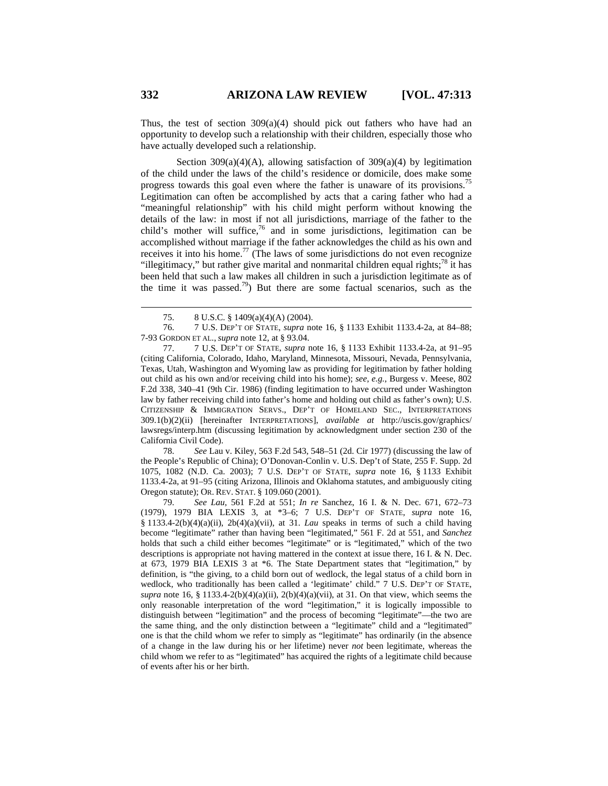Thus, the test of section  $309(a)(4)$  should pick out fathers who have had an opportunity to develop such a relationship with their children, especially those who have actually developed such a relationship.

Section  $309(a)(4)(A)$ , allowing satisfaction of  $309(a)(4)$  by legitimation of the child under the laws of the child's residence or domicile, does make some progress towards this goal even where the father is unaware of its provisions.<sup>75</sup> Legitimation can often be accomplished by acts that a caring father who had a "meaningful relationship" with his child might perform without knowing the details of the law: in most if not all jurisdictions, marriage of the father to the child's mother will suffice,  $76$  and in some jurisdictions, legitimation can be accomplished without marriage if the father acknowledges the child as his own and receives it into his home.<sup>77</sup> (The laws of some jurisdictions do not even recognize "illegitimacy," but rather give marital and nonmarital children equal rights;<sup>78</sup> it has been held that such a law makes all children in such a jurisdiction legitimate as of the time it was passed.<sup>79</sup>) But there are some factual scenarios, such as the

 77. 7 U.S. DEP'T OF STATE, *supra* note 16, § 1133 Exhibit 1133.4-2a, at 91–95 (citing California, Colorado, Idaho, Maryland, Minnesota, Missouri, Nevada, Pennsylvania, Texas, Utah, Washington and Wyoming law as providing for legitimation by father holding out child as his own and/or receiving child into his home); *see, e.g.*, Burgess v. Meese, 802 F.2d 338, 340–41 (9th Cir. 1986) (finding legitimation to have occurred under Washington law by father receiving child into father's home and holding out child as father's own); U.S. CITIZENSHIP & IMMIGRATION SERVS., DEP'T OF HOMELAND SEC., INTERPRETATIONS 309.1(b)(2)(ii) [hereinafter INTERPRETATIONS], *available at* http://uscis.gov/graphics/ lawsregs/interp.htm (discussing legitimation by acknowledgment under section 230 of the California Civil Code).

 78. *See* Lau v. Kiley, 563 F.2d 543, 548–51 (2d. Cir 1977) (discussing the law of the People's Republic of China); O'Donovan-Conlin v. U.S. Dep't of State, 255 F. Supp. 2d 1075, 1082 (N.D. Ca. 2003); 7 U.S. DEP'T OF STATE, *supra* note 16, § 1133 Exhibit 1133.4-2a, at 91–95 (citing Arizona, Illinois and Oklahoma statutes, and ambiguously citing Oregon statute); OR. REV. STAT. § 109.060 (2001).

 79. *See Lau*, 561 F.2d at 551; *In re* Sanchez, 16 I. & N. Dec. 671, 672–73 (1979), 1979 BIA LEXIS 3, at \*3–6; 7 U.S. DEP'T OF STATE, *supra* note 16, § 1133.4-2(b)(4)(a)(ii), 2b(4)(a)(vii), at 31. *Lau* speaks in terms of such a child having become "legitimate" rather than having been "legitimated," 561 F. 2d at 551, and *Sanchez* holds that such a child either becomes "legitimate" or is "legitimated," which of the two descriptions is appropriate not having mattered in the context at issue there, 16 I. & N. Dec. at 673, 1979 BIA LEXIS 3 at \*6. The State Department states that "legitimation," by definition, is "the giving, to a child born out of wedlock, the legal status of a child born in wedlock, who traditionally has been called a 'legitimate' child." 7 U.S. DEP'T OF STATE, *supra* note 16, § 1133.4-2(b)(4)(a)(ii), 2(b)(4)(a)(vii), at 31. On that view, which seems the only reasonable interpretation of the word "legitimation," it is logically impossible to distinguish between "legitimation" and the process of becoming "legitimate"—the two are the same thing, and the only distinction between a "legitimate" child and a "legitimated" one is that the child whom we refer to simply as "legitimate" has ordinarily (in the absence of a change in the law during his or her lifetime) never *not* been legitimate, whereas the child whom we refer to as "legitimated" has acquired the rights of a legitimate child because of events after his or her birth.

 <sup>75. 8</sup> U.S.C. § 1409(a)(4)(A) (2004).

 <sup>76. 7</sup> U.S. DEP'T OF STATE, *supra* note 16, § 1133 Exhibit 1133.4-2a, at 84–88; 7-93 GORDON ET AL., *supra* note 12, at § 93.04.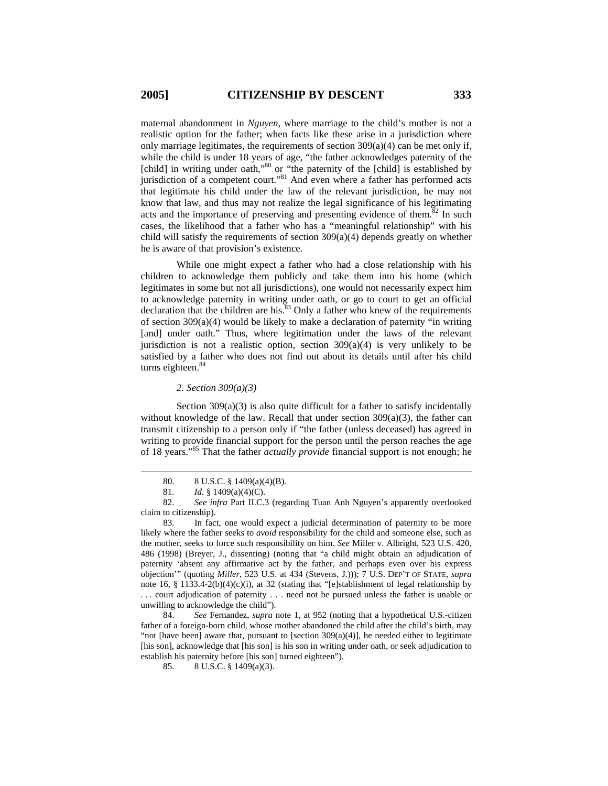maternal abandonment in *Nguyen*, where marriage to the child's mother is not a realistic option for the father; when facts like these arise in a jurisdiction where only marriage legitimates, the requirements of section  $309(a)(4)$  can be met only if, while the child is under 18 years of age, "the father acknowledges paternity of the [child] in writing under oath,"<sup>80</sup> or "the paternity of the [child] is established by jurisdiction of a competent court."<sup>81</sup> And even where a father has performed acts that legitimate his child under the law of the relevant jurisdiction, he may not know that law, and thus may not realize the legal significance of his legitimating acts and the importance of preserving and presenting evidence of them. $82$  In such cases, the likelihood that a father who has a "meaningful relationship" with his child will satisfy the requirements of section  $309(a)(4)$  depends greatly on whether he is aware of that provision's existence.

While one might expect a father who had a close relationship with his children to acknowledge them publicly and take them into his home (which legitimates in some but not all jurisdictions), one would not necessarily expect him to acknowledge paternity in writing under oath, or go to court to get an official declaration that the children are his. $83$  Only a father who knew of the requirements of section  $309(a)(4)$  would be likely to make a declaration of paternity "in writing [and] under oath." Thus, where legitimation under the laws of the relevant jurisdiction is not a realistic option, section  $309(a)(4)$  is very unlikely to be satisfied by a father who does not find out about its details until after his child turns eighteen.<sup>84</sup>

### *2. Section 309(a)(3)*

Section  $309(a)(3)$  is also quite difficult for a father to satisfy incidentally without knowledge of the law. Recall that under section  $309(a)(3)$ , the father can transmit citizenship to a person only if "the father (unless deceased) has agreed in writing to provide financial support for the person until the person reaches the age of 18 years."85 That the father *actually provide* financial support is not enough; he

 <sup>80. 8</sup> U.S.C. § 1409(a)(4)(B).

 <sup>81.</sup> *Id.* § 1409(a)(4)(C).

 <sup>82.</sup> *See infra* Part II.C.3 (regarding Tuan Anh Nguyen's apparently overlooked claim to citizenship).

 <sup>83.</sup> In fact, one would expect a judicial determination of paternity to be more likely where the father seeks to *avoid* responsibility for the child and someone else, such as the mother, seeks to force such responsibility on him. *See* Miller v. Albright, 523 U.S. 420, 486 (1998) (Breyer, J., dissenting) (noting that "a child might obtain an adjudication of paternity 'absent any affirmative act by the father, and perhaps even over his express objection'" (quoting *Miller*, 523 U.S. at 434 (Stevens, J.))); 7 U.S. DEP'T OF STATE, *supra*  note 16, § 1133.4-2(b)(4)(c)(i), at 32 (stating that "[e]stablishment of legal relationship by . . . court adjudication of paternity . . . need not be pursued unless the father is unable or unwilling to acknowledge the child").

 <sup>84.</sup> *See* Fernandez, *supra* note 1, at 952 (noting that a hypothetical U.S.-citizen father of a foreign-born child, whose mother abandoned the child after the child's birth, may "not [have been] aware that, pursuant to [section  $309(a)(4)$ ], he needed either to legitimate [his son], acknowledge that [his son] is his son in writing under oath, or seek adjudication to establish his paternity before [his son] turned eighteen").

 <sup>85. 8</sup> U.S.C. § 1409(a)(3).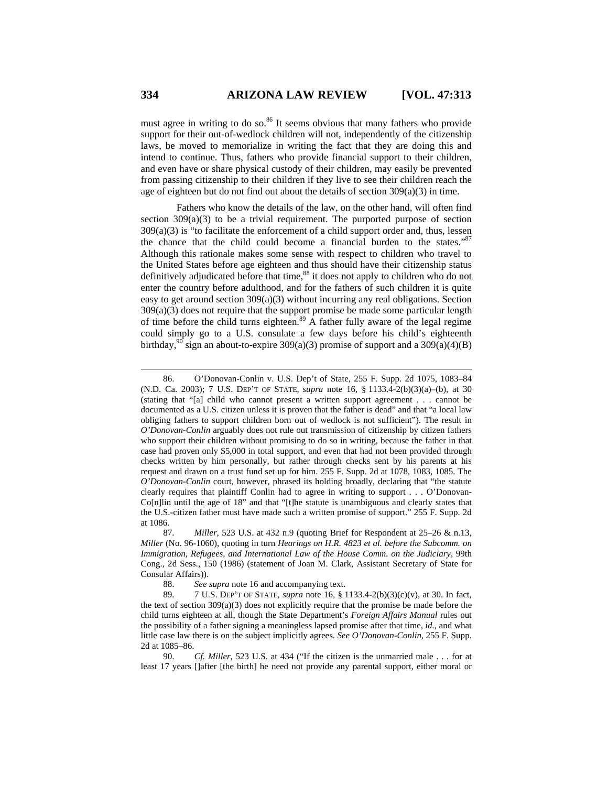must agree in writing to do so. $86$  It seems obvious that many fathers who provide support for their out-of-wedlock children will not, independently of the citizenship laws, be moved to memorialize in writing the fact that they are doing this and intend to continue. Thus, fathers who provide financial support to their children, and even have or share physical custody of their children, may easily be prevented from passing citizenship to their children if they live to see their children reach the age of eighteen but do not find out about the details of section  $309(a)(3)$  in time.

Fathers who know the details of the law, on the other hand, will often find section  $309(a)(3)$  to be a trivial requirement. The purported purpose of section  $309(a)(3)$  is "to facilitate the enforcement of a child support order and, thus, lessen the chance that the child could become a financial burden to the states."<sup>87</sup> Although this rationale makes some sense with respect to children who travel to the United States before age eighteen and thus should have their citizenship status definitively adjudicated before that time,<sup>88</sup> it does not apply to children who do not enter the country before adulthood, and for the fathers of such children it is quite easy to get around section 309(a)(3) without incurring any real obligations. Section 309(a)(3) does not require that the support promise be made some particular length of time before the child turns eighteen.<sup>89</sup> A father fully aware of the legal regime could simply go to a U.S. consulate a few days before his child's eighteenth birthday,  $90$  sign an about-to-expire 309(a)(3) promise of support and a 309(a)(4)(B)

 <sup>86.</sup> O'Donovan-Conlin v. U.S. Dep't of State, 255 F. Supp. 2d 1075, 1083–84 (N.D. Ca. 2003); 7 U.S. DEP'T OF STATE, *supra* note 16, § 1133.4-2(b)(3)(a)–(b), at 30 (stating that "[a] child who cannot present a written support agreement . . . cannot be documented as a U.S. citizen unless it is proven that the father is dead" and that "a local law obliging fathers to support children born out of wedlock is not sufficient"). The result in *O'Donovan-Conlin* arguably does not rule out transmission of citizenship by citizen fathers who support their children without promising to do so in writing, because the father in that case had proven only \$5,000 in total support, and even that had not been provided through checks written by him personally, but rather through checks sent by his parents at his request and drawn on a trust fund set up for him. 255 F. Supp. 2d at 1078, 1083, 1085. The *O'Donovan-Conlin* court, however, phrased its holding broadly, declaring that "the statute clearly requires that plaintiff Conlin had to agree in writing to support . . . O'Donovan-Co[n]lin until the age of 18" and that "[t]he statute is unambiguous and clearly states that the U.S.-citizen father must have made such a written promise of support." 255 F. Supp. 2d at 1086.

 <sup>87.</sup> *Miller*, 523 U.S. at 432 n.9 (quoting Brief for Respondent at 25–26 & n.13, *Miller* (No. 96-1060), quoting in turn *Hearings on H.R. 4823 et al. before the Subcomm. on Immigration, Refugees, and International Law of the House Comm. on the Judiciary*, 99th Cong., 2d Sess., 150 (1986) (statement of Joan M. Clark, Assistant Secretary of State for Consular Affairs)).

 <sup>88.</sup> *See supra* note 16 and accompanying text.

 <sup>89. 7</sup> U.S. DEP'T OF STATE, *supra* note 16, § 1133.4-2(b)(3)(c)(v), at 30. In fact, the text of section  $309(a)(3)$  does not explicitly require that the promise be made before the child turns eighteen at all, though the State Department's *Foreign Affairs Manual* rules out the possibility of a father signing a meaningless lapsed promise after that time, *id.*, and what little case law there is on the subject implicitly agrees. *See O'Donovan-Conlin*, 255 F. Supp. 2d at 1085–86.

 <sup>90.</sup> *Cf. Miller*, 523 U.S. at 434 ("If the citizen is the unmarried male . . . for at least 17 years []after [the birth] he need not provide any parental support, either moral or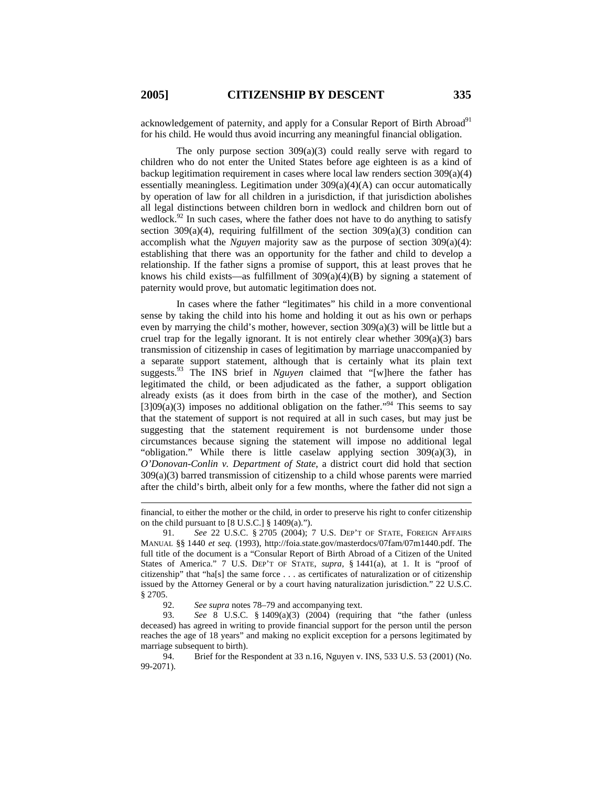acknowledgement of paternity, and apply for a Consular Report of Birth Abroad<sup>91</sup> for his child. He would thus avoid incurring any meaningful financial obligation.

The only purpose section 309(a)(3) could really serve with regard to children who do not enter the United States before age eighteen is as a kind of backup legitimation requirement in cases where local law renders section 309(a)(4) essentially meaningless. Legitimation under 309(a)(4)(A) can occur automatically by operation of law for all children in a jurisdiction, if that jurisdiction abolishes all legal distinctions between children born in wedlock and children born out of wedlock.<sup>92</sup> In such cases, where the father does not have to do anything to satisfy section 309(a)(4), requiring fulfillment of the section 309(a)(3) condition can accomplish what the *Nguyen* majority saw as the purpose of section 309(a)(4): establishing that there was an opportunity for the father and child to develop a relationship. If the father signs a promise of support, this at least proves that he knows his child exists—as fulfillment of  $309(a)(4)(B)$  by signing a statement of paternity would prove, but automatic legitimation does not.

In cases where the father "legitimates" his child in a more conventional sense by taking the child into his home and holding it out as his own or perhaps even by marrying the child's mother, however, section 309(a)(3) will be little but a cruel trap for the legally ignorant. It is not entirely clear whether  $309(a)(3)$  bars transmission of citizenship in cases of legitimation by marriage unaccompanied by a separate support statement, although that is certainly what its plain text suggests.<sup>93</sup> The INS brief in *Nguyen* claimed that "[w]here the father has legitimated the child, or been adjudicated as the father, a support obligation already exists (as it does from birth in the case of the mother), and Section  $[3]09(a)(3)$  imposes no additional obligation on the father.<sup>994</sup> This seems to say that the statement of support is not required at all in such cases, but may just be suggesting that the statement requirement is not burdensome under those circumstances because signing the statement will impose no additional legal "obligation." While there is little caselaw applying section 309(a)(3), in *O'Donovan-Conlin v. Department of State*, a district court did hold that section 309(a)(3) barred transmission of citizenship to a child whose parents were married after the child's birth, albeit only for a few months, where the father did not sign a

financial, to either the mother or the child, in order to preserve his right to confer citizenship on the child pursuant to  $[8 \text{ U.S.C.}]$  § 1409(a).").

 <sup>91.</sup> *See* 22 U.S.C. § 2705 (2004); 7 U.S. DEP'T OF STATE, FOREIGN AFFAIRS MANUAL §§ 1440 *et seq.* (1993), http://foia.state.gov/masterdocs/07fam/07m1440.pdf. The full title of the document is a "Consular Report of Birth Abroad of a Citizen of the United States of America." 7 U.S. DEP'T OF STATE, *supra*, § 1441(a), at 1. It is "proof of citizenship" that "ha[s] the same force . . . as certificates of naturalization or of citizenship issued by the Attorney General or by a court having naturalization jurisdiction." 22 U.S.C. § 2705.

 <sup>92.</sup> *See supra* notes 78–79 and accompanying text.

 <sup>93.</sup> *See* 8 U.S.C. § 1409(a)(3) (2004) (requiring that "the father (unless deceased) has agreed in writing to provide financial support for the person until the person reaches the age of 18 years" and making no explicit exception for a persons legitimated by marriage subsequent to birth).

 <sup>94.</sup> Brief for the Respondent at 33 n.16, Nguyen v. INS, 533 U.S. 53 (2001) (No. 99-2071).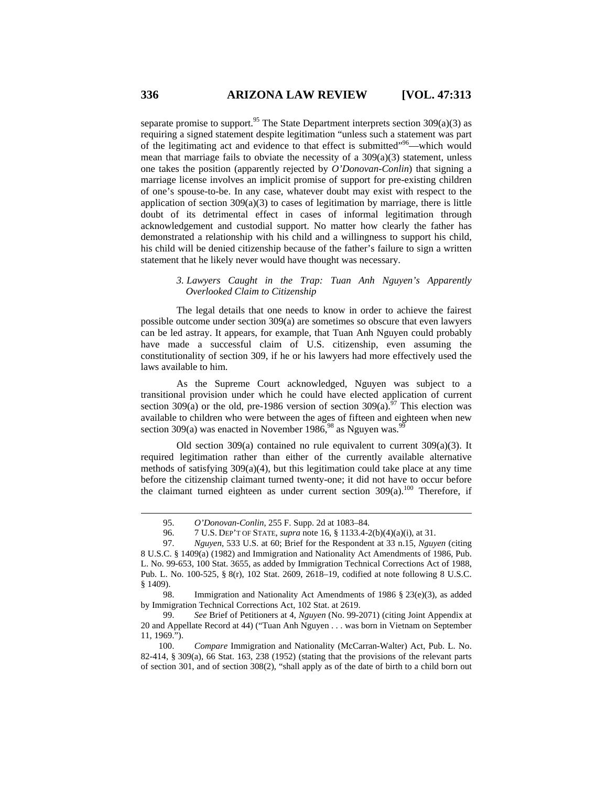separate promise to support.<sup>95</sup> The State Department interprets section  $309(a)(3)$  as requiring a signed statement despite legitimation "unless such a statement was part of the legitimating act and evidence to that effect is submitted"96—which would mean that marriage fails to obviate the necessity of a 309(a)(3) statement, unless one takes the position (apparently rejected by *O'Donovan-Conlin*) that signing a marriage license involves an implicit promise of support for pre-existing children of one's spouse-to-be. In any case, whatever doubt may exist with respect to the application of section  $309(a)(3)$  to cases of legitimation by marriage, there is little doubt of its detrimental effect in cases of informal legitimation through acknowledgement and custodial support. No matter how clearly the father has demonstrated a relationship with his child and a willingness to support his child, his child will be denied citizenship because of the father's failure to sign a written statement that he likely never would have thought was necessary.

### *3. Lawyers Caught in the Trap: Tuan Anh Nguyen's Apparently Overlooked Claim to Citizenship*

The legal details that one needs to know in order to achieve the fairest possible outcome under section 309(a) are sometimes so obscure that even lawyers can be led astray. It appears, for example, that Tuan Anh Nguyen could probably have made a successful claim of U.S. citizenship, even assuming the constitutionality of section 309, if he or his lawyers had more effectively used the laws available to him.

As the Supreme Court acknowledged, Nguyen was subject to a transitional provision under which he could have elected application of current section 309(a) or the old, pre-1986 version of section 309(a).<sup>97</sup> This election was available to children who were between the ages of fifteen and eighteen when new section 309(a) was enacted in November 1986,  $98$  as Nguyen was.<sup>9</sup>

Old section 309(a) contained no rule equivalent to current  $309(a)(3)$ . It required legitimation rather than either of the currently available alternative methods of satisfying  $309(a)(4)$ , but this legitimation could take place at any time before the citizenship claimant turned twenty-one; it did not have to occur before the claimant turned eighteen as under current section  $309(a)$ .<sup>100</sup> Therefore, if

 98. Immigration and Nationality Act Amendments of 1986 § 23(e)(3), as added by Immigration Technical Corrections Act, 102 Stat. at 2619.

 <sup>95.</sup> *O'Donovan-Conlin*, 255 F. Supp. 2d at 1083–84.

 <sup>96. 7</sup> U.S. DEP'T OF STATE, *supra* note 16, § 1133.4-2(b)(4)(a)(i), at 31.

 <sup>97.</sup> *Nguyen*, 533 U.S. at 60; Brief for the Respondent at 33 n.15, *Nguyen* (citing 8 U.S.C. § 1409(a) (1982) and Immigration and Nationality Act Amendments of 1986, Pub. L. No. 99-653, 100 Stat. 3655, as added by Immigration Technical Corrections Act of 1988, Pub. L. No. 100-525, § 8(r), 102 Stat. 2609, 2618–19, codified at note following 8 U.S.C. § 1409).

 <sup>99.</sup> *See* Brief of Petitioners at 4, *Nguyen* (No. 99-2071) (citing Joint Appendix at 20 and Appellate Record at 44) ("Tuan Anh Nguyen . . . was born in Vietnam on September 11, 1969.").

<sup>100.</sup> *Compare* Immigration and Nationality (McCarran-Walter) Act, Pub. L. No. 82-414, § 309(a), 66 Stat. 163, 238 (1952) (stating that the provisions of the relevant parts of section 301, and of section 308(2), "shall apply as of the date of birth to a child born out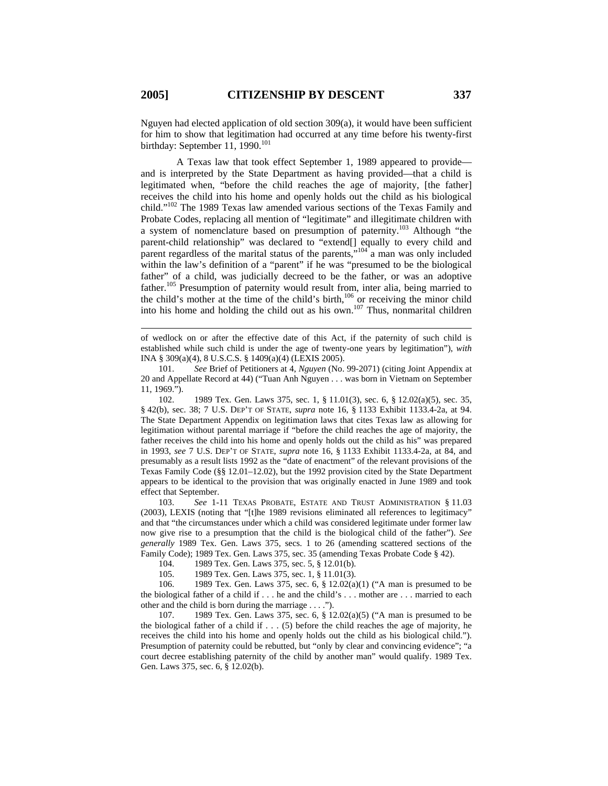Nguyen had elected application of old section  $309(a)$ , it would have been sufficient for him to show that legitimation had occurred at any time before his twenty-first birthday: September 11, 1990. $^{101}$ 

A Texas law that took effect September 1, 1989 appeared to provide and is interpreted by the State Department as having provided—that a child is legitimated when, "before the child reaches the age of majority, [the father] receives the child into his home and openly holds out the child as his biological child."102 The 1989 Texas law amended various sections of the Texas Family and Probate Codes, replacing all mention of "legitimate" and illegitimate children with a system of nomenclature based on presumption of paternity.103 Although "the parent-child relationship" was declared to "extend[] equally to every child and parent regardless of the marital status of the parents,"<sup>104</sup> a man was only included within the law's definition of a "parent" if he was "presumed to be the biological father" of a child, was judicially decreed to be the father, or was an adoptive father.<sup>105</sup> Presumption of paternity would result from, inter alia, being married to the child's mother at the time of the child's birth, $106$  or receiving the minor child into his home and holding the child out as his own.<sup>107</sup> Thus, nonmarital children

of wedlock on or after the effective date of this Act, if the paternity of such child is established while such child is under the age of twenty-one years by legitimation"), *with* INA § 309(a)(4), 8 U.S.C.S. § 1409(a)(4) (LEXIS 2005).

101. *See* Brief of Petitioners at 4, *Nguyen* (No. 99-2071) (citing Joint Appendix at 20 and Appellate Record at 44) ("Tuan Anh Nguyen . . . was born in Vietnam on September 11, 1969.").

102. 1989 Tex. Gen. Laws 375, sec. 1, § 11.01(3), sec. 6, § 12.02(a)(5), sec. 35, § 42(b), sec. 38; 7 U.S. DEP'T OF STATE, *supra* note 16, § 1133 Exhibit 1133.4-2a, at 94. The State Department Appendix on legitimation laws that cites Texas law as allowing for legitimation without parental marriage if "before the child reaches the age of majority, the father receives the child into his home and openly holds out the child as his" was prepared in 1993, *see* 7 U.S. DEP'T OF STATE, *supra* note 16, § 1133 Exhibit 1133.4-2a, at 84, and presumably as a result lists 1992 as the "date of enactment" of the relevant provisions of the Texas Family Code (§§ 12.01–12.02), but the 1992 provision cited by the State Department appears to be identical to the provision that was originally enacted in June 1989 and took effect that September.

103. *See* 1-11 TEXAS PROBATE, ESTATE AND TRUST ADMINISTRATION § 11.03 (2003), LEXIS (noting that "[t]he 1989 revisions eliminated all references to legitimacy" and that "the circumstances under which a child was considered legitimate under former law now give rise to a presumption that the child is the biological child of the father"). *See generally* 1989 Tex. Gen. Laws 375, secs. 1 to 26 (amending scattered sections of the Family Code); 1989 Tex. Gen. Laws 375, sec. 35 (amending Texas Probate Code § 42).

104. 1989 Tex. Gen. Laws 375, sec. 5, § 12.01(b).

105. 1989 Tex. Gen. Laws 375, sec. 1, § 11.01(3).

106. 1989 Tex. Gen. Laws 375, sec. 6, § 12.02(a)(1) ("A man is presumed to be the biological father of a child if . . . he and the child's . . . mother are . . . married to each other and the child is born during the marriage . . . .").

107. 1989 Tex. Gen. Laws 375, sec. 6, § 12.02(a)(5) ("A man is presumed to be the biological father of a child if  $\dots$  (5) before the child reaches the age of majority, he receives the child into his home and openly holds out the child as his biological child."). Presumption of paternity could be rebutted, but "only by clear and convincing evidence"; "a court decree establishing paternity of the child by another man" would qualify. 1989 Tex. Gen. Laws 375, sec. 6, § 12.02(b).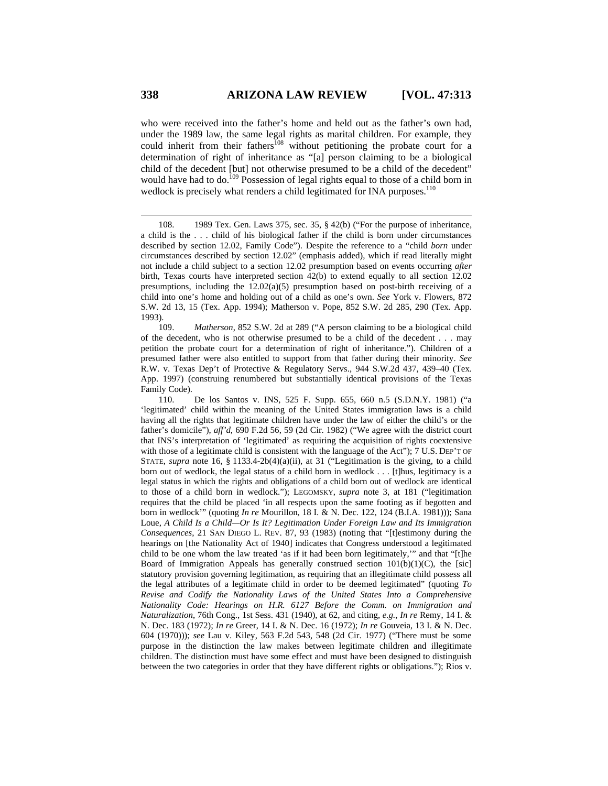who were received into the father's home and held out as the father's own had, under the 1989 law, the same legal rights as marital children. For example, they could inherit from their fathers<sup>108</sup> without petitioning the probate court for a determination of right of inheritance as "[a] person claiming to be a biological child of the decedent [but] not otherwise presumed to be a child of the decedent" would have had to do.<sup>109</sup> Possession of legal rights equal to those of a child born in wedlock is precisely what renders a child legitimated for INA purposes.<sup>110</sup>

109. *Matherson*, 852 S.W. 2d at 289 ("A person claiming to be a biological child of the decedent, who is not otherwise presumed to be a child of the decedent . . . may petition the probate court for a determination of right of inheritance."). Children of a presumed father were also entitled to support from that father during their minority. *See* R.W. v. Texas Dep't of Protective & Regulatory Servs., 944 S.W.2d 437, 439–40 (Tex. App. 1997) (construing renumbered but substantially identical provisions of the Texas Family Code).

110. De los Santos v. INS, 525 F. Supp. 655, 660 n.5 (S.D.N.Y. 1981) ("a 'legitimated' child within the meaning of the United States immigration laws is a child having all the rights that legitimate children have under the law of either the child's or the father's domicile"), *aff'd*, 690 F.2d 56, 59 (2d Cir. 1982) ("We agree with the district court that INS's interpretation of 'legitimated' as requiring the acquisition of rights coextensive with those of a legitimate child is consistent with the language of the Act"); 7 U.S. DEP'T OF STATE, *supra* note 16, § 1133.4-2b(4)(a)(ii), at 31 ("Legitimation is the giving, to a child born out of wedlock, the legal status of a child born in wedlock . . . [t]hus, legitimacy is a legal status in which the rights and obligations of a child born out of wedlock are identical to those of a child born in wedlock."); LEGOMSKY, *supra* note 3, at 181 ("legitimation requires that the child be placed 'in all respects upon the same footing as if begotten and born in wedlock'" (quoting *In re* Mourillon, 18 I. & N. Dec. 122, 124 (B.I.A. 1981))); Sana Loue, *A Child Is a Child—Or Is It? Legitimation Under Foreign Law and Its Immigration Consequences*, 21 SAN DIEGO L. REV. 87, 93 (1983) (noting that "[t]estimony during the hearings on [the Nationality Act of 1940] indicates that Congress understood a legitimated child to be one whom the law treated 'as if it had been born legitimately,'" and that "[t]he Board of Immigration Appeals has generally construed section  $101(b)(1)(C)$ , the [sic] statutory provision governing legitimation, as requiring that an illegitimate child possess all the legal attributes of a legitimate child in order to be deemed legitimated" (quoting *To Revise and Codify the Nationality Laws of the United States Into a Comprehensive Nationality Code: Hearings on H.R. 6127 Before the Comm. on Immigration and Naturalization*, 76th Cong., 1st Sess. 431 (1940), at 62, and citing, *e.g.*, *In re* Remy, 14 I. & N. Dec. 183 (1972); *In re* Greer, 14 I. & N. Dec. 16 (1972); *In re* Gouveia, 13 I. & N. Dec. 604 (1970))); *see* Lau v. Kiley, 563 F.2d 543, 548 (2d Cir. 1977) ("There must be some purpose in the distinction the law makes between legitimate children and illegitimate children. The distinction must have some effect and must have been designed to distinguish between the two categories in order that they have different rights or obligations."); Rios v.

<sup>108. 1989</sup> Tex. Gen. Laws 375, sec. 35, § 42(b) ("For the purpose of inheritance, a child is the . . . child of his biological father if the child is born under circumstances described by section 12.02, Family Code"). Despite the reference to a "child *born* under circumstances described by section 12.02" (emphasis added), which if read literally might not include a child subject to a section 12.02 presumption based on events occurring *after* birth, Texas courts have interpreted section 42(b) to extend equally to all section 12.02 presumptions, including the  $12.02(a)(5)$  presumption based on post-birth receiving of a child into one's home and holding out of a child as one's own. *See* York v. Flowers, 872 S.W. 2d 13, 15 (Tex. App. 1994); Matherson v. Pope, 852 S.W. 2d 285, 290 (Tex. App. 1993).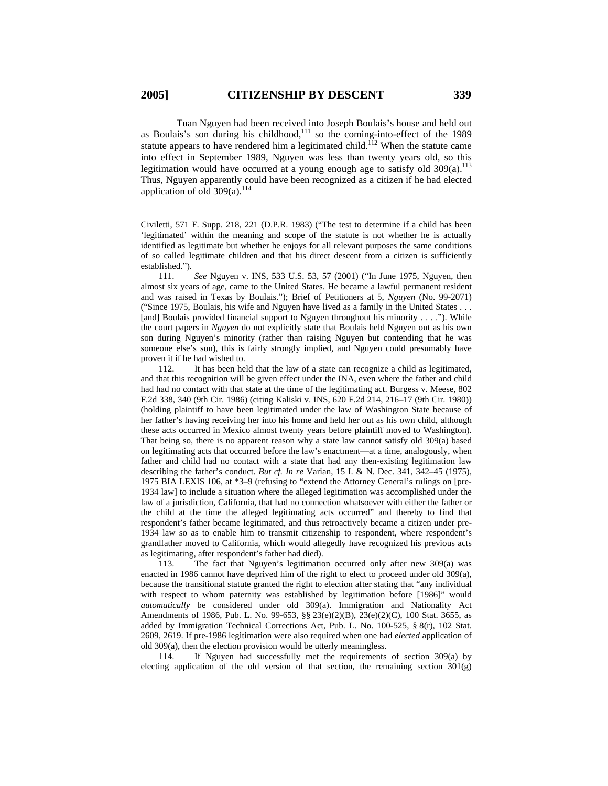Tuan Nguyen had been received into Joseph Boulais's house and held out as Boulais's son during his childhood, $111$  so the coming-into-effect of the 1989 statute appears to have rendered him a legitimated child.<sup> $112$ </sup> When the statute came into effect in September 1989, Nguyen was less than twenty years old, so this legitimation would have occurred at a young enough age to satisfy old  $309(a)$ .<sup>113</sup> Thus, Nguyen apparently could have been recognized as a citizen if he had elected application of old  $309(a)$ .<sup>114</sup>

 $\overline{a}$ 

111. *See* Nguyen v. INS, 533 U.S. 53, 57 (2001) ("In June 1975, Nguyen, then almost six years of age, came to the United States. He became a lawful permanent resident and was raised in Texas by Boulais."); Brief of Petitioners at 5, *Nguyen* (No. 99-2071) ("Since 1975, Boulais, his wife and Nguyen have lived as a family in the United States . . . [and] Boulais provided financial support to Nguyen throughout his minority . . . ."). While the court papers in *Nguyen* do not explicitly state that Boulais held Nguyen out as his own son during Nguyen's minority (rather than raising Nguyen but contending that he was someone else's son), this is fairly strongly implied, and Nguyen could presumably have proven it if he had wished to.

112. It has been held that the law of a state can recognize a child as legitimated, and that this recognition will be given effect under the INA, even where the father and child had had no contact with that state at the time of the legitimating act. Burgess v. Meese, 802 F.2d 338, 340 (9th Cir. 1986) (citing Kaliski v. INS, 620 F.2d 214, 216–17 (9th Cir. 1980)) (holding plaintiff to have been legitimated under the law of Washington State because of her father's having receiving her into his home and held her out as his own child, although these acts occurred in Mexico almost twenty years before plaintiff moved to Washington). That being so, there is no apparent reason why a state law cannot satisfy old 309(a) based on legitimating acts that occurred before the law's enactment—at a time, analogously, when father and child had no contact with a state that had any then-existing legitimation law describing the father's conduct. *But cf. In re* Varian, 15 I. & N. Dec. 341, 342–45 (1975), 1975 BIA LEXIS 106, at \*3–9 (refusing to "extend the Attorney General's rulings on [pre-1934 law] to include a situation where the alleged legitimation was accomplished under the law of a jurisdiction, California, that had no connection whatsoever with either the father or the child at the time the alleged legitimating acts occurred" and thereby to find that respondent's father became legitimated, and thus retroactively became a citizen under pre-1934 law so as to enable him to transmit citizenship to respondent, where respondent's grandfather moved to California, which would allegedly have recognized his previous acts as legitimating, after respondent's father had died).

113. The fact that Nguyen's legitimation occurred only after new 309(a) was enacted in 1986 cannot have deprived him of the right to elect to proceed under old 309(a), because the transitional statute granted the right to election after stating that "any individual with respect to whom paternity was established by legitimation before [1986]" would *automatically* be considered under old 309(a). Immigration and Nationality Act Amendments of 1986, Pub. L. No. 99-653, §§ 23(e)(2)(B), 23(e)(2)(C), 100 Stat. 3655, as added by Immigration Technical Corrections Act, Pub. L. No. 100-525, § 8(r), 102 Stat. 2609, 2619. If pre-1986 legitimation were also required when one had *elected* application of old 309(a), then the election provision would be utterly meaningless.

114. If Nguyen had successfully met the requirements of section 309(a) by electing application of the old version of that section, the remaining section 301(g)

Civiletti, 571 F. Supp. 218, 221 (D.P.R. 1983) ("The test to determine if a child has been 'legitimated' within the meaning and scope of the statute is not whether he is actually identified as legitimate but whether he enjoys for all relevant purposes the same conditions of so called legitimate children and that his direct descent from a citizen is sufficiently established.").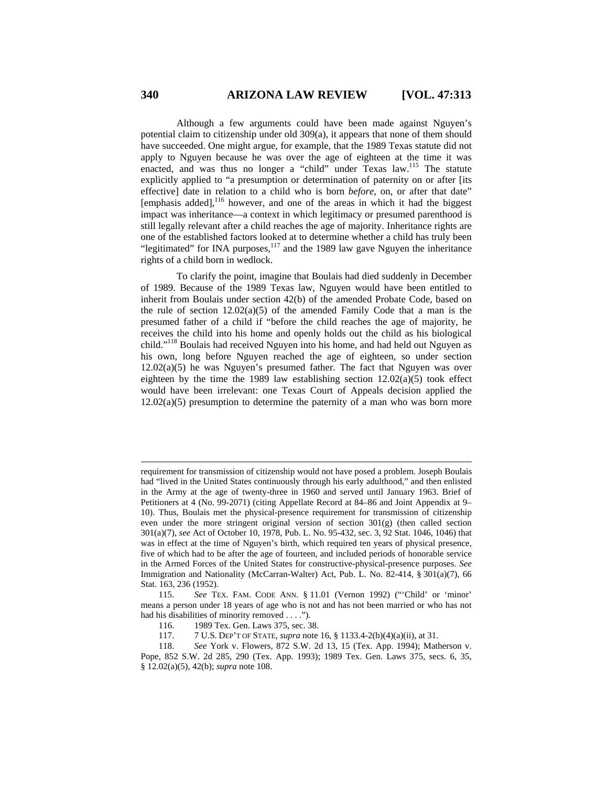Although a few arguments could have been made against Nguyen's potential claim to citizenship under old 309(a), it appears that none of them should have succeeded. One might argue, for example, that the 1989 Texas statute did not apply to Nguyen because he was over the age of eighteen at the time it was enacted, and was thus no longer a "child" under Texas law.<sup>115</sup> The statute explicitly applied to "a presumption or determination of paternity on or after [its effective] date in relation to a child who is born *before*, on, or after that date"  $[emphasis added]$ ,  $^{116}$  however, and one of the areas in which it had the biggest impact was inheritance—a context in which legitimacy or presumed parenthood is still legally relevant after a child reaches the age of majority. Inheritance rights are one of the established factors looked at to determine whether a child has truly been "legitimated" for INA purposes,  $117$  and the 1989 law gave Nguyen the inheritance rights of a child born in wedlock.

To clarify the point, imagine that Boulais had died suddenly in December of 1989. Because of the 1989 Texas law, Nguyen would have been entitled to inherit from Boulais under section 42(b) of the amended Probate Code, based on the rule of section  $12.02(a)(5)$  of the amended Family Code that a man is the presumed father of a child if "before the child reaches the age of majority, he receives the child into his home and openly holds out the child as his biological child."118 Boulais had received Nguyen into his home, and had held out Nguyen as his own, long before Nguyen reached the age of eighteen, so under section 12.02(a)(5) he was Nguyen's presumed father. The fact that Nguyen was over eighteen by the time the 1989 law establishing section  $12.02(a)(5)$  took effect would have been irrelevant: one Texas Court of Appeals decision applied the  $12.02(a)(5)$  presumption to determine the paternity of a man who was born more

requirement for transmission of citizenship would not have posed a problem. Joseph Boulais had "lived in the United States continuously through his early adulthood," and then enlisted in the Army at the age of twenty-three in 1960 and served until January 1963. Brief of Petitioners at 4 (No. 99-2071) (citing Appellate Record at 84–86 and Joint Appendix at 9– 10). Thus, Boulais met the physical-presence requirement for transmission of citizenship even under the more stringent original version of section 301(g) (then called section 301(a)(7), *see* Act of October 10, 1978, Pub. L. No. 95-432, sec. 3, 92 Stat. 1046, 1046) that was in effect at the time of Nguyen's birth, which required ten years of physical presence, five of which had to be after the age of fourteen, and included periods of honorable service in the Armed Forces of the United States for constructive-physical-presence purposes. *See*  Immigration and Nationality (McCarran-Walter) Act, Pub. L. No. 82-414, § 301(a)(7), 66 Stat. 163, 236 (1952).

<sup>115.</sup> *See* TEX. FAM. CODE ANN. § 11.01 (Vernon 1992) ("'Child' or 'minor' means a person under 18 years of age who is not and has not been married or who has not had his disabilities of minority removed . . . .").

<sup>116. 1989</sup> Tex. Gen. Laws 375, sec. 38.

<sup>117. 7</sup> U.S. DEP'T OF STATE, *supra* note 16, § 1133.4-2(b)(4)(a)(ii), at 31.

<sup>118.</sup> *See* York v. Flowers, 872 S.W. 2d 13, 15 (Tex. App. 1994); Matherson v. Pope, 852 S.W. 2d 285, 290 (Tex. App. 1993); 1989 Tex. Gen. Laws 375, secs. 6, 35, § 12.02(a)(5), 42(b); *supra* note 108.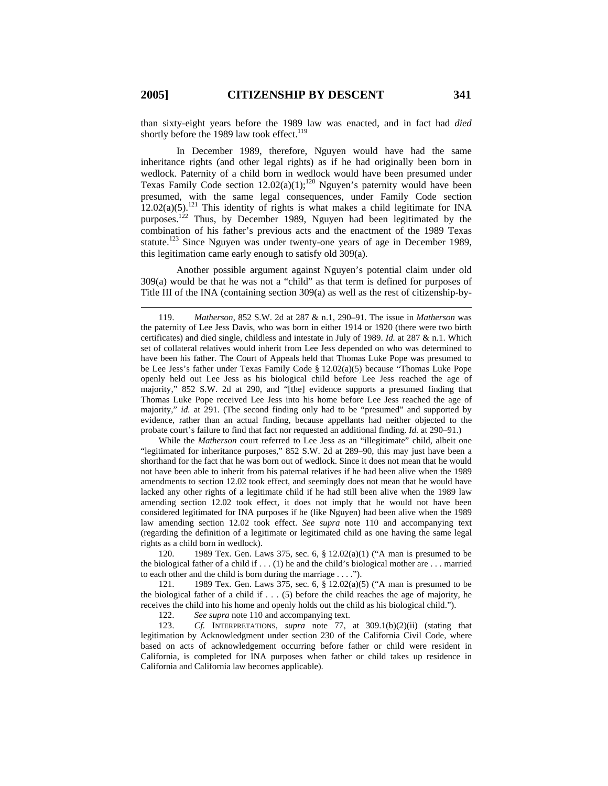than sixty-eight years before the 1989 law was enacted, and in fact had *died* shortly before the 1989 law took effect. $119$ 

In December 1989, therefore, Nguyen would have had the same inheritance rights (and other legal rights) as if he had originally been born in wedlock. Paternity of a child born in wedlock would have been presumed under Texas Family Code section  $12.02(a)(1)$ ;<sup>120</sup> Nguyen's paternity would have been presumed, with the same legal consequences, under Family Code section  $12.02(a)(5)$ .<sup>121</sup> This identity of rights is what makes a child legitimate for INA purposes.<sup>122</sup> Thus, by December 1989, Nguyen had been legitimated by the combination of his father's previous acts and the enactment of the 1989 Texas statute.<sup>123</sup> Since Nguyen was under twenty-one years of age in December 1989, this legitimation came early enough to satisfy old 309(a).

Another possible argument against Nguyen's potential claim under old 309(a) would be that he was not a "child" as that term is defined for purposes of Title III of the INA (containing section 309(a) as well as the rest of citizenship-by-

While the *Matherson* court referred to Lee Jess as an "illegitimate" child, albeit one "legitimated for inheritance purposes," 852 S.W. 2d at 289–90, this may just have been a shorthand for the fact that he was born out of wedlock. Since it does not mean that he would not have been able to inherit from his paternal relatives if he had been alive when the 1989 amendments to section 12.02 took effect, and seemingly does not mean that he would have lacked any other rights of a legitimate child if he had still been alive when the 1989 law amending section 12.02 took effect, it does not imply that he would not have been considered legitimated for INA purposes if he (like Nguyen) had been alive when the 1989 law amending section 12.02 took effect. *See supra* note 110 and accompanying text (regarding the definition of a legitimate or legitimated child as one having the same legal rights as a child born in wedlock).

120. 1989 Tex. Gen. Laws 375, sec. 6, § 12.02(a)(1) ("A man is presumed to be the biological father of a child if . . . (1) he and the child's biological mother are . . . married to each other and the child is born during the marriage . . . .").

121. 1989 Tex. Gen. Laws 375, sec. 6, § 12.02(a)(5) ("A man is presumed to be the biological father of a child if  $\dots$  (5) before the child reaches the age of majority, he receives the child into his home and openly holds out the child as his biological child.").

122. *See supra* note 110 and accompanying text.

123. *Cf.* INTERPRETATIONS, *supra* note 77, at 309.1(b)(2)(ii) (stating that legitimation by Acknowledgment under section 230 of the California Civil Code, where based on acts of acknowledgement occurring before father or child were resident in California, is completed for INA purposes when father or child takes up residence in California and California law becomes applicable).

<sup>119.</sup> *Matherson*, 852 S.W. 2d at 287 & n.1, 290–91. The issue in *Matherson* was the paternity of Lee Jess Davis, who was born in either 1914 or 1920 (there were two birth certificates) and died single, childless and intestate in July of 1989. *Id.* at 287 & n.1. Which set of collateral relatives would inherit from Lee Jess depended on who was determined to have been his father. The Court of Appeals held that Thomas Luke Pope was presumed to be Lee Jess's father under Texas Family Code § 12.02(a)(5) because "Thomas Luke Pope openly held out Lee Jess as his biological child before Lee Jess reached the age of majority," 852 S.W. 2d at 290, and "[the] evidence supports a presumed finding that Thomas Luke Pope received Lee Jess into his home before Lee Jess reached the age of majority," *id.* at 291. (The second finding only had to be "presumed" and supported by evidence, rather than an actual finding, because appellants had neither objected to the probate court's failure to find that fact nor requested an additional finding. *Id.* at 290–91.)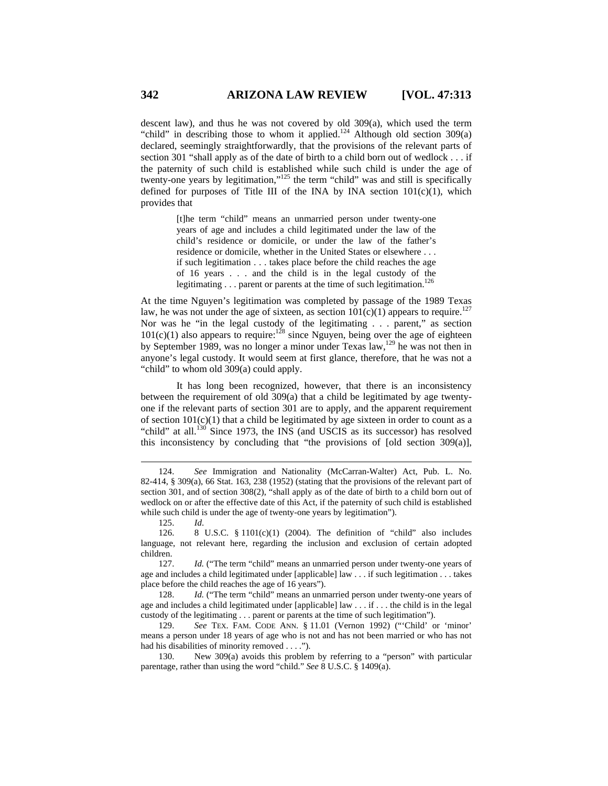descent law), and thus he was not covered by old 309(a), which used the term "child" in describing those to whom it applied.<sup>124</sup> Although old section  $309(a)$ declared, seemingly straightforwardly, that the provisions of the relevant parts of section 301 "shall apply as of the date of birth to a child born out of wedlock . . . if the paternity of such child is established while such child is under the age of twenty-one years by legitimation,"125 the term "child" was and still is specifically defined for purposes of Title III of the INA by INA section  $101(c)(1)$ , which provides that

> [t]he term "child" means an unmarried person under twenty-one years of age and includes a child legitimated under the law of the child's residence or domicile, or under the law of the father's residence or domicile, whether in the United States or elsewhere . . . if such legitimation . . . takes place before the child reaches the age of 16 years . . . and the child is in the legal custody of the legitimating  $\ldots$  parent or parents at the time of such legitimation.<sup>126</sup>

At the time Nguyen's legitimation was completed by passage of the 1989 Texas law, he was not under the age of sixteen, as section  $101(c)(1)$  appears to require.<sup>127</sup> Nor was he "in the legal custody of the legitimating . . . parent," as section  $101(c)(1)$  also appears to require:<sup>128</sup> since Nguyen, being over the age of eighteen by September 1989, was no longer a minor under Texas law,<sup>129</sup> he was not then in anyone's legal custody. It would seem at first glance, therefore, that he was not a "child" to whom old 309(a) could apply.

It has long been recognized, however, that there is an inconsistency between the requirement of old 309(a) that a child be legitimated by age twentyone if the relevant parts of section 301 are to apply, and the apparent requirement of section  $101(c)(1)$  that a child be legitimated by age sixteen in order to count as a "child" at all.<sup>130</sup> Since 1973, the INS (and USCIS as its successor) has resolved this inconsistency by concluding that "the provisions of [old section 309(a)],

125. *Id*.

 $\overline{a}$ 

128. *Id.* ("The term "child" means an unmarried person under twenty-one years of age and includes a child legitimated under [applicable] law . . . if . . . the child is in the legal custody of the legitimating . . . parent or parents at the time of such legitimation").

129. *See* TEX. FAM. CODE ANN. § 11.01 (Vernon 1992) ("'Child' or 'minor' means a person under 18 years of age who is not and has not been married or who has not had his disabilities of minority removed . . . .").

130. New 309(a) avoids this problem by referring to a "person" with particular parentage, rather than using the word "child." *See* 8 U.S.C. § 1409(a).

<sup>124.</sup> *See* Immigration and Nationality (McCarran-Walter) Act, Pub. L. No. 82-414, § 309(a), 66 Stat. 163, 238 (1952) (stating that the provisions of the relevant part of section 301, and of section 308(2), "shall apply as of the date of birth to a child born out of wedlock on or after the effective date of this Act, if the paternity of such child is established while such child is under the age of twenty-one years by legitimation").

<sup>126. 8</sup> U.S.C. § 1101(c)(1) (2004). The definition of "child" also includes language, not relevant here, regarding the inclusion and exclusion of certain adopted children.

<sup>127.</sup> *Id.* ("The term "child" means an unmarried person under twenty-one years of age and includes a child legitimated under [applicable] law . . . if such legitimation . . . takes place before the child reaches the age of 16 years").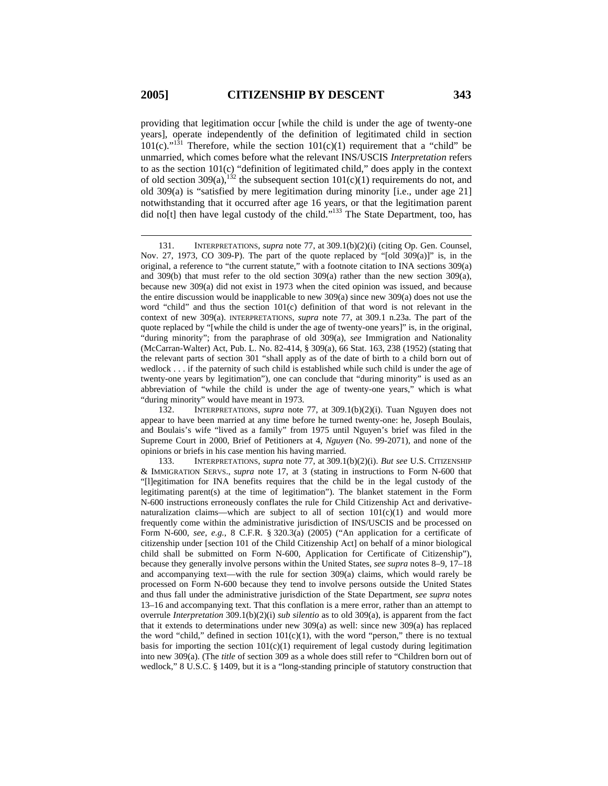providing that legitimation occur [while the child is under the age of twenty-one years], operate independently of the definition of legitimated child in section 101(c)."<sup>131</sup> Therefore, while the section 101(c)(1) requirement that a "child" be unmarried, which comes before what the relevant INS/USCIS *Interpretation* refers to as the section 101(c) "definition of legitimated child," does apply in the context of old section 309(a),<sup>132</sup> the subsequent section  $101(c)(1)$  requirements do not, and old 309(a) is "satisfied by mere legitimation during minority [i.e., under age 21] notwithstanding that it occurred after age 16 years, or that the legitimation parent did no[t] then have legal custody of the child."<sup>133</sup> The State Department, too, has

132. INTERPRETATIONS, *supra* note 77, at 309.1(b)(2)(i). Tuan Nguyen does not appear to have been married at any time before he turned twenty-one: he, Joseph Boulais, and Boulais's wife "lived as a family" from 1975 until Nguyen's brief was filed in the Supreme Court in 2000, Brief of Petitioners at 4, *Nguyen* (No. 99-2071), and none of the opinions or briefs in his case mention his having married.

133. INTERPRETATIONS, *supra* note 77, at 309.1(b)(2)(i). *But see* U.S. CITIZENSHIP & IMMIGRATION SERVS., *supra* note 17, at 3 (stating in instructions to Form N-600 that "[l]egitimation for INA benefits requires that the child be in the legal custody of the legitimating parent(s) at the time of legitimation"). The blanket statement in the Form N-600 instructions erroneously conflates the rule for Child Citizenship Act and derivativenaturalization claims—which are subject to all of section  $101(c)(1)$  and would more frequently come within the administrative jurisdiction of INS/USCIS and be processed on Form N-600, *see*, *e.g.*, 8 C.F.R. § 320.3(a) (2005) ("An application for a certificate of citizenship under [section 101 of the Child Citizenship Act] on behalf of a minor biological child shall be submitted on Form N-600, Application for Certificate of Citizenship"), because they generally involve persons within the United States, *see supra* notes 8–9, 17–18 and accompanying text—with the rule for section 309(a) claims, which would rarely be processed on Form N-600 because they tend to involve persons outside the United States and thus fall under the administrative jurisdiction of the State Department, *see supra* notes 13–16 and accompanying text. That this conflation is a mere error, rather than an attempt to overrule *Interpretation* 309.1(b)(2)(i) *sub silentio* as to old 309(a), is apparent from the fact that it extends to determinations under new 309(a) as well: since new 309(a) has replaced the word "child," defined in section  $101(c)(1)$ , with the word "person," there is no textual basis for importing the section  $101(c)(1)$  requirement of legal custody during legitimation into new 309(a). (The *title* of section 309 as a whole does still refer to "Children born out of wedlock," 8 U.S.C. § 1409, but it is a "long-standing principle of statutory construction that

<sup>131.</sup> INTERPRETATIONS, *supra* note 77, at 309.1(b)(2)(i) (citing Op. Gen. Counsel, Nov. 27, 1973, CO 309-P). The part of the quote replaced by "[old 309(a)]" is, in the original, a reference to "the current statute," with a footnote citation to INA sections 309(a) and 309(b) that must refer to the old section 309(a) rather than the new section 309(a), because new 309(a) did not exist in 1973 when the cited opinion was issued, and because the entire discussion would be inapplicable to new 309(a) since new 309(a) does not use the word "child" and thus the section 101(c) definition of that word is not relevant in the context of new 309(a). INTERPRETATIONS, *supra* note 77, at 309.1 n.23a. The part of the quote replaced by "[while the child is under the age of twenty-one years]" is, in the original, "during minority"; from the paraphrase of old 309(a), *see* Immigration and Nationality (McCarran-Walter) Act, Pub. L. No. 82-414, § 309(a), 66 Stat. 163, 238 (1952) (stating that the relevant parts of section 301 "shall apply as of the date of birth to a child born out of wedlock . . . if the paternity of such child is established while such child is under the age of twenty-one years by legitimation"), one can conclude that "during minority" is used as an abbreviation of "while the child is under the age of twenty-one years," which is what "during minority" would have meant in 1973.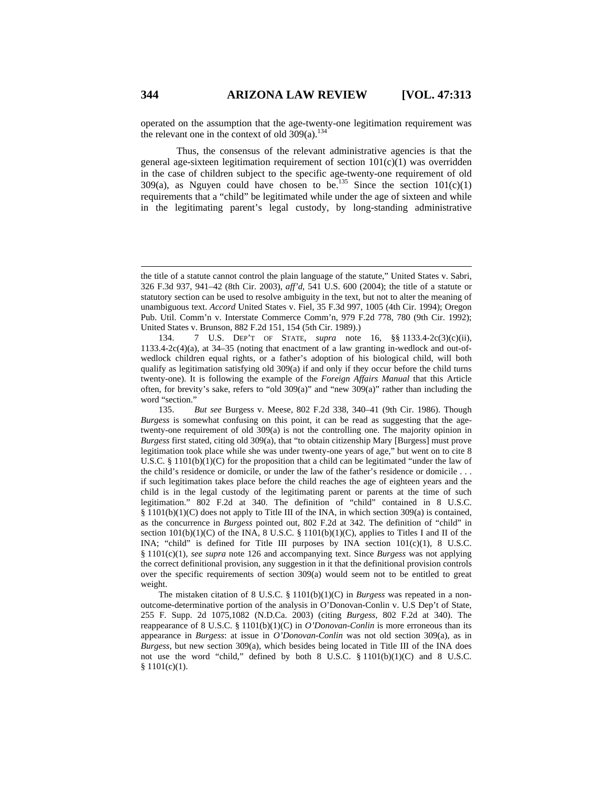operated on the assumption that the age-twenty-one legitimation requirement was the relevant one in the context of old  $309(a)$ .<sup>134</sup>

Thus, the consensus of the relevant administrative agencies is that the general age-sixteen legitimation requirement of section  $101(c)(1)$  was overridden in the case of children subject to the specific age-twenty-one requirement of old 309(a), as Nguyen could have chosen to be.<sup>135</sup> Since the section  $101(c)(1)$ requirements that a "child" be legitimated while under the age of sixteen and while in the legitimating parent's legal custody, by long-standing administrative

the title of a statute cannot control the plain language of the statute," United States v. Sabri, 326 F.3d 937, 941–42 (8th Cir. 2003), *aff'd*, 541 U.S. 600 (2004); the title of a statute or statutory section can be used to resolve ambiguity in the text, but not to alter the meaning of unambiguous text. *Accord* United States v. Fiel, 35 F.3d 997, 1005 (4th Cir. 1994); Oregon Pub. Util. Comm'n v. Interstate Commerce Comm'n, 979 F.2d 778, 780 (9th Cir. 1992); United States v. Brunson, 882 F.2d 151, 154 (5th Cir. 1989).)

<sup>134. 7</sup> U.S. DEP'T OF STATE, *supra* note 16, §§ 1133.4-2c(3)(c)(ii), 1133.4-2c(4)(a), at 34–35 (noting that enactment of a law granting in-wedlock and out-ofwedlock children equal rights, or a father's adoption of his biological child, will both qualify as legitimation satisfying old 309(a) if and only if they occur before the child turns twenty-one). It is following the example of the *Foreign Affairs Manual* that this Article often, for brevity's sake, refers to "old 309(a)" and "new 309(a)" rather than including the word "section."<br>135.

<sup>135.</sup> *But see* Burgess v. Meese, 802 F.2d 338, 340–41 (9th Cir. 1986). Though *Burgess* is somewhat confusing on this point, it can be read as suggesting that the agetwenty-one requirement of old 309(a) is not the controlling one. The majority opinion in *Burgess* first stated, citing old 309(a), that "to obtain citizenship Mary [Burgess] must prove legitimation took place while she was under twenty-one years of age," but went on to cite 8 U.S.C. § 1101(b)(1)(C) for the proposition that a child can be legitimated "under the law of the child's residence or domicile, or under the law of the father's residence or domicile . . . if such legitimation takes place before the child reaches the age of eighteen years and the child is in the legal custody of the legitimating parent or parents at the time of such legitimation." 802 F.2d at 340. The definition of "child" contained in 8 U.S.C.  $§ 1101(b)(1)(C)$  does not apply to Title III of the INA, in which section 309(a) is contained, as the concurrence in *Burgess* pointed out, 802 F.2d at 342. The definition of "child" in section  $101(b)(1)(C)$  of the INA, 8 U.S.C. §  $1101(b)(1)(C)$ , applies to Titles I and II of the INA; "child" is defined for Title III purposes by INA section  $101(c)(1)$ , 8 U.S.C. § 1101(c)(1), *see supra* note 126 and accompanying text. Since *Burgess* was not applying the correct definitional provision, any suggestion in it that the definitional provision controls over the specific requirements of section 309(a) would seem not to be entitled to great weight.

The mistaken citation of 8 U.S.C. § 1101(b)(1)(C) in *Burgess* was repeated in a nonoutcome-determinative portion of the analysis in O'Donovan-Conlin v. U.S Dep't of State, 255 F. Supp. 2d 1075,1082 (N.D.Ca. 2003) (citing *Burgess*, 802 F.2d at 340). The reappearance of 8 U.S.C. § 1101(b)(1)(C) in *O'Donovan-Conlin* is more erroneous than its appearance in *Burgess*: at issue in *O'Donovan-Conlin* was not old section 309(a), as in *Burgess*, but new section 309(a), which besides being located in Title III of the INA does not use the word "child," defined by both 8 U.S.C.  $\S 1101(b)(1)(C)$  and 8 U.S.C.  $$1101(c)(1).$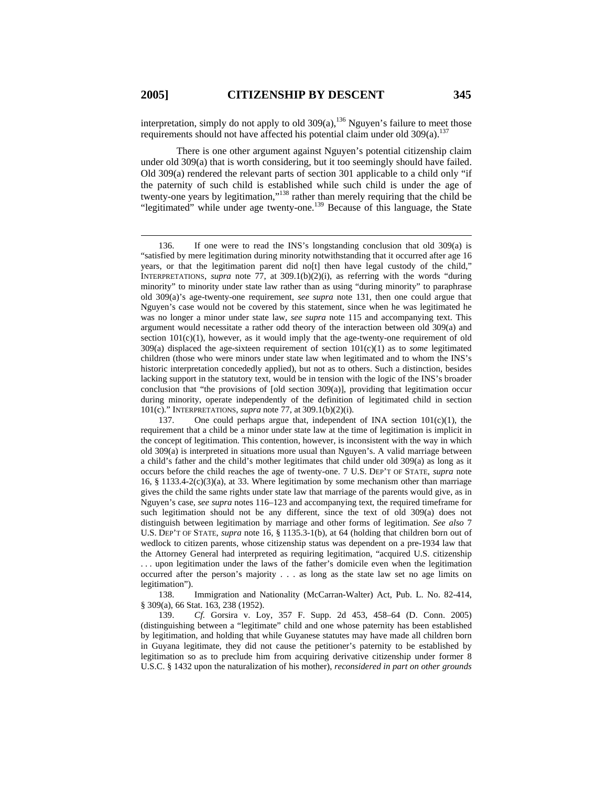interpretation, simply do not apply to old  $309(a)$ ,<sup>136</sup> Nguyen's failure to meet those requirements should not have affected his potential claim under old  $309(a)$ .<sup>137</sup>

There is one other argument against Nguyen's potential citizenship claim under old 309(a) that is worth considering, but it too seemingly should have failed. Old 309(a) rendered the relevant parts of section 301 applicable to a child only "if the paternity of such child is established while such child is under the age of twenty-one years by legitimation,"138 rather than merely requiring that the child be "legitimated" while under age twenty-one.<sup>139</sup> Because of this language, the State

138. Immigration and Nationality (McCarran-Walter) Act, Pub. L. No. 82-414, § 309(a), 66 Stat. 163, 238 (1952).

139. *Cf.* Gorsira v. Loy, 357 F. Supp. 2d 453, 458–64 (D. Conn. 2005) (distinguishing between a "legitimate" child and one whose paternity has been established by legitimation, and holding that while Guyanese statutes may have made all children born in Guyana legitimate, they did not cause the petitioner's paternity to be established by legitimation so as to preclude him from acquiring derivative citizenship under former 8 U.S.C. § 1432 upon the naturalization of his mother), *reconsidered in part on other grounds* 

<sup>136.</sup> If one were to read the INS's longstanding conclusion that old 309(a) is "satisfied by mere legitimation during minority notwithstanding that it occurred after age 16 years, or that the legitimation parent did no[t] then have legal custody of the child," INTERPRETATIONS, *supra* note 77, at 309.1(b)(2)(i), as referring with the words "during minority" to minority under state law rather than as using "during minority" to paraphrase old 309(a)'s age-twenty-one requirement, *see supra* note 131, then one could argue that Nguyen's case would not be covered by this statement, since when he was legitimated he was no longer a minor under state law, *see supra* note 115 and accompanying text. This argument would necessitate a rather odd theory of the interaction between old 309(a) and section  $101(c)(1)$ , however, as it would imply that the age-twenty-one requirement of old  $309(a)$  displaced the age-sixteen requirement of section  $101(c)(1)$  as to *some* legitimated children (those who were minors under state law when legitimated and to whom the INS's historic interpretation concededly applied), but not as to others. Such a distinction, besides lacking support in the statutory text, would be in tension with the logic of the INS's broader conclusion that "the provisions of [old section 309(a)], providing that legitimation occur during minority, operate independently of the definition of legitimated child in section 101(c)." INTERPRETATIONS, *supra* note 77, at 309.1(b)(2)(i).

<sup>137.</sup> One could perhaps argue that, independent of INA section 101(c)(1), the requirement that a child be a minor under state law at the time of legitimation is implicit in the concept of legitimation. This contention, however, is inconsistent with the way in which old 309(a) is interpreted in situations more usual than Nguyen's. A valid marriage between a child's father and the child's mother legitimates that child under old 309(a) as long as it occurs before the child reaches the age of twenty-one. 7 U.S. DEP'T OF STATE, *supra* note 16, § 1133.4-2(c)(3)(a), at 33. Where legitimation by some mechanism other than marriage gives the child the same rights under state law that marriage of the parents would give, as in Nguyen's case, *see supra* notes 116–123 and accompanying text, the required timeframe for such legitimation should not be any different, since the text of old 309(a) does not distinguish between legitimation by marriage and other forms of legitimation. *See also* 7 U.S. DEP'T OF STATE, *supra* note 16, § 1135.3-1(b), at 64 (holding that children born out of wedlock to citizen parents, whose citizenship status was dependent on a pre-1934 law that the Attorney General had interpreted as requiring legitimation, "acquired U.S. citizenship . . . upon legitimation under the laws of the father's domicile even when the legitimation occurred after the person's majority . . . as long as the state law set no age limits on legitimation").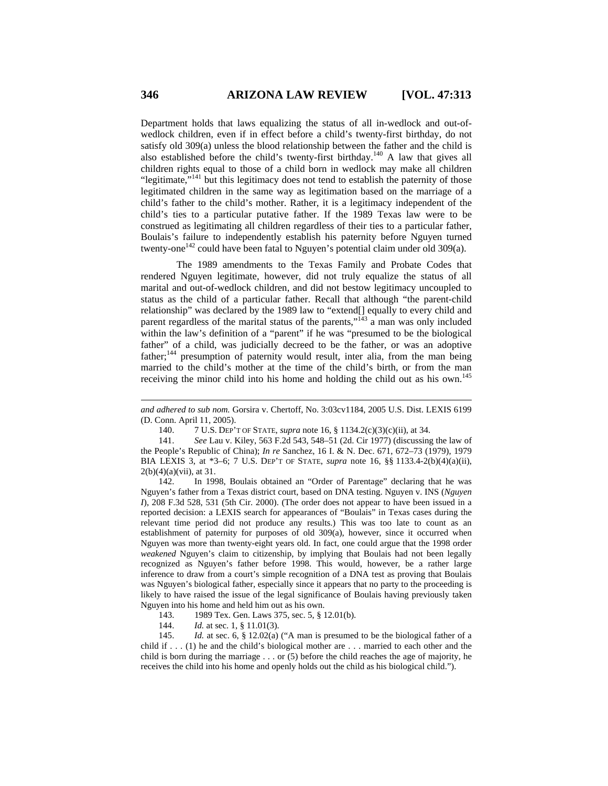Department holds that laws equalizing the status of all in-wedlock and out-ofwedlock children, even if in effect before a child's twenty-first birthday, do not satisfy old 309(a) unless the blood relationship between the father and the child is also established before the child's twenty-first birthday.140 A law that gives all children rights equal to those of a child born in wedlock may make all children "legitimate,"<sup>141</sup> but this legitimacy does not tend to establish the paternity of those legitimated children in the same way as legitimation based on the marriage of a child's father to the child's mother. Rather, it is a legitimacy independent of the child's ties to a particular putative father. If the 1989 Texas law were to be construed as legitimating all children regardless of their ties to a particular father, Boulais's failure to independently establish his paternity before Nguyen turned twenty-one<sup>142</sup> could have been fatal to Nguyen's potential claim under old 309(a).

The 1989 amendments to the Texas Family and Probate Codes that rendered Nguyen legitimate, however, did not truly equalize the status of all marital and out-of-wedlock children, and did not bestow legitimacy uncoupled to status as the child of a particular father. Recall that although "the parent-child relationship" was declared by the 1989 law to "extend[] equally to every child and parent regardless of the marital status of the parents,"<sup>143</sup> a man was only included within the law's definition of a "parent" if he was "presumed to be the biological father" of a child, was judicially decreed to be the father, or was an adoptive father;<sup>144</sup> presumption of paternity would result, inter alia, from the man being married to the child's mother at the time of the child's birth, or from the man receiving the minor child into his home and holding the child out as his own.<sup>145</sup>

142. In 1998, Boulais obtained an "Order of Parentage" declaring that he was Nguyen's father from a Texas district court, based on DNA testing. Nguyen v. INS (*Nguyen I*), 208 F.3d 528, 531 (5th Cir. 2000). (The order does not appear to have been issued in a reported decision: a LEXIS search for appearances of "Boulais" in Texas cases during the relevant time period did not produce any results.) This was too late to count as an establishment of paternity for purposes of old 309(a), however, since it occurred when Nguyen was more than twenty-eight years old. In fact, one could argue that the 1998 order *weakened* Nguyen's claim to citizenship, by implying that Boulais had not been legally recognized as Nguyen's father before 1998. This would, however, be a rather large inference to draw from a court's simple recognition of a DNA test as proving that Boulais was Nguyen's biological father, especially since it appears that no party to the proceeding is likely to have raised the issue of the legal significance of Boulais having previously taken Nguyen into his home and held him out as his own.

*and adhered to sub nom.* Gorsira v. Chertoff, No. 3:03cv1184, 2005 U.S. Dist. LEXIS 6199 (D. Conn. April 11, 2005).

<sup>140. 7</sup> U.S. DEP'T OF STATE, *supra* note 16, § 1134.2(c)(3)(c)(ii), at 34.

<sup>141.</sup> *See* Lau v. Kiley, 563 F.2d 543, 548–51 (2d. Cir 1977) (discussing the law of the People's Republic of China); *In re* Sanchez, 16 I. & N. Dec. 671, 672–73 (1979), 1979 BIA LEXIS 3, at \*3–6; 7 U.S. DEP'T OF STATE, *supra* note 16, §§ 1133.4-2(b)(4)(a)(ii),  $2(b)(4)(a)(vii)$ , at 31.

<sup>143. 1989</sup> Tex. Gen. Laws 375, sec. 5, § 12.01(b).

<sup>144.</sup> *Id.* at sec. 1, § 11.01(3).

<sup>145.</sup> *Id.* at sec. 6, § 12.02(a) ("A man is presumed to be the biological father of a child if . . . (1) he and the child's biological mother are . . . married to each other and the child is born during the marriage . . . or (5) before the child reaches the age of majority, he receives the child into his home and openly holds out the child as his biological child.").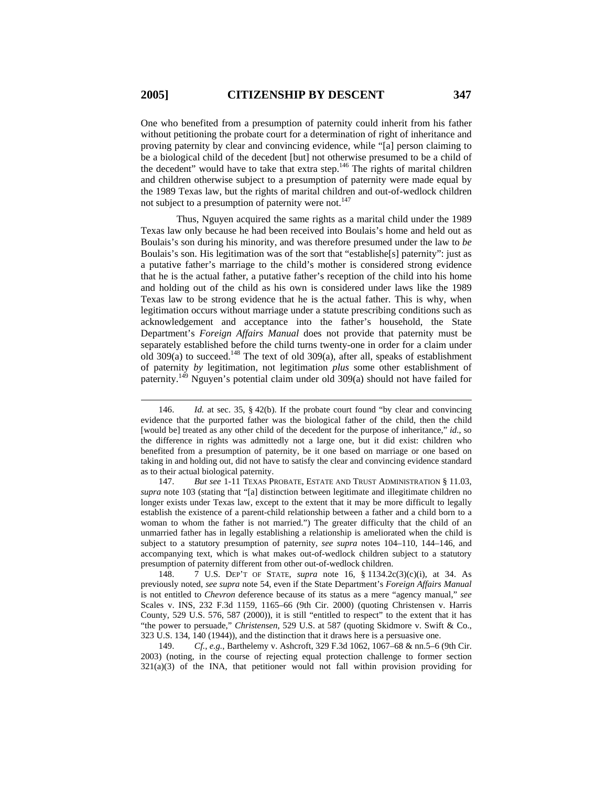One who benefited from a presumption of paternity could inherit from his father without petitioning the probate court for a determination of right of inheritance and proving paternity by clear and convincing evidence, while "[a] person claiming to be a biological child of the decedent [but] not otherwise presumed to be a child of the decedent" would have to take that extra step.<sup>146</sup> The rights of marital children and children otherwise subject to a presumption of paternity were made equal by the 1989 Texas law, but the rights of marital children and out-of-wedlock children not subject to a presumption of paternity were not.<sup>147</sup>

Thus, Nguyen acquired the same rights as a marital child under the 1989 Texas law only because he had been received into Boulais's home and held out as Boulais's son during his minority, and was therefore presumed under the law to *be* Boulais's son. His legitimation was of the sort that "establishe[s] paternity": just as a putative father's marriage to the child's mother is considered strong evidence that he is the actual father, a putative father's reception of the child into his home and holding out of the child as his own is considered under laws like the 1989 Texas law to be strong evidence that he is the actual father. This is why, when legitimation occurs without marriage under a statute prescribing conditions such as acknowledgement and acceptance into the father's household, the State Department's *Foreign Affairs Manual* does not provide that paternity must be separately established before the child turns twenty-one in order for a claim under old 309(a) to succeed.<sup>148</sup> The text of old 309(a), after all, speaks of establishment of paternity *by* legitimation, not legitimation *plus* some other establishment of paternity.149 Nguyen's potential claim under old 309(a) should not have failed for

<sup>146.</sup> *Id.* at sec. 35, § 42(b). If the probate court found "by clear and convincing evidence that the purported father was the biological father of the child, then the child [would be] treated as any other child of the decedent for the purpose of inheritance," *id*., so the difference in rights was admittedly not a large one, but it did exist: children who benefited from a presumption of paternity, be it one based on marriage or one based on taking in and holding out, did not have to satisfy the clear and convincing evidence standard as to their actual biological paternity.

<sup>147.</sup> *But see* 1-11 TEXAS PROBATE, ESTATE AND TRUST ADMINISTRATION § 11.03, *supra* note 103 (stating that "[a] distinction between legitimate and illegitimate children no longer exists under Texas law, except to the extent that it may be more difficult to legally establish the existence of a parent-child relationship between a father and a child born to a woman to whom the father is not married.") The greater difficulty that the child of an unmarried father has in legally establishing a relationship is ameliorated when the child is subject to a statutory presumption of paternity, *see supra* notes 104–110, 144–146, and accompanying text, which is what makes out-of-wedlock children subject to a statutory presumption of paternity different from other out-of-wedlock children.

<sup>148. 7</sup> U.S. DEP'T OF STATE, *supra* note 16, § 1134.2c(3)(c)(i), at 34. As previously noted, *see supra* note 54, even if the State Department's *Foreign Affairs Manual* is not entitled to *Chevron* deference because of its status as a mere "agency manual," *see*  Scales v. INS, 232 F.3d 1159, 1165–66 (9th Cir. 2000) (quoting Christensen v. Harris County, 529 U.S. 576, 587 (2000)), it is still "entitled to respect" to the extent that it has "the power to persuade," *Christensen*, 529 U.S. at 587 (quoting Skidmore v. Swift & Co., 323 U.S. 134, 140 (1944)), and the distinction that it draws here is a persuasive one.

<sup>149.</sup> *Cf.*, *e.g.*, Barthelemy v. Ashcroft, 329 F.3d 1062, 1067–68 & nn.5–6 (9th Cir. 2003) (noting, in the course of rejecting equal protection challenge to former section 321(a)(3) of the INA, that petitioner would not fall within provision providing for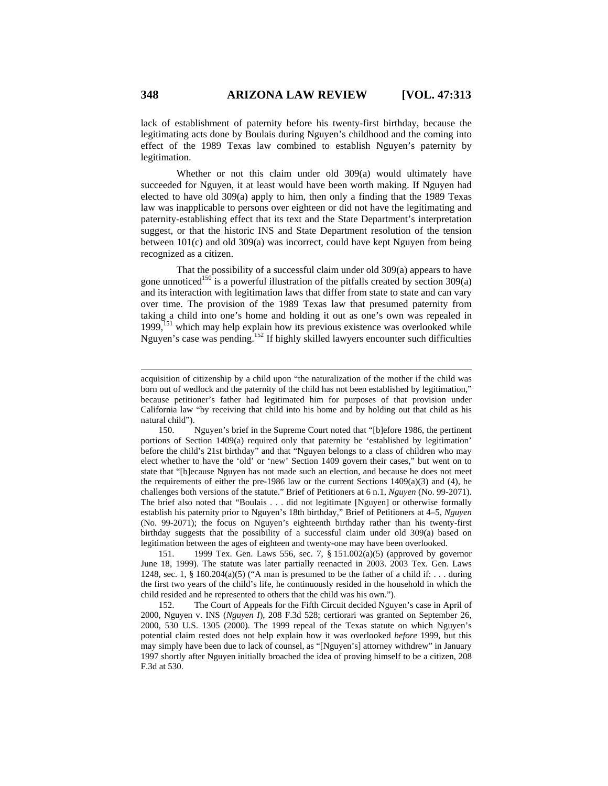lack of establishment of paternity before his twenty-first birthday, because the legitimating acts done by Boulais during Nguyen's childhood and the coming into effect of the 1989 Texas law combined to establish Nguyen's paternity by legitimation.

Whether or not this claim under old 309(a) would ultimately have succeeded for Nguyen, it at least would have been worth making. If Nguyen had elected to have old 309(a) apply to him, then only a finding that the 1989 Texas law was inapplicable to persons over eighteen or did not have the legitimating and paternity-establishing effect that its text and the State Department's interpretation suggest, or that the historic INS and State Department resolution of the tension between 101(c) and old 309(a) was incorrect, could have kept Nguyen from being recognized as a citizen.

That the possibility of a successful claim under old 309(a) appears to have gone unnoticed<sup>150</sup> is a powerful illustration of the pitfalls created by section 309(a) and its interaction with legitimation laws that differ from state to state and can vary over time. The provision of the 1989 Texas law that presumed paternity from taking a child into one's home and holding it out as one's own was repealed in 1999,<sup>151</sup> which may help explain how its previous existence was overlooked while Nguyen's case was pending.152 If highly skilled lawyers encounter such difficulties

151. 1999 Tex. Gen. Laws 556, sec. 7, § 151.002(a)(5) (approved by governor June 18, 1999). The statute was later partially reenacted in 2003. 2003 Tex. Gen. Laws 1248, sec. 1, § 160.204(a)(5) ("A man is presumed to be the father of a child if: . . . during the first two years of the child's life, he continuously resided in the household in which the child resided and he represented to others that the child was his own.").

152. The Court of Appeals for the Fifth Circuit decided Nguyen's case in April of 2000, Nguyen v. INS (*Nguyen I*), 208 F.3d 528; certiorari was granted on September 26, 2000, 530 U.S. 1305 (2000). The 1999 repeal of the Texas statute on which Nguyen's potential claim rested does not help explain how it was overlooked *before* 1999, but this may simply have been due to lack of counsel, as "[Nguyen's] attorney withdrew" in January 1997 shortly after Nguyen initially broached the idea of proving himself to be a citizen, 208 F.3d at 530.

acquisition of citizenship by a child upon "the naturalization of the mother if the child was born out of wedlock and the paternity of the child has not been established by legitimation," because petitioner's father had legitimated him for purposes of that provision under California law "by receiving that child into his home and by holding out that child as his natural child").

<sup>150.</sup> Nguyen's brief in the Supreme Court noted that "[b]efore 1986, the pertinent portions of Section 1409(a) required only that paternity be 'established by legitimation' before the child's 21st birthday" and that "Nguyen belongs to a class of children who may elect whether to have the 'old' or 'new' Section 1409 govern their cases," but went on to state that "[b]ecause Nguyen has not made such an election, and because he does not meet the requirements of either the pre-1986 law or the current Sections  $1409(a)(3)$  and (4), he challenges both versions of the statute." Brief of Petitioners at 6 n.1, *Nguyen* (No. 99-2071). The brief also noted that "Boulais . . . did not legitimate [Nguyen] or otherwise formally establish his paternity prior to Nguyen's 18th birthday," Brief of Petitioners at 4–5, *Nguyen* (No. 99-2071); the focus on Nguyen's eighteenth birthday rather than his twenty-first birthday suggests that the possibility of a successful claim under old 309(a) based on legitimation between the ages of eighteen and twenty-one may have been overlooked.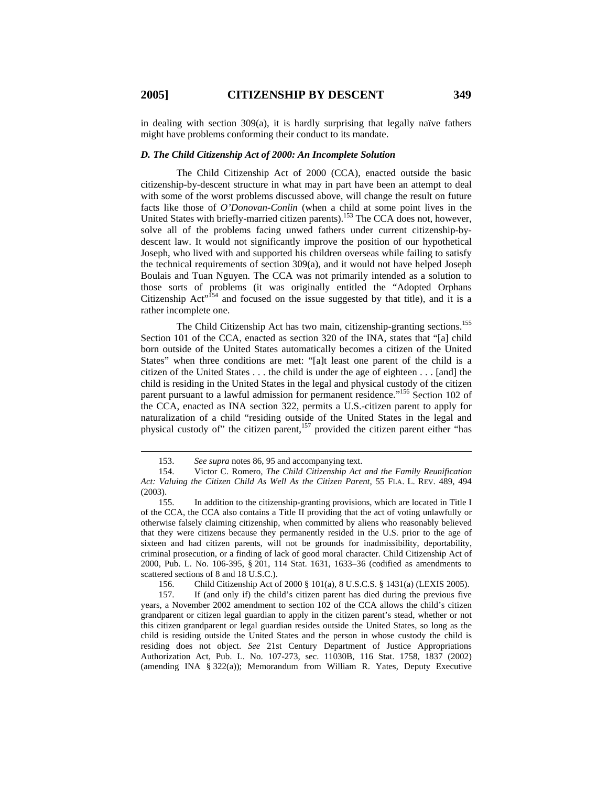$\overline{a}$ 

in dealing with section  $309(a)$ , it is hardly surprising that legally naïve fathers might have problems conforming their conduct to its mandate.

### *D. The Child Citizenship Act of 2000: An Incomplete Solution*

The Child Citizenship Act of 2000 (CCA), enacted outside the basic citizenship-by-descent structure in what may in part have been an attempt to deal with some of the worst problems discussed above, will change the result on future facts like those of *O'Donovan-Conlin* (when a child at some point lives in the United States with briefly-married citizen parents).<sup>153</sup> The CCA does not, however, solve all of the problems facing unwed fathers under current citizenship-bydescent law. It would not significantly improve the position of our hypothetical Joseph, who lived with and supported his children overseas while failing to satisfy the technical requirements of section 309(a), and it would not have helped Joseph Boulais and Tuan Nguyen. The CCA was not primarily intended as a solution to those sorts of problems (it was originally entitled the "Adopted Orphans Citizenship Act<sup>1,154</sup> and focused on the issue suggested by that title), and it is a rather incomplete one.

The Child Citizenship Act has two main, citizenship-granting sections.<sup>155</sup> Section 101 of the CCA, enacted as section 320 of the INA, states that "[a] child born outside of the United States automatically becomes a citizen of the United States" when three conditions are met: "[a]t least one parent of the child is a citizen of the United States . . . the child is under the age of eighteen . . . [and] the child is residing in the United States in the legal and physical custody of the citizen parent pursuant to a lawful admission for permanent residence."<sup>156</sup> Section 102 of the CCA, enacted as INA section 322, permits a U.S.-citizen parent to apply for naturalization of a child "residing outside of the United States in the legal and physical custody of" the citizen parent,<sup>157</sup> provided the citizen parent either "has

156. Child Citizenship Act of 2000 § 101(a), 8 U.S.C.S. § 1431(a) (LEXIS 2005).

157. If (and only if) the child's citizen parent has died during the previous five years, a November 2002 amendment to section 102 of the CCA allows the child's citizen grandparent or citizen legal guardian to apply in the citizen parent's stead, whether or not this citizen grandparent or legal guardian resides outside the United States, so long as the child is residing outside the United States and the person in whose custody the child is residing does not object. *See* 21st Century Department of Justice Appropriations Authorization Act, Pub. L. No. 107-273, sec. 11030B, 116 Stat. 1758, 1837 (2002) (amending INA  $\S 322(a)$ ); Memorandum from William R. Yates, Deputy Executive

<sup>153.</sup> *See supra* notes 86, 95 and accompanying text.

<sup>154.</sup> Victor C. Romero, *The Child Citizenship Act and the Family Reunification Act: Valuing the Citizen Child As Well As the Citizen Parent*, 55 FLA. L. REV. 489, 494 (2003).

<sup>155.</sup> In addition to the citizenship-granting provisions, which are located in Title I of the CCA, the CCA also contains a Title II providing that the act of voting unlawfully or otherwise falsely claiming citizenship, when committed by aliens who reasonably believed that they were citizens because they permanently resided in the U.S. prior to the age of sixteen and had citizen parents, will not be grounds for inadmissibility, deportability, criminal prosecution, or a finding of lack of good moral character. Child Citizenship Act of 2000, Pub. L. No. 106-395, § 201, 114 Stat. 1631, 1633–36 (codified as amendments to scattered sections of 8 and 18 U.S.C.).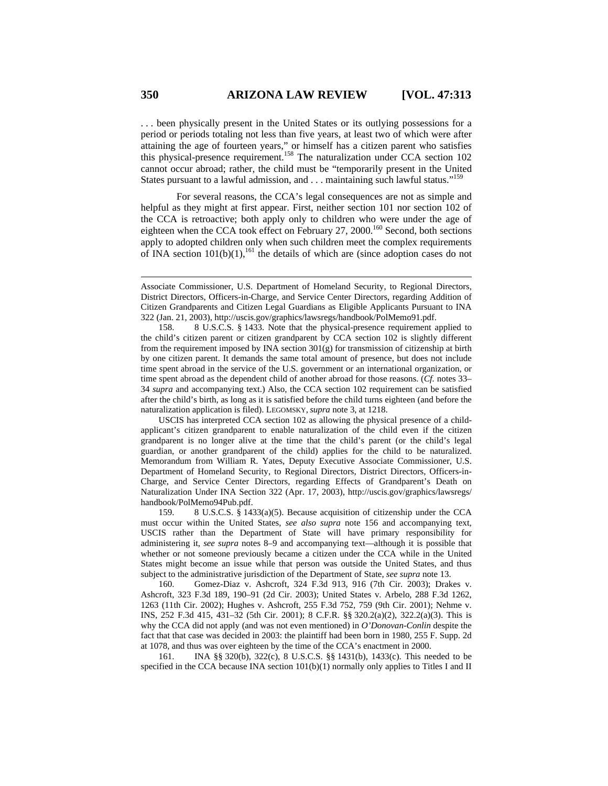. . . been physically present in the United States or its outlying possessions for a period or periods totaling not less than five years, at least two of which were after attaining the age of fourteen years," or himself has a citizen parent who satisfies this physical-presence requirement.<sup>158</sup> The naturalization under CCA section 102 cannot occur abroad; rather, the child must be "temporarily present in the United States pursuant to a lawful admission, and . . . maintaining such lawful status."<sup>159</sup>

For several reasons, the CCA's legal consequences are not as simple and helpful as they might at first appear. First, neither section 101 nor section 102 of the CCA is retroactive; both apply only to children who were under the age of eighteen when the CCA took effect on February 27, 2000.<sup>160</sup> Second, both sections apply to adopted children only when such children meet the complex requirements of INA section  $101(b)(1)$ , <sup>161</sup> the details of which are (since adoption cases do not

USCIS has interpreted CCA section 102 as allowing the physical presence of a childapplicant's citizen grandparent to enable naturalization of the child even if the citizen grandparent is no longer alive at the time that the child's parent (or the child's legal guardian, or another grandparent of the child) applies for the child to be naturalized. Memorandum from William R. Yates, Deputy Executive Associate Commissioner, U.S. Department of Homeland Security, to Regional Directors, District Directors, Officers-in-Charge, and Service Center Directors, regarding Effects of Grandparent's Death on Naturalization Under INA Section 322 (Apr. 17, 2003), http://uscis.gov/graphics/lawsregs/ handbook/PolMemo94Pub.pdf.

159. 8 U.S.C.S. § 1433(a)(5). Because acquisition of citizenship under the CCA must occur within the United States, *see also supra* note 156 and accompanying text, USCIS rather than the Department of State will have primary responsibility for administering it, *see supra* notes 8–9 and accompanying text—although it is possible that whether or not someone previously became a citizen under the CCA while in the United States might become an issue while that person was outside the United States, and thus subject to the administrative jurisdiction of the Department of State, *see supra* note 13.

160. Gomez-Diaz v. Ashcroft, 324 F.3d 913, 916 (7th Cir. 2003); Drakes v. Ashcroft, 323 F.3d 189, 190–91 (2d Cir. 2003); United States v. Arbelo, 288 F.3d 1262, 1263 (11th Cir. 2002); Hughes v. Ashcroft, 255 F.3d 752, 759 (9th Cir. 2001); Nehme v. INS, 252 F.3d 415, 431–32 (5th Cir. 2001); 8 C.F.R. §§ 320.2(a)(2), 322.2(a)(3). This is why the CCA did not apply (and was not even mentioned) in *O'Donovan-Conlin* despite the fact that that case was decided in 2003: the plaintiff had been born in 1980, 255 F. Supp. 2d at 1078, and thus was over eighteen by the time of the CCA's enactment in 2000.

161. INA §§ 320(b), 322(c), 8 U.S.C.S. §§ 1431(b), 1433(c). This needed to be specified in the CCA because INA section  $101(b)(1)$  normally only applies to Titles I and II

Associate Commissioner, U.S. Department of Homeland Security, to Regional Directors, District Directors, Officers-in-Charge, and Service Center Directors, regarding Addition of Citizen Grandparents and Citizen Legal Guardians as Eligible Applicants Pursuant to INA 322 (Jan. 21, 2003), http://uscis.gov/graphics/lawsregs/handbook/PolMemo91.pdf.

<sup>158. 8</sup> U.S.C.S. § 1433. Note that the physical-presence requirement applied to the child's citizen parent or citizen grandparent by CCA section 102 is slightly different from the requirement imposed by INA section  $301(g)$  for transmission of citizenship at birth by one citizen parent. It demands the same total amount of presence, but does not include time spent abroad in the service of the U.S. government or an international organization, or time spent abroad as the dependent child of another abroad for those reasons. (*Cf.* notes 33– 34 *supra* and accompanying text.) Also, the CCA section 102 requirement can be satisfied after the child's birth, as long as it is satisfied before the child turns eighteen (and before the naturalization application is filed). LEGOMSKY, *supra* note 3, at 1218.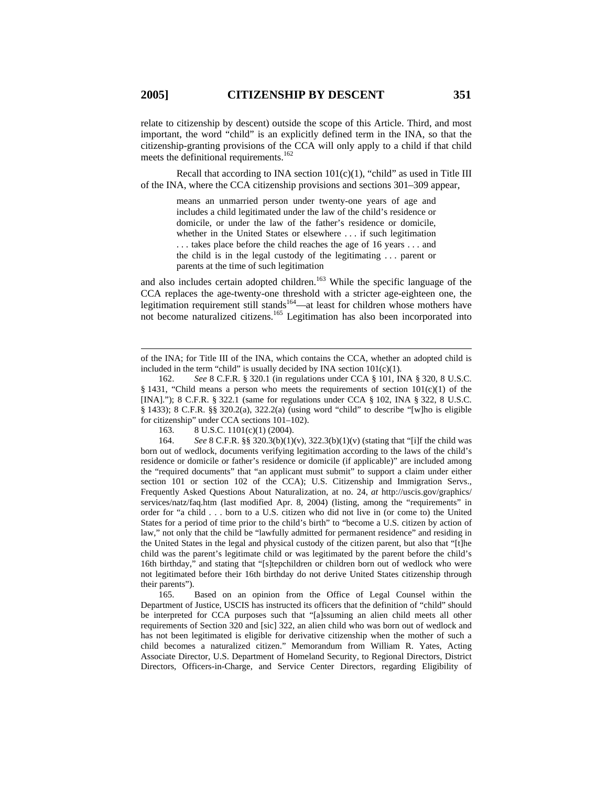relate to citizenship by descent) outside the scope of this Article. Third, and most important, the word "child" is an explicitly defined term in the INA, so that the citizenship-granting provisions of the CCA will only apply to a child if that child meets the definitional requirements.<sup>162</sup>

Recall that according to INA section  $101(c)(1)$ , "child" as used in Title III of the INA, where the CCA citizenship provisions and sections 301–309 appear,

> means an unmarried person under twenty-one years of age and includes a child legitimated under the law of the child's residence or domicile, or under the law of the father's residence or domicile, whether in the United States or elsewhere . . . if such legitimation . . . takes place before the child reaches the age of 16 years . . . and the child is in the legal custody of the legitimating . . . parent or parents at the time of such legitimation

and also includes certain adopted children.<sup>163</sup> While the specific language of the CCA replaces the age-twenty-one threshold with a stricter age-eighteen one, the legitimation requirement still stands<sup>164</sup>—at least for children whose mothers have not become naturalized citizens.165 Legitimation has also been incorporated into

163. 8 U.S.C. 1101(c)(1) (2004).

164. *See* 8 C.F.R. §§ 320.3(b)(1)(v), 322.3(b)(1)(v) (stating that "[i]f the child was born out of wedlock, documents verifying legitimation according to the laws of the child's residence or domicile or father's residence or domicile (if applicable)" are included among the "required documents" that "an applicant must submit" to support a claim under either section 101 or section 102 of the CCA); U.S. Citizenship and Immigration Servs., Frequently Asked Questions About Naturalization, at no. 24, *at* http://uscis.gov/graphics/ services/natz/faq.htm (last modified Apr. 8, 2004) (listing, among the "requirements" in order for "a child . . . born to a U.S. citizen who did not live in (or come to) the United States for a period of time prior to the child's birth" to "become a U.S. citizen by action of law," not only that the child be "lawfully admitted for permanent residence" and residing in the United States in the legal and physical custody of the citizen parent, but also that "[t]he child was the parent's legitimate child or was legitimated by the parent before the child's 16th birthday," and stating that "[s]tepchildren or children born out of wedlock who were not legitimated before their 16th birthday do not derive United States citizenship through their parents").

165. Based on an opinion from the Office of Legal Counsel within the Department of Justice, USCIS has instructed its officers that the definition of "child" should be interpreted for CCA purposes such that "[a]ssuming an alien child meets all other requirements of Section 320 and [sic] 322, an alien child who was born out of wedlock and has not been legitimated is eligible for derivative citizenship when the mother of such a child becomes a naturalized citizen." Memorandum from William R. Yates, Acting Associate Director, U.S. Department of Homeland Security, to Regional Directors, District Directors, Officers-in-Charge, and Service Center Directors, regarding Eligibility of

of the INA; for Title III of the INA, which contains the CCA, whether an adopted child is included in the term "child" is usually decided by INA section  $101(c)(1)$ .

<sup>162.</sup> *See* 8 C.F.R. § 320.1 (in regulations under CCA § 101, INA § 320, 8 U.S.C. § 1431, "Child means a person who meets the requirements of section 101(c)(1) of the [INA]."); 8 C.F.R. § 322.1 (same for regulations under CCA § 102, INA § 322, 8 U.S.C. § 1433); 8 C.F.R. §§ 320.2(a), 322.2(a) (using word "child" to describe "[w]ho is eligible for citizenship" under CCA sections 101–102).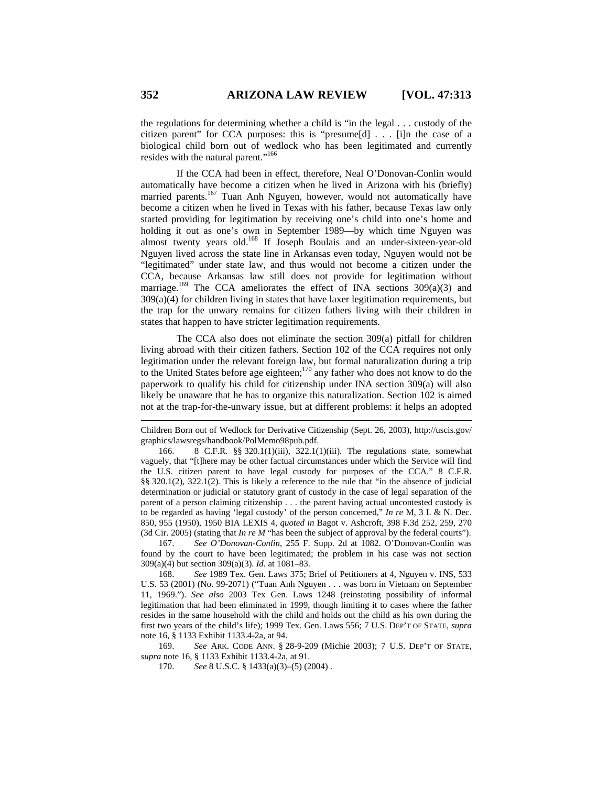the regulations for determining whether a child is "in the legal . . . custody of the citizen parent" for CCA purposes: this is "presume[d] . . . [i]n the case of a biological child born out of wedlock who has been legitimated and currently resides with the natural parent."166

If the CCA had been in effect, therefore, Neal O'Donovan-Conlin would automatically have become a citizen when he lived in Arizona with his (briefly) married parents.<sup>167</sup> Tuan Anh Nguyen, however, would not automatically have become a citizen when he lived in Texas with his father, because Texas law only started providing for legitimation by receiving one's child into one's home and holding it out as one's own in September 1989—by which time Nguyen was almost twenty years old.<sup>168</sup> If Joseph Boulais and an under-sixteen-year-old Nguyen lived across the state line in Arkansas even today, Nguyen would not be "legitimated" under state law, and thus would not become a citizen under the CCA, because Arkansas law still does not provide for legitimation without marriage.<sup>169</sup> The CCA ameliorates the effect of INA sections  $309(a)(3)$  and 309(a)(4) for children living in states that have laxer legitimation requirements, but the trap for the unwary remains for citizen fathers living with their children in states that happen to have stricter legitimation requirements.

The CCA also does not eliminate the section 309(a) pitfall for children living abroad with their citizen fathers. Section 102 of the CCA requires not only legitimation under the relevant foreign law, but formal naturalization during a trip to the United States before age eighteen;<sup>170</sup> any father who does not know to do the paperwork to qualify his child for citizenship under INA section 309(a) will also likely be unaware that he has to organize this naturalization. Section 102 is aimed not at the trap-for-the-unwary issue, but at different problems: it helps an adopted

166. 8 C.F.R. §§ 320.1(1)(iii), 322.1(1)(iii). The regulations state, somewhat vaguely, that "[t]here may be other factual circumstances under which the Service will find the U.S. citizen parent to have legal custody for purposes of the CCA." 8 C.F.R. §§ 320.1(2), 322.1(2)*.* This is likely a reference to the rule that "in the absence of judicial determination or judicial or statutory grant of custody in the case of legal separation of the parent of a person claiming citizenship . . . the parent having actual uncontested custody is to be regarded as having 'legal custody' of the person concerned," *In re* M, 3 I. & N. Dec. 850, 955 (1950), 1950 BIA LEXIS 4, *quoted in* Bagot v. Ashcroft, 398 F.3d 252, 259, 270 (3d Cir. 2005) (stating that *In re M* "has been the subject of approval by the federal courts").

167. *See O'Donovan-Conlin*, 255 F. Supp. 2d at 1082. O'Donovan-Conlin was found by the court to have been legitimated; the problem in his case was not section 309(a)(4) but section 309(a)(3). *Id.* at 1081–83.

168. *See* 1989 Tex. Gen. Laws 375; Brief of Petitioners at 4, Nguyen v. INS, 533 U.S. 53 (2001) (No. 99-2071) ("Tuan Anh Nguyen . . . was born in Vietnam on September 11, 1969."). *See also* 2003 Tex Gen. Laws 1248 (reinstating possibility of informal legitimation that had been eliminated in 1999, though limiting it to cases where the father resides in the same household with the child and holds out the child as his own during the first two years of the child's life); 1999 Tex. Gen. Laws 556; 7 U.S. DEP'T OF STATE, *supra*  note 16, § 1133 Exhibit 1133.4-2a, at 94.

169. *See* ARK. CODE ANN. § 28-9-209 (Michie 2003); 7 U.S. DEP'T OF STATE, *supra* note 16, § 1133 Exhibit 1133.4-2a, at 91.

170. *See* 8 U.S.C. § 1433(a)(3)–(5) (2004) .

Children Born out of Wedlock for Derivative Citizenship (Sept. 26, 2003), http://uscis.gov/ graphics/lawsregs/handbook/PolMemo98pub.pdf.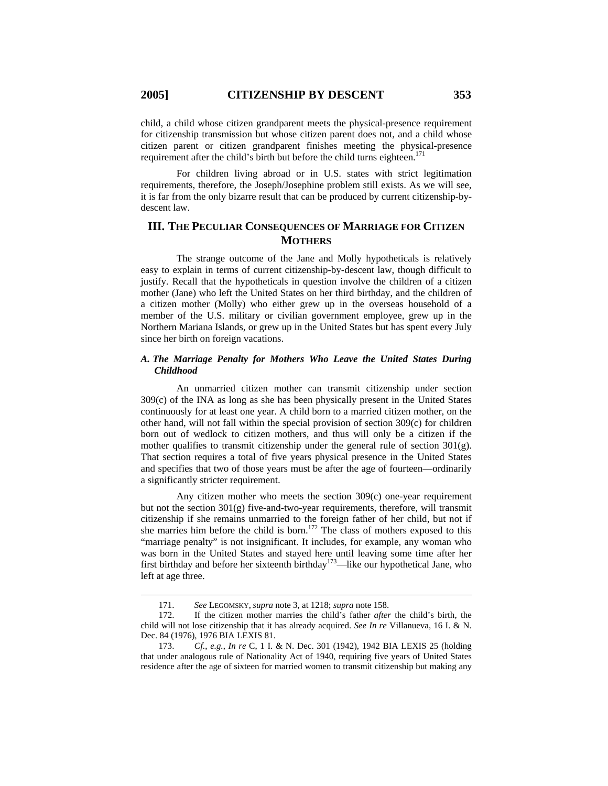child, a child whose citizen grandparent meets the physical-presence requirement for citizenship transmission but whose citizen parent does not, and a child whose citizen parent or citizen grandparent finishes meeting the physical-presence requirement after the child's birth but before the child turns eighteen.<sup>171</sup>

For children living abroad or in U.S. states with strict legitimation requirements, therefore, the Joseph/Josephine problem still exists. As we will see, it is far from the only bizarre result that can be produced by current citizenship-bydescent law.

# **III. THE PECULIAR CONSEQUENCES OF MARRIAGE FOR CITIZEN MOTHERS**

The strange outcome of the Jane and Molly hypotheticals is relatively easy to explain in terms of current citizenship-by-descent law, though difficult to justify. Recall that the hypotheticals in question involve the children of a citizen mother (Jane) who left the United States on her third birthday, and the children of a citizen mother (Molly) who either grew up in the overseas household of a member of the U.S. military or civilian government employee, grew up in the Northern Mariana Islands, or grew up in the United States but has spent every July since her birth on foreign vacations.

# *A. The Marriage Penalty for Mothers Who Leave the United States During Childhood*

An unmarried citizen mother can transmit citizenship under section 309(c) of the INA as long as she has been physically present in the United States continuously for at least one year. A child born to a married citizen mother, on the other hand, will not fall within the special provision of section 309(c) for children born out of wedlock to citizen mothers, and thus will only be a citizen if the mother qualifies to transmit citizenship under the general rule of section  $301(g)$ . That section requires a total of five years physical presence in the United States and specifies that two of those years must be after the age of fourteen—ordinarily a significantly stricter requirement.

Any citizen mother who meets the section 309(c) one-year requirement but not the section 301(g) five-and-two-year requirements, therefore, will transmit citizenship if she remains unmarried to the foreign father of her child, but not if she marries him before the child is born.<sup>172</sup> The class of mothers exposed to this "marriage penalty" is not insignificant. It includes, for example, any woman who was born in the United States and stayed here until leaving some time after her first birthday and before her sixteenth birthday<sup>173</sup>—like our hypothetical Jane, who left at age three.

<sup>171.</sup> *See* LEGOMSKY, *supra* note 3, at 1218; *supra* note 158.

<sup>172.</sup> If the citizen mother marries the child's father *after* the child's birth, the child will not lose citizenship that it has already acquired. *See In re* Villanueva, 16 I. & N. Dec. 84 (1976), 1976 BIA LEXIS 81.

<sup>173.</sup> *Cf.*, *e.g.*, *In re* C, 1 I. & N. Dec. 301 (1942), 1942 BIA LEXIS 25 (holding that under analogous rule of Nationality Act of 1940, requiring five years of United States residence after the age of sixteen for married women to transmit citizenship but making any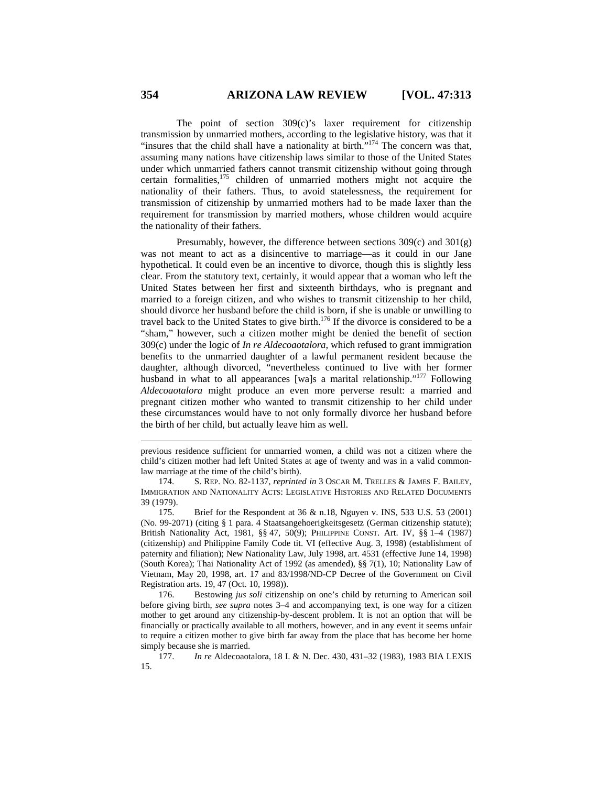The point of section 309(c)'s laxer requirement for citizenship transmission by unmarried mothers, according to the legislative history, was that it "insures that the child shall have a nationality at birth."<sup>174</sup> The concern was that, assuming many nations have citizenship laws similar to those of the United States under which unmarried fathers cannot transmit citizenship without going through certain formalities,<sup>175</sup> children of unmarried mothers might not acquire the nationality of their fathers. Thus, to avoid statelessness, the requirement for transmission of citizenship by unmarried mothers had to be made laxer than the requirement for transmission by married mothers, whose children would acquire the nationality of their fathers.

Presumably, however, the difference between sections 309(c) and 301(g) was not meant to act as a disincentive to marriage—as it could in our Jane hypothetical. It could even be an incentive to divorce, though this is slightly less clear. From the statutory text, certainly, it would appear that a woman who left the United States between her first and sixteenth birthdays, who is pregnant and married to a foreign citizen, and who wishes to transmit citizenship to her child, should divorce her husband before the child is born, if she is unable or unwilling to travel back to the United States to give birth.<sup>176</sup> If the divorce is considered to be a "sham," however, such a citizen mother might be denied the benefit of section 309(c) under the logic of *In re Aldecoaotalora*, which refused to grant immigration benefits to the unmarried daughter of a lawful permanent resident because the daughter, although divorced, "nevertheless continued to live with her former husband in what to all appearances [wa]s a marital relationship."<sup>177</sup> Following *Aldecoaotalora* might produce an even more perverse result: a married and pregnant citizen mother who wanted to transmit citizenship to her child under these circumstances would have to not only formally divorce her husband before the birth of her child, but actually leave him as well.

previous residence sufficient for unmarried women, a child was not a citizen where the child's citizen mother had left United States at age of twenty and was in a valid commonlaw marriage at the time of the child's birth).

<sup>174.</sup> S. REP. NO. 82-1137, *reprinted in* 3 OSCAR M. TRELLES & JAMES F. BAILEY, IMMIGRATION AND NATIONALITY ACTS: LEGISLATIVE HISTORIES AND RELATED DOCUMENTS 39 (1979).

Brief for the Respondent at 36  $\&$  n.18, Nguyen v. INS, 533 U.S. 53 (2001) (No. 99-2071) (citing § 1 para. 4 Staatsangehoerigkeitsgesetz (German citizenship statute); British Nationality Act, 1981, §§ 47, 50(9); PHILIPPINE CONST. Art. IV, §§ 1–4 (1987) (citizenship) and Philippine Family Code tit. VI (effective Aug. 3, 1998) (establishment of paternity and filiation); New Nationality Law, July 1998, art. 4531 (effective June 14, 1998) (South Korea); Thai Nationality Act of 1992 (as amended), §§ 7(1), 10; Nationality Law of Vietnam, May 20, 1998, art. 17 and 83/1998/ND-CP Decree of the Government on Civil Registration arts. 19, 47 (Oct. 10, 1998)).

<sup>176.</sup> Bestowing *jus soli* citizenship on one's child by returning to American soil before giving birth, *see supra* notes 3–4 and accompanying text, is one way for a citizen mother to get around any citizenship-by-descent problem. It is not an option that will be financially or practically available to all mothers, however, and in any event it seems unfair to require a citizen mother to give birth far away from the place that has become her home simply because she is married.

<sup>177.</sup> *In re* Aldecoaotalora, 18 I. & N. Dec. 430, 431–32 (1983), 1983 BIA LEXIS 15.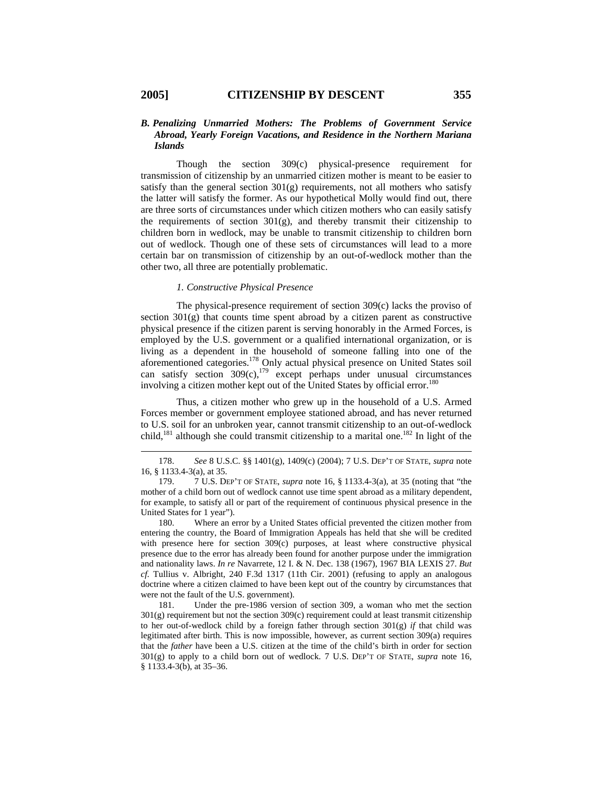# *B. Penalizing Unmarried Mothers: The Problems of Government Service Abroad, Yearly Foreign Vacations, and Residence in the Northern Mariana Islands*

Though the section 309(c) physical-presence requirement for transmission of citizenship by an unmarried citizen mother is meant to be easier to satisfy than the general section  $301(g)$  requirements, not all mothers who satisfy the latter will satisfy the former. As our hypothetical Molly would find out, there are three sorts of circumstances under which citizen mothers who can easily satisfy the requirements of section  $301(g)$ , and thereby transmit their citizenship to children born in wedlock, may be unable to transmit citizenship to children born out of wedlock. Though one of these sets of circumstances will lead to a more certain bar on transmission of citizenship by an out-of-wedlock mother than the other two, all three are potentially problematic.

### *1. Constructive Physical Presence*

The physical-presence requirement of section 309(c) lacks the proviso of section  $301(g)$  that counts time spent abroad by a citizen parent as constructive physical presence if the citizen parent is serving honorably in the Armed Forces, is employed by the U.S. government or a qualified international organization, or is living as a dependent in the household of someone falling into one of the aforementioned categories.178 Only actual physical presence on United States soil can satisfy section  $309(c)$ ,  $179$  except perhaps under unusual circumstances involving a citizen mother kept out of the United States by official error.<sup>180</sup>

Thus, a citizen mother who grew up in the household of a U.S. Armed Forces member or government employee stationed abroad, and has never returned to U.S. soil for an unbroken year, cannot transmit citizenship to an out-of-wedlock child,<sup>181</sup> although she could transmit citizenship to a marital one.<sup>182</sup> In light of the

180. Where an error by a United States official prevented the citizen mother from entering the country, the Board of Immigration Appeals has held that she will be credited with presence here for section 309(c) purposes, at least where constructive physical presence due to the error has already been found for another purpose under the immigration and nationality laws. *In re* Navarrete, 12 I. & N. Dec. 138 (1967), 1967 BIA LEXIS 27. *But cf.* Tullius v. Albright, 240 F.3d 1317 (11th Cir. 2001) (refusing to apply an analogous doctrine where a citizen claimed to have been kept out of the country by circumstances that were not the fault of the U.S. government).

181. Under the pre-1986 version of section 309, a woman who met the section 301(g) requirement but not the section 309(c) requirement could at least transmit citizenship to her out-of-wedlock child by a foreign father through section 301(g) *if* that child was legitimated after birth. This is now impossible, however, as current section 309(a) requires that the *father* have been a U.S. citizen at the time of the child's birth in order for section 301(g) to apply to a child born out of wedlock. 7 U.S. DEP'T OF STATE, *supra* note 16, § 1133.4-3(b), at 35–36.

<sup>178.</sup> *See* 8 U.S.C. §§ 1401(g), 1409(c) (2004); 7 U.S. DEP'T OF STATE, *supra* note 16, § 1133.4-3(a), at 35.

<sup>179. 7</sup> U.S. DEP'T OF STATE, *supra* note 16, § 1133.4-3(a), at 35 (noting that "the mother of a child born out of wedlock cannot use time spent abroad as a military dependent, for example, to satisfy all or part of the requirement of continuous physical presence in the United States for 1 year").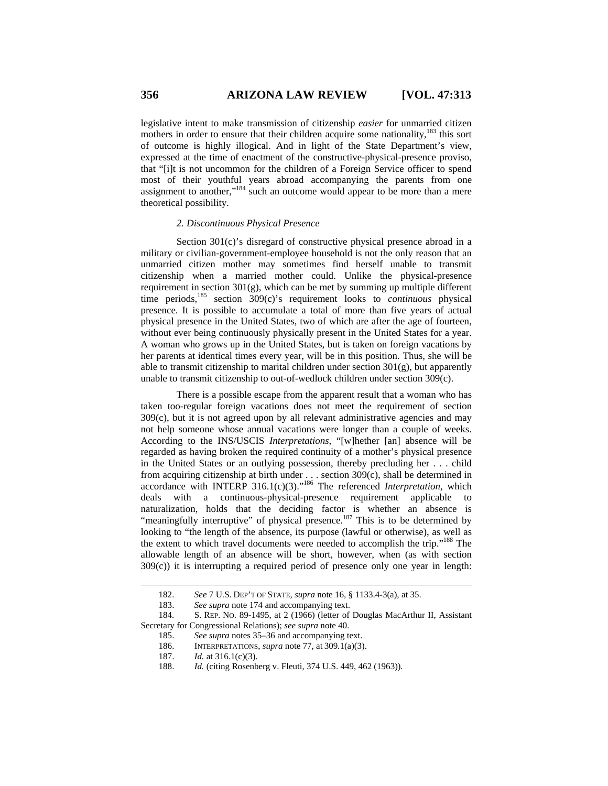legislative intent to make transmission of citizenship *easier* for unmarried citizen mothers in order to ensure that their children acquire some nationality, $^{183}$  this sort of outcome is highly illogical. And in light of the State Department's view, expressed at the time of enactment of the constructive-physical-presence proviso, that "[i]t is not uncommon for the children of a Foreign Service officer to spend most of their youthful years abroad accompanying the parents from one assignment to another,"184 such an outcome would appear to be more than a mere theoretical possibility.

# *2. Discontinuous Physical Presence*

Section 301(c)'s disregard of constructive physical presence abroad in a military or civilian-government-employee household is not the only reason that an unmarried citizen mother may sometimes find herself unable to transmit citizenship when a married mother could. Unlike the physical-presence requirement in section 301(g), which can be met by summing up multiple different time periods,185 section 309(c)'s requirement looks to *continuous* physical presence. It is possible to accumulate a total of more than five years of actual physical presence in the United States, two of which are after the age of fourteen, without ever being continuously physically present in the United States for a year. A woman who grows up in the United States, but is taken on foreign vacations by her parents at identical times every year, will be in this position. Thus, she will be able to transmit citizenship to marital children under section  $301(g)$ , but apparently unable to transmit citizenship to out-of-wedlock children under section 309(c).

There is a possible escape from the apparent result that a woman who has taken too-regular foreign vacations does not meet the requirement of section 309(c), but it is not agreed upon by all relevant administrative agencies and may not help someone whose annual vacations were longer than a couple of weeks. According to the INS/USCIS *Interpretations*, "[w]hether [an] absence will be regarded as having broken the required continuity of a mother's physical presence in the United States or an outlying possession, thereby precluding her . . . child from acquiring citizenship at birth under . . . section 309(c), shall be determined in accordance with INTERP 316.1(c)(3)."186 The referenced *Interpretation*, which deals with a continuous-physical-presence requirement applicable to naturalization, holds that the deciding factor is whether an absence is "meaningfully interruptive" of physical presence.<sup>187</sup> This is to be determined by looking to "the length of the absence, its purpose (lawful or otherwise), as well as the extent to which travel documents were needed to accomplish the trip."188 The allowable length of an absence will be short, however, when (as with section 309(c)) it is interrupting a required period of presence only one year in length:

l

<sup>182.</sup> *See* 7 U.S. DEP'T OF STATE, *supra* note 16, § 1133.4-3(a), at 35.

<sup>183.</sup> *See supra* note 174 and accompanying text.

<sup>184.</sup> S. REP. NO. 89-1495, at 2 (1966) (letter of Douglas MacArthur II, Assistant Secretary for Congressional Relations); *see supra* note 40.

<sup>185.</sup> *See supra* notes 35–36 and accompanying text.

<sup>186.</sup> INTERPRETATIONS, *supra* note 77, at 309.1(a)(3).

<sup>187.</sup> *Id.* at 316.1(c)(3).

<sup>188.</sup> *Id.* (citing Rosenberg v. Fleuti, 374 U.S. 449, 462 (1963))*.*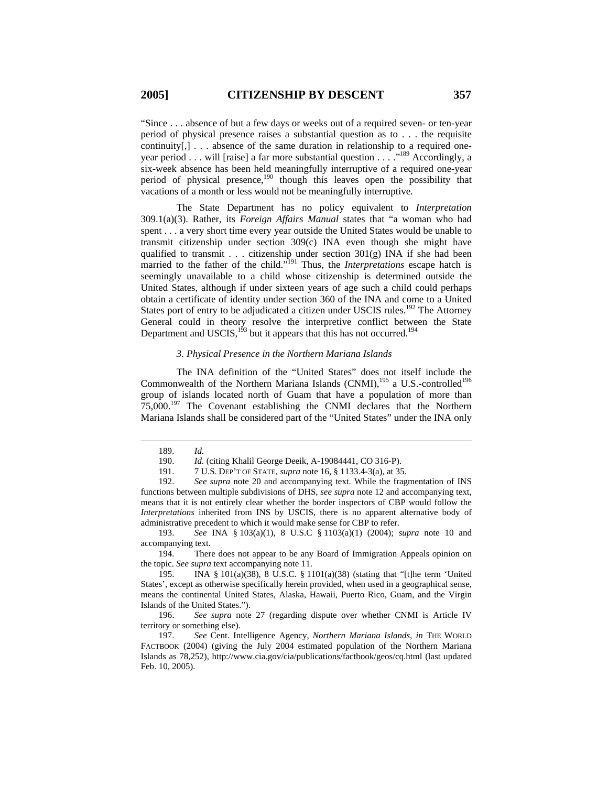"Since . . . absence of but a few days or weeks out of a required seven- or ten-year period of physical presence raises a substantial question as to . . . the requisite continuity $[,] \ldots$  absence of the same duration in relationship to a required oneyear period . . . will [raise] a far more substantial question . . . .<sup>. . 189</sup> Accordingly, a six-week absence has been held meaningfully interruptive of a required one-year period of physical presence,<sup>190</sup> though this leaves open the possibility that vacations of a month or less would not be meaningfully interruptive.

The State Department has no policy equivalent to *Interpretation* 309.1(a)(3). Rather, its *Foreign Affairs Manual* states that "a woman who had spent . . . a very short time every year outside the United States would be unable to transmit citizenship under section 309(c) INA even though she might have qualified to transmit . . . citizenship under section  $301(g)$  INA if she had been married to the father of the child."191 Thus, the *Interpretations* escape hatch is seemingly unavailable to a child whose citizenship is determined outside the United States, although if under sixteen years of age such a child could perhaps obtain a certificate of identity under section 360 of the INA and come to a United States port of entry to be adjudicated a citizen under USCIS rules.<sup>192</sup> The Attorney General could in theory resolve the interpretive conflict between the State Department and USCIS,  $1^{93}$  but it appears that this has not occurred.<sup>194</sup>

# *3. Physical Presence in the Northern Mariana Islands*

The INA definition of the "United States" does not itself include the Commonwealth of the Northern Mariana Islands (CNMI), $195$  a U.S.-controlled<sup>196</sup> group of islands located north of Guam that have a population of more than 75,000.197 The Covenant establishing the CNMI declares that the Northern Mariana Islands shall be considered part of the "United States" under the INA only

 $\overline{a}$ 

193. *See* INA § 103(a)(1), 8 U.S.C § 1103(a)(1) (2004); *supra* note 10 and accompanying text.

194. There does not appear to be any Board of Immigration Appeals opinion on the topic. *See supra* text accompanying note 11.

<sup>189.</sup> *Id.*

<sup>190.</sup> *Id.* (citing Khalil George Deeik, A-19084441, CO 316-P).

<sup>191. 7</sup> U.S. DEP'T OF STATE, *supra* note 16, § 1133.4-3(a), at 35.

<sup>192.</sup> *See supra* note 20 and accompanying text. While the fragmentation of INS functions between multiple subdivisions of DHS, *see supra* note 12 and accompanying text, means that it is not entirely clear whether the border inspectors of CBP would follow the *Interpretations* inherited from INS by USCIS, there is no apparent alternative body of administrative precedent to which it would make sense for CBP to refer.

<sup>195.</sup> INA § 101(a)(38), 8 U.S.C. § 1101(a)(38) (stating that "[t]he term 'United States', except as otherwise specifically herein provided, when used in a geographical sense, means the continental United States, Alaska, Hawaii, Puerto Rico, Guam, and the Virgin Islands of the United States.").

<sup>196.</sup> *See supra* note 27 (regarding dispute over whether CNMI is Article IV territory or something else).

<sup>197.</sup> *See* Cent. Intelligence Agency, *Northern Mariana Islands*, *in* THE WORLD FACTBOOK (2004) (giving the July 2004 estimated population of the Northern Mariana Islands as 78,252), http://www.cia.gov/cia/publications/factbook/geos/cq.html (last updated Feb. 10, 2005).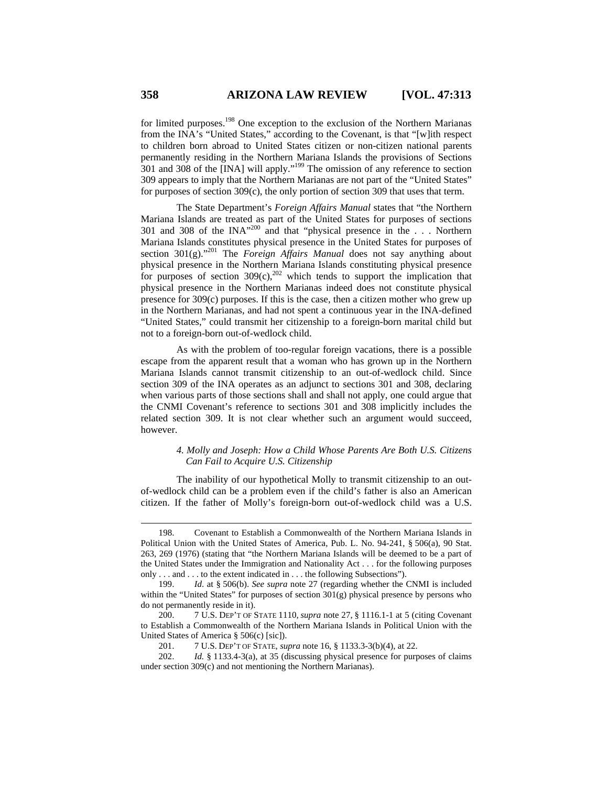for limited purposes.<sup>198</sup> One exception to the exclusion of the Northern Marianas from the INA's "United States," according to the Covenant, is that "[w]ith respect to children born abroad to United States citizen or non-citizen national parents permanently residing in the Northern Mariana Islands the provisions of Sections 301 and 308 of the [INA] will apply."199 The omission of any reference to section 309 appears to imply that the Northern Marianas are not part of the "United States" for purposes of section 309(c), the only portion of section 309 that uses that term.

The State Department's *Foreign Affairs Manual* states that "the Northern Mariana Islands are treated as part of the United States for purposes of sections 301 and 308 of the INA"200 and that "physical presence in the . . . Northern Mariana Islands constitutes physical presence in the United States for purposes of section  $301(g)$ .<sup>201</sup> The *Foreign Affairs Manual* does not say anything about physical presence in the Northern Mariana Islands constituting physical presence for purposes of section  $309(c)$ ,<sup>202</sup> which tends to support the implication that physical presence in the Northern Marianas indeed does not constitute physical presence for 309(c) purposes. If this is the case, then a citizen mother who grew up in the Northern Marianas, and had not spent a continuous year in the INA-defined "United States," could transmit her citizenship to a foreign-born marital child but not to a foreign-born out-of-wedlock child.

As with the problem of too-regular foreign vacations, there is a possible escape from the apparent result that a woman who has grown up in the Northern Mariana Islands cannot transmit citizenship to an out-of-wedlock child. Since section 309 of the INA operates as an adjunct to sections 301 and 308, declaring when various parts of those sections shall and shall not apply, one could argue that the CNMI Covenant's reference to sections 301 and 308 implicitly includes the related section 309. It is not clear whether such an argument would succeed, however.

### *4. Molly and Joseph: How a Child Whose Parents Are Both U.S. Citizens Can Fail to Acquire U.S. Citizenship*

The inability of our hypothetical Molly to transmit citizenship to an outof-wedlock child can be a problem even if the child's father is also an American citizen. If the father of Molly's foreign-born out-of-wedlock child was a U.S.

<sup>198.</sup> Covenant to Establish a Commonwealth of the Northern Mariana Islands in Political Union with the United States of America, Pub. L. No. 94-241, § 506(a), 90 Stat. 263, 269 (1976) (stating that "the Northern Mariana Islands will be deemed to be a part of the United States under the Immigration and Nationality Act . . . for the following purposes only . . . and . . . to the extent indicated in . . . the following Subsections").

<sup>199.</sup> *Id*. at § 506(b). *See supra* note 27 (regarding whether the CNMI is included within the "United States" for purposes of section 301(g) physical presence by persons who do not permanently reside in it).

<sup>200. 7</sup> U.S. DEP'T OF STATE 1110, *supra* note 27, § 1116.1-1 at 5 (citing Covenant to Establish a Commonwealth of the Northern Mariana Islands in Political Union with the United States of America § 506(c) [sic]).

<sup>201. 7</sup> U.S. DEP'T OF STATE, *supra* note 16, § 1133.3-3(b)(4), at 22.

<sup>202.</sup> *Id.* § 1133.4-3(a), at 35 (discussing physical presence for purposes of claims under section 309(c) and not mentioning the Northern Marianas).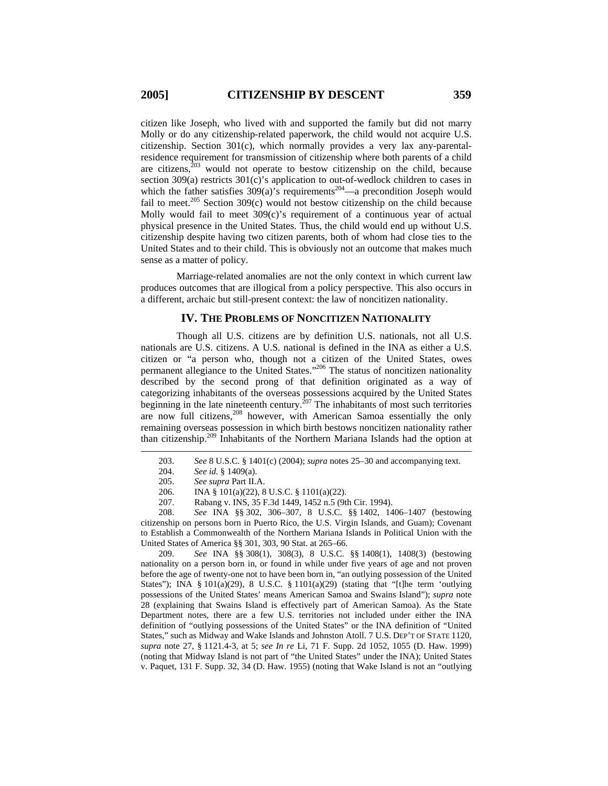citizen like Joseph, who lived with and supported the family but did not marry Molly or do any citizenship-related paperwork, the child would not acquire U.S. citizenship. Section 301(c), which normally provides a very lax any-parentalresidence requirement for transmission of citizenship where both parents of a child are citizens, $203$  would not operate to bestow citizenship on the child, because section 309(a) restricts 301(c)'s application to out-of-wedlock children to cases in which the father satisfies  $309(a)$ 's requirements<sup>204</sup>—a precondition Joseph would fail to meet.<sup>205</sup> Section 309(c) would not bestow citizenship on the child because Molly would fail to meet  $309(c)$ 's requirement of a continuous year of actual physical presence in the United States. Thus, the child would end up without U.S. citizenship despite having two citizen parents, both of whom had close ties to the United States and to their child. This is obviously not an outcome that makes much sense as a matter of policy.

Marriage-related anomalies are not the only context in which current law produces outcomes that are illogical from a policy perspective. This also occurs in a different, archaic but still-present context: the law of noncitizen nationality.

### **IV. THE PROBLEMS OF NONCITIZEN NATIONALITY**

Though all U.S. citizens are by definition U.S. nationals, not all U.S. nationals are U.S. citizens. A U.S. national is defined in the INA as either a U.S. citizen or "a person who, though not a citizen of the United States, owes permanent allegiance to the United States."<sup>206</sup> The status of noncitizen nationality described by the second prong of that definition originated as a way of categorizing inhabitants of the overseas possessions acquired by the United States beginning in the late nineteenth century.<sup>207</sup> The inhabitants of most such territories are now full citizens,<sup>208</sup> however, with American Samoa essentially the only remaining overseas possession in which birth bestows noncitizen nationality rather than citizenship.209 Inhabitants of the Northern Mariana Islands had the option at

 $\overline{a}$ 

208. *See* INA §§ 302, 306–307, 8 U.S.C. §§ 1402, 1406–1407 (bestowing citizenship on persons born in Puerto Rico, the U.S. Virgin Islands, and Guam); Covenant to Establish a Commonwealth of the Northern Mariana Islands in Political Union with the United States of America §§ 301, 303, 90 Stat. at 265–66.

209. *See* INA §§ 308(1), 308(3), 8 U.S.C. §§ 1408(1), 1408(3) (bestowing nationality on a person born in, or found in while under five years of age and not proven before the age of twenty-one not to have been born in, "an outlying possession of the United States"); INA § 101(a)(29), 8 U.S.C. § 1101(a)(29) (stating that "[t]he term 'outlying possessions of the United States' means American Samoa and Swains Island"); *supra* note 28 (explaining that Swains Island is effectively part of American Samoa). As the State Department notes, there are a few U.S. territories not included under either the INA definition of "outlying possessions of the United States" or the INA definition of "United States," such as Midway and Wake Islands and Johnston Atoll. 7 U.S. DEP'T OF STATE 1120, *supra* note 27, § 1121.4-3, at 5; *see In re* Li, 71 F. Supp. 2d 1052, 1055 (D. Haw. 1999) (noting that Midway Island is not part of "the United States" under the INA); United States v. Paquet, 131 F. Supp. 32, 34 (D. Haw. 1955) (noting that Wake Island is not an "outlying

<sup>203.</sup> *See* 8 U.S.C. § 1401(c) (2004); *supra* notes 25–30 and accompanying text.

<sup>204.</sup> *See id.* § 1409(a).

<sup>205.</sup> *See supra* Part II.A.

<sup>206.</sup> INA § 101(a)(22), 8 U.S.C. § 1101(a)(22).

<sup>207.</sup> Rabang v. INS, 35 F.3d 1449, 1452 n.5 (9th Cir. 1994).<br>208. See INA 88 302. 306–307. 8 U.S.C. 88 1402. 14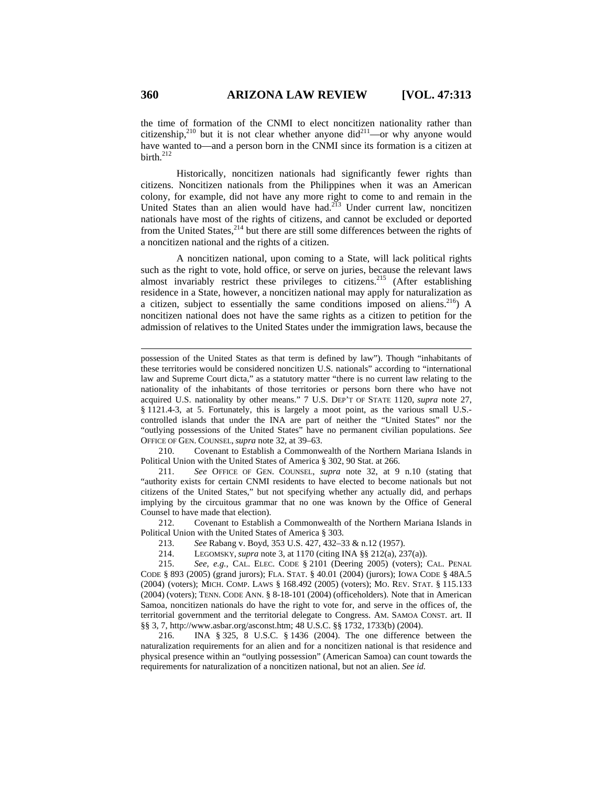the time of formation of the CNMI to elect noncitizen nationality rather than citizenship,<sup>210</sup> but it is not clear whether anyone did<sup>211</sup>—or why anyone would have wanted to—and a person born in the CNMI since its formation is a citizen at birth.<sup>212</sup>

Historically, noncitizen nationals had significantly fewer rights than citizens. Noncitizen nationals from the Philippines when it was an American colony, for example, did not have any more right to come to and remain in the United States than an alien would have had. $2^{13}$  Under current law, noncitizen nationals have most of the rights of citizens, and cannot be excluded or deported from the United States,  $2^{14}$  but there are still some differences between the rights of a noncitizen national and the rights of a citizen.

A noncitizen national, upon coming to a State, will lack political rights such as the right to vote, hold office, or serve on juries, because the relevant laws almost invariably restrict these privileges to citizens.<sup>215</sup> (After establishing residence in a State, however, a noncitizen national may apply for naturalization as a citizen, subject to essentially the same conditions imposed on aliens.<sup>216</sup>) A noncitizen national does not have the same rights as a citizen to petition for the admission of relatives to the United States under the immigration laws, because the

210. Covenant to Establish a Commonwealth of the Northern Mariana Islands in Political Union with the United States of America § 302, 90 Stat. at 266.

211. *See* OFFICE OF GEN. COUNSEL, *supra* note 32, at 9 n.10 (stating that "authority exists for certain CNMI residents to have elected to become nationals but not citizens of the United States," but not specifying whether any actually did, and perhaps implying by the circuitous grammar that no one was known by the Office of General Counsel to have made that election).

212. Covenant to Establish a Commonwealth of the Northern Mariana Islands in Political Union with the United States of America § 303.

213. *See* Rabang v. Boyd, 353 U.S. 427, 432–33 & n.12 (1957).

214. LEGOMSKY, *supra* note 3, at 1170 (citing INA §§ 212(a), 237(a)).

215. *See, e.g.*, CAL. ELEC. CODE § 2101 (Deering 2005) (voters); CAL. PENAL CODE § 893 (2005) (grand jurors); FLA. STAT. § 40.01 (2004) (jurors); IOWA CODE § 48A.5 (2004) (voters); MICH. COMP. LAWS § 168.492 (2005) (voters); MO. REV. STAT. § 115.133 (2004) (voters); TENN. CODE ANN. § 8-18-101 (2004) (officeholders). Note that in American Samoa, noncitizen nationals do have the right to vote for, and serve in the offices of, the territorial government and the territorial delegate to Congress. AM. SAMOA CONST. art. II §§ 3, 7, http://www.asbar.org/asconst.htm; 48 U.S.C. §§ 1732, 1733(b) (2004).

216. INA § 325, 8 U.S.C. § 1436 (2004). The one difference between the naturalization requirements for an alien and for a noncitizen national is that residence and physical presence within an "outlying possession" (American Samoa) can count towards the requirements for naturalization of a noncitizen national, but not an alien. *See id.*

possession of the United States as that term is defined by law"). Though "inhabitants of these territories would be considered noncitizen U.S. nationals" according to "international law and Supreme Court dicta," as a statutory matter "there is no current law relating to the nationality of the inhabitants of those territories or persons born there who have not acquired U.S. nationality by other means." 7 U.S. DEP'T OF STATE 1120, *supra* note 27, § 1121.4-3, at 5. Fortunately, this is largely a moot point, as the various small U.S. controlled islands that under the INA are part of neither the "United States" nor the "outlying possessions of the United States" have no permanent civilian populations. *See*  OFFICE OF GEN. COUNSEL, *supra* note 32, at 39–63.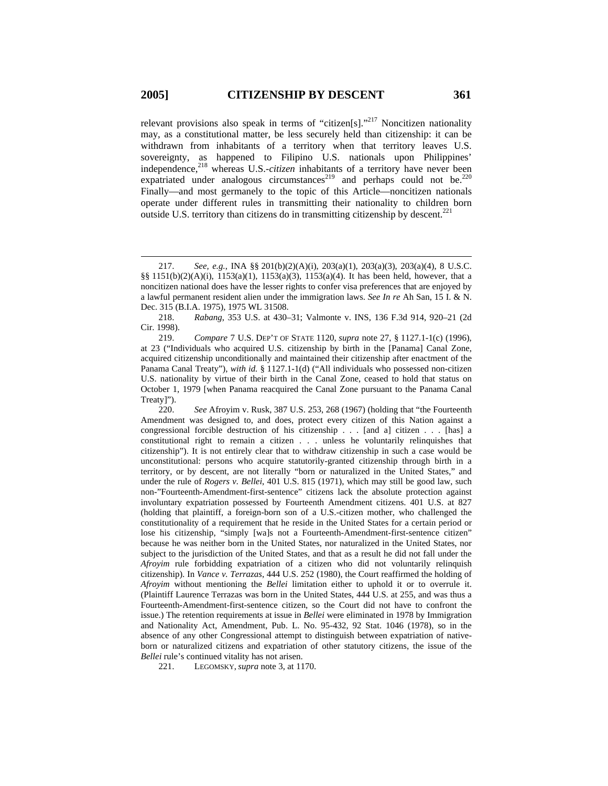$\overline{a}$ 

relevant provisions also speak in terms of "citizen[s]."<sup>217</sup> Noncitizen nationality may, as a constitutional matter, be less securely held than citizenship: it can be withdrawn from inhabitants of a territory when that territory leaves U.S. sovereignty, as happened to Filipino U.S. nationals upon Philippines' independence,<sup>218</sup> whereas U.S.-*citizen* inhabitants of a territory have never been expatriated under analogous circumstances<sup>219</sup> and perhaps could not be.<sup>220</sup> Finally—and most germanely to the topic of this Article—noncitizen nationals operate under different rules in transmitting their nationality to children born outside U.S. territory than citizens do in transmitting citizenship by descent.<sup>221</sup>

219. *Compare* 7 U.S. DEP'T OF STATE 1120, *supra* note 27, § 1127.1-1(c) (1996), at 23 ("Individuals who acquired U.S. citizenship by birth in the [Panama] Canal Zone, acquired citizenship unconditionally and maintained their citizenship after enactment of the Panama Canal Treaty"), *with id.* § 1127.1-1(d) ("All individuals who possessed non-citizen U.S. nationality by virtue of their birth in the Canal Zone, ceased to hold that status on October 1, 1979 [when Panama reacquired the Canal Zone pursuant to the Panama Canal Treaty]").

220. *See* Afroyim v. Rusk, 387 U.S. 253, 268 (1967) (holding that "the Fourteenth Amendment was designed to, and does, protect every citizen of this Nation against a congressional forcible destruction of his citizenship . . . [and a] citizen . . . [has] a constitutional right to remain a citizen . . . unless he voluntarily relinquishes that citizenship"). It is not entirely clear that to withdraw citizenship in such a case would be unconstitutional: persons who acquire statutorily-granted citizenship through birth in a territory, or by descent, are not literally "born or naturalized in the United States," and under the rule of *Rogers v. Bellei*, 401 U.S. 815 (1971), which may still be good law, such non-"Fourteenth-Amendment-first-sentence" citizens lack the absolute protection against involuntary expatriation possessed by Fourteenth Amendment citizens. 401 U.S. at 827 (holding that plaintiff, a foreign-born son of a U.S.-citizen mother, who challenged the constitutionality of a requirement that he reside in the United States for a certain period or lose his citizenship, "simply [wa]s not a Fourteenth-Amendment-first-sentence citizen" because he was neither born in the United States, nor naturalized in the United States, nor subject to the jurisdiction of the United States, and that as a result he did not fall under the *Afroyim* rule forbidding expatriation of a citizen who did not voluntarily relinquish citizenship). In *Vance v. Terrazas*, 444 U.S. 252 (1980), the Court reaffirmed the holding of *Afroyim* without mentioning the *Bellei* limitation either to uphold it or to overrule it. (Plaintiff Laurence Terrazas was born in the United States, 444 U.S. at 255, and was thus a Fourteenth-Amendment-first-sentence citizen, so the Court did not have to confront the issue.) The retention requirements at issue in *Bellei* were eliminated in 1978 by Immigration and Nationality Act, Amendment, Pub. L. No. 95-432, 92 Stat. 1046 (1978), so in the absence of any other Congressional attempt to distinguish between expatriation of nativeborn or naturalized citizens and expatriation of other statutory citizens, the issue of the *Bellei* rule's continued vitality has not arisen.

221. LEGOMSKY, *supra* note 3, at 1170.

<sup>217.</sup> *See, e.g.*, INA §§ 201(b)(2)(A)(i), 203(a)(1), 203(a)(3), 203(a)(4), 8 U.S.C. §§ 1151(b)(2)(A)(i), 1153(a)(1), 1153(a)(3), 1153(a)(4). It has been held, however, that a noncitizen national does have the lesser rights to confer visa preferences that are enjoyed by a lawful permanent resident alien under the immigration laws. *See In re* Ah San, 15 I. & N. Dec. 315 (B.I.A. 1975), 1975 WL 31508.

<sup>218.</sup> *Rabang*, 353 U.S. at 430–31; Valmonte v. INS, 136 F.3d 914, 920–21 (2d Cir. 1998).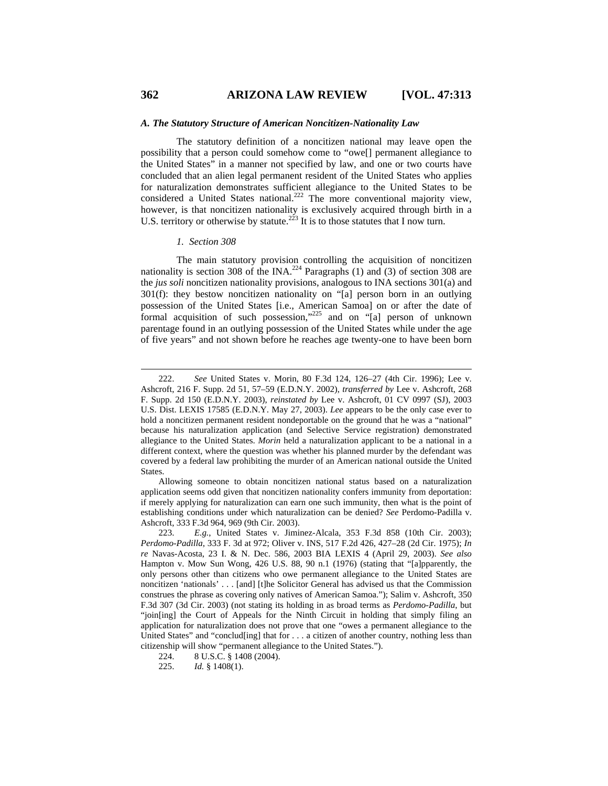#### *A. The Statutory Structure of American Noncitizen-Nationality Law*

The statutory definition of a noncitizen national may leave open the possibility that a person could somehow come to "owe[] permanent allegiance to the United States" in a manner not specified by law, and one or two courts have concluded that an alien legal permanent resident of the United States who applies for naturalization demonstrates sufficient allegiance to the United States to be considered a United States national.<sup>222</sup> The more conventional majority view, however, is that noncitizen nationality is exclusively acquired through birth in a U.S. territory or otherwise by statute.<sup>223</sup> It is to those statutes that I now turn.

#### *1. Section 308*

The main statutory provision controlling the acquisition of noncitizen nationality is section 308 of the INA.<sup>224</sup> Paragraphs  $(1)$  and  $(3)$  of section 308 are the *jus soli* noncitizen nationality provisions, analogous to INA sections 301(a) and 301(f): they bestow noncitizen nationality on "[a] person born in an outlying possession of the United States [i.e., American Samoa] on or after the date of formal acquisition of such possession,"225 and on "[a] person of unknown parentage found in an outlying possession of the United States while under the age of five years" and not shown before he reaches age twenty-one to have been born

<sup>222.</sup> *See* United States v. Morin, 80 F.3d 124, 126–27 (4th Cir. 1996); Lee v. Ashcroft, 216 F. Supp. 2d 51, 57–59 (E.D.N.Y. 2002), *transferred by* Lee v. Ashcroft, 268 F. Supp. 2d 150 (E.D.N.Y. 2003), *reinstated by* Lee v. Ashcroft, 01 CV 0997 (SJ), 2003 U.S. Dist. LEXIS 17585 (E.D.N.Y. May 27, 2003). *Lee* appears to be the only case ever to hold a noncitizen permanent resident nondeportable on the ground that he was a "national" because his naturalization application (and Selective Service registration) demonstrated allegiance to the United States. *Morin* held a naturalization applicant to be a national in a different context, where the question was whether his planned murder by the defendant was covered by a federal law prohibiting the murder of an American national outside the United States.

Allowing someone to obtain noncitizen national status based on a naturalization application seems odd given that noncitizen nationality confers immunity from deportation: if merely applying for naturalization can earn one such immunity, then what is the point of establishing conditions under which naturalization can be denied? *See* Perdomo-Padilla v. Ashcroft, 333 F.3d 964, 969 (9th Cir. 2003).

<sup>223.</sup> *E.g.*, United States v. Jiminez-Alcala, 353 F.3d 858 (10th Cir. 2003); *Perdomo-Padilla*, 333 F. 3d at 972; Oliver v. INS, 517 F.2d 426, 427–28 (2d Cir. 1975); *In re* Navas-Acosta, 23 I. & N. Dec. 586, 2003 BIA LEXIS 4 (April 29, 2003). *See also* Hampton v. Mow Sun Wong, 426 U.S. 88, 90 n.1 (1976) (stating that "[a]pparently, the only persons other than citizens who owe permanent allegiance to the United States are noncitizen 'nationals' . . . [and] [t]he Solicitor General has advised us that the Commission construes the phrase as covering only natives of American Samoa."); Salim v. Ashcroft, 350 F.3d 307 (3d Cir. 2003) (not stating its holding in as broad terms as *Perdomo-Padilla*, but "join[ing] the Court of Appeals for the Ninth Circuit in holding that simply filing an application for naturalization does not prove that one "owes a permanent allegiance to the United States" and "conclud[ing] that for . . . a citizen of another country, nothing less than citizenship will show "permanent allegiance to the United States.").

<sup>224. 8</sup> U.S.C. § 1408 (2004).

<sup>225.</sup> *Id.* § 1408(1).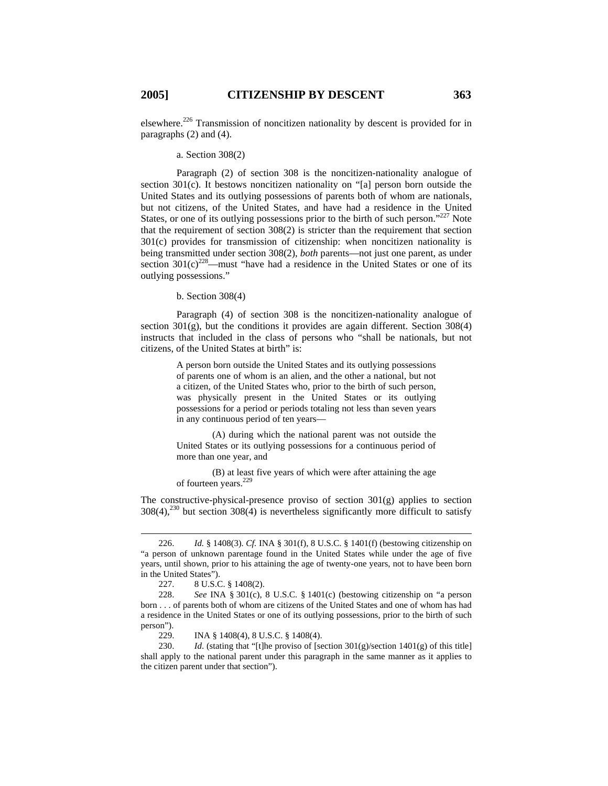elsewhere.226 Transmission of noncitizen nationality by descent is provided for in paragraphs (2) and (4).

a. Section 308(2)

Paragraph (2) of section 308 is the noncitizen-nationality analogue of section 301(c). It bestows noncitizen nationality on "[a] person born outside the United States and its outlying possessions of parents both of whom are nationals, but not citizens, of the United States, and have had a residence in the United States, or one of its outlying possessions prior to the birth of such person."<sup>227</sup> Note that the requirement of section 308(2) is stricter than the requirement that section 301(c) provides for transmission of citizenship: when noncitizen nationality is being transmitted under section 308(2), *both* parents—not just one parent, as under section  $301(c)^{228}$ —must "have had a residence in the United States or one of its outlying possessions."

b. Section 308(4)

Paragraph (4) of section 308 is the noncitizen-nationality analogue of section  $301(g)$ , but the conditions it provides are again different. Section  $308(4)$ instructs that included in the class of persons who "shall be nationals, but not citizens, of the United States at birth" is:

> A person born outside the United States and its outlying possessions of parents one of whom is an alien, and the other a national, but not a citizen, of the United States who, prior to the birth of such person, was physically present in the United States or its outlying possessions for a period or periods totaling not less than seven years in any continuous period of ten years—

> (A) during which the national parent was not outside the United States or its outlying possessions for a continuous period of more than one year, and

> (B) at least five years of which were after attaining the age of fourteen years.<sup>229</sup>

The constructive-physical-presence proviso of section  $301(g)$  applies to section  $308(4)$ ,<sup>230</sup> but section  $308(4)$  is nevertheless significantly more difficult to satisfy

<sup>226.</sup> *Id.* § 1408(3). *Cf.* INA § 301(f), 8 U.S.C. § 1401(f) (bestowing citizenship on "a person of unknown parentage found in the United States while under the age of five years, until shown, prior to his attaining the age of twenty-one years, not to have been born in the United States").

<sup>227. 8</sup> U.S.C. § 1408(2).

<sup>228.</sup> *See* INA § 301(c), 8 U.S.C. § 1401(c) (bestowing citizenship on "a person born . . . of parents both of whom are citizens of the United States and one of whom has had a residence in the United States or one of its outlying possessions, prior to the birth of such person").

<sup>229.</sup> INA § 1408(4), 8 U.S.C. § 1408(4).

<sup>230.</sup> *Id*. (stating that "[t]he proviso of [section 301(g)/section 1401(g) of this title] shall apply to the national parent under this paragraph in the same manner as it applies to the citizen parent under that section").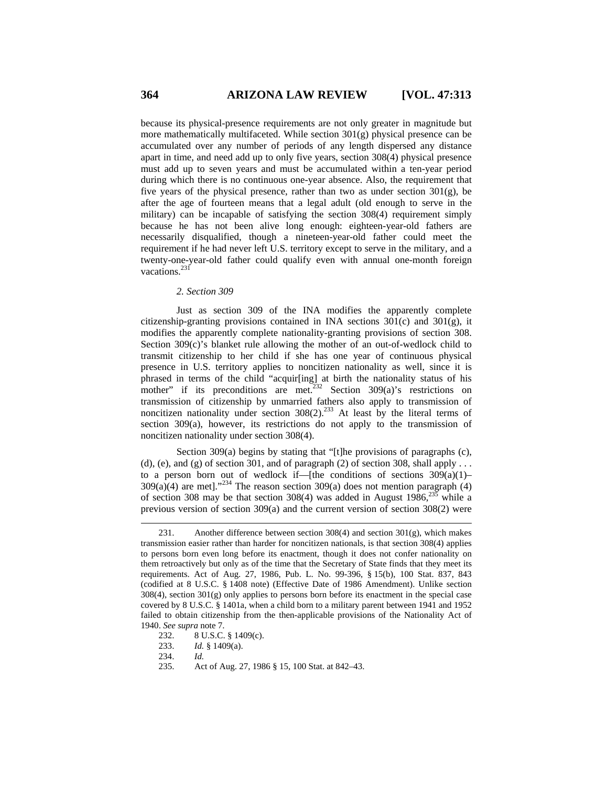because its physical-presence requirements are not only greater in magnitude but more mathematically multifaceted. While section  $301(g)$  physical presence can be accumulated over any number of periods of any length dispersed any distance apart in time, and need add up to only five years, section 308(4) physical presence must add up to seven years and must be accumulated within a ten-year period during which there is no continuous one-year absence. Also, the requirement that five years of the physical presence, rather than two as under section  $301(g)$ , be after the age of fourteen means that a legal adult (old enough to serve in the military) can be incapable of satisfying the section 308(4) requirement simply because he has not been alive long enough: eighteen-year-old fathers are necessarily disqualified, though a nineteen-year-old father could meet the requirement if he had never left U.S. territory except to serve in the military, and a twenty-one-year-old father could qualify even with annual one-month foreign vacations.<sup>231</sup>

#### *2. Section 309*

Just as section 309 of the INA modifies the apparently complete citizenship-granting provisions contained in INA sections 301(c) and 301(g), it modifies the apparently complete nationality-granting provisions of section 308. Section 309(c)'s blanket rule allowing the mother of an out-of-wedlock child to transmit citizenship to her child if she has one year of continuous physical presence in U.S. territory applies to noncitizen nationality as well, since it is phrased in terms of the child "acquir[ing] at birth the nationality status of his mother" if its preconditions are met.<sup>232</sup> Section 309(a)'s restrictions on transmission of citizenship by unmarried fathers also apply to transmission of noncitizen nationality under section  $308(2)$ .<sup>233</sup> At least by the literal terms of section 309(a), however, its restrictions do not apply to the transmission of noncitizen nationality under section 308(4).

Section 309(a) begins by stating that "[t]he provisions of paragraphs (c), (d), (e), and (g) of section 301, and of paragraph (2) of section 308, shall apply . . . to a person born out of wedlock if—[the conditions of sections  $309(a)(1)$ –  $309(a)(4)$  are met]."<sup>234</sup> The reason section  $309(a)$  does not mention paragraph  $(4)$ of section 308 may be that section 308(4) was added in August  $1986$ <sup>235</sup> while a previous version of section 309(a) and the current version of section 308(2) were

<sup>231.</sup> Another difference between section 308(4) and section 301(g), which makes transmission easier rather than harder for noncitizen nationals, is that section 308(4) applies to persons born even long before its enactment, though it does not confer nationality on them retroactively but only as of the time that the Secretary of State finds that they meet its requirements. Act of Aug. 27, 1986, Pub. L. No. 99-396, § 15(b), 100 Stat. 837, 843 (codified at 8 U.S.C. § 1408 note) (Effective Date of 1986 Amendment). Unlike section  $308(4)$ , section  $301(g)$  only applies to persons born before its enactment in the special case covered by 8 U.S.C. § 1401a, when a child born to a military parent between 1941 and 1952 failed to obtain citizenship from the then-applicable provisions of the Nationality Act of 1940. *See supra* note 7.

<sup>232. 8</sup> U.S.C. § 1409(c).

<sup>233.</sup> *Id.* § 1409(a).

<sup>234.</sup> *Id.*

<sup>235.</sup> Act of Aug. 27, 1986 § 15, 100 Stat. at 842–43.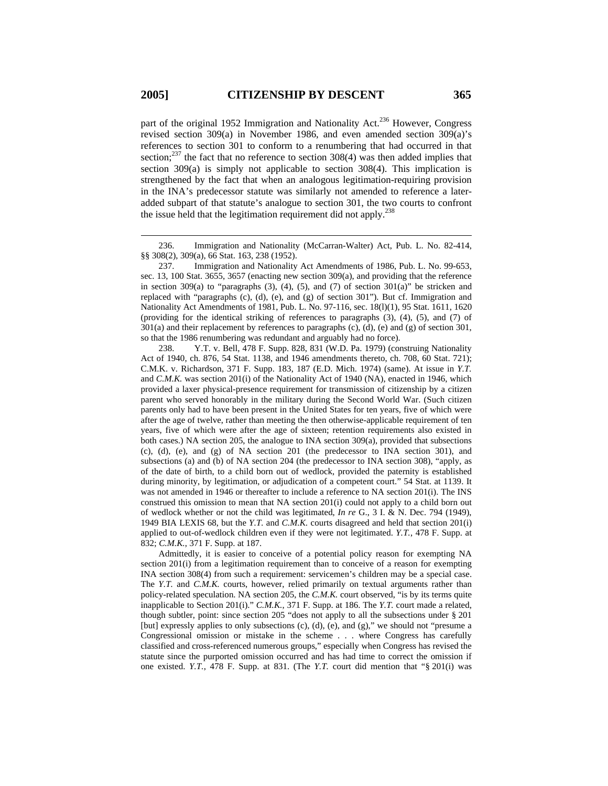part of the original 1952 Immigration and Nationality Act.<sup>236</sup> However, Congress revised section 309(a) in November 1986, and even amended section 309(a)'s references to section 301 to conform to a renumbering that had occurred in that section;<sup>237</sup> the fact that no reference to section  $308(4)$  was then added implies that section 309(a) is simply not applicable to section 308(4). This implication is strengthened by the fact that when an analogous legitimation-requiring provision in the INA's predecessor statute was similarly not amended to reference a lateradded subpart of that statute's analogue to section 301, the two courts to confront the issue held that the legitimation requirement did not apply.<sup>238</sup>

237. Immigration and Nationality Act Amendments of 1986, Pub. L. No. 99-653, sec. 13, 100 Stat. 3655, 3657 (enacting new section 309(a), and providing that the reference in section 309(a) to "paragraphs (3), (4), (5), and (7) of section 301(a)" be stricken and replaced with "paragraphs (c), (d), (e), and (g) of section 301"). But cf. Immigration and Nationality Act Amendments of 1981, Pub. L. No. 97-116, sec. 18(l)(1), 95 Stat. 1611, 1620 (providing for the identical striking of references to paragraphs (3), (4), (5), and (7) of 301(a) and their replacement by references to paragraphs (c), (d), (e) and (g) of section 301, so that the 1986 renumbering was redundant and arguably had no force).

238. Y.T. v. Bell, 478 F. Supp. 828, 831 (W.D. Pa. 1979) (construing Nationality Act of 1940, ch. 876, 54 Stat. 1138, and 1946 amendments thereto, ch. 708, 60 Stat. 721); C.M.K. v. Richardson, 371 F. Supp. 183, 187 (E.D. Mich. 1974) (same). At issue in *Y.T.* and *C.M.K.* was section 201(i) of the Nationality Act of 1940 (NA), enacted in 1946, which provided a laxer physical-presence requirement for transmission of citizenship by a citizen parent who served honorably in the military during the Second World War. (Such citizen parents only had to have been present in the United States for ten years, five of which were after the age of twelve, rather than meeting the then otherwise-applicable requirement of ten years, five of which were after the age of sixteen; retention requirements also existed in both cases.) NA section 205, the analogue to INA section 309(a), provided that subsections (c), (d), (e), and (g) of NA section 201 (the predecessor to INA section 301), and subsections (a) and (b) of NA section 204 (the predecessor to INA section 308), "apply, as of the date of birth, to a child born out of wedlock, provided the paternity is established during minority, by legitimation, or adjudication of a competent court." 54 Stat. at 1139. It was not amended in 1946 or thereafter to include a reference to NA section 201(i). The INS construed this omission to mean that NA section 201(i) could not apply to a child born out of wedlock whether or not the child was legitimated, *In re* G., 3 I. & N. Dec. 794 (1949), 1949 BIA LEXIS 68, but the *Y.T.* and *C.M.K.* courts disagreed and held that section 201(i) applied to out-of-wedlock children even if they were not legitimated. *Y.T.*, 478 F. Supp. at 832; *C.M.K.*, 371 F. Supp. at 187.

Admittedly, it is easier to conceive of a potential policy reason for exempting NA section 201(i) from a legitimation requirement than to conceive of a reason for exempting INA section 308(4) from such a requirement: servicemen's children may be a special case. The *Y.T.* and *C.M.K.* courts, however, relied primarily on textual arguments rather than policy-related speculation. NA section 205, the *C.M.K.* court observed, "is by its terms quite inapplicable to Section 201(i)." *C.M.K.*, 371 F. Supp. at 186. The *Y.T.* court made a related, though subtler, point: since section 205 "does not apply to all the subsections under § 201 [but] expressly applies to only subsections (c), (d), (e), and (g)," we should not "presume a Congressional omission or mistake in the scheme . . . where Congress has carefully classified and cross-referenced numerous groups," especially when Congress has revised the statute since the purported omission occurred and has had time to correct the omission if one existed. *Y.T.*, 478 F. Supp. at 831. (The *Y.T.* court did mention that "§ 201(i) was

<sup>236.</sup> Immigration and Nationality (McCarran-Walter) Act, Pub. L. No. 82-414, §§ 308(2), 309(a), 66 Stat. 163, 238 (1952).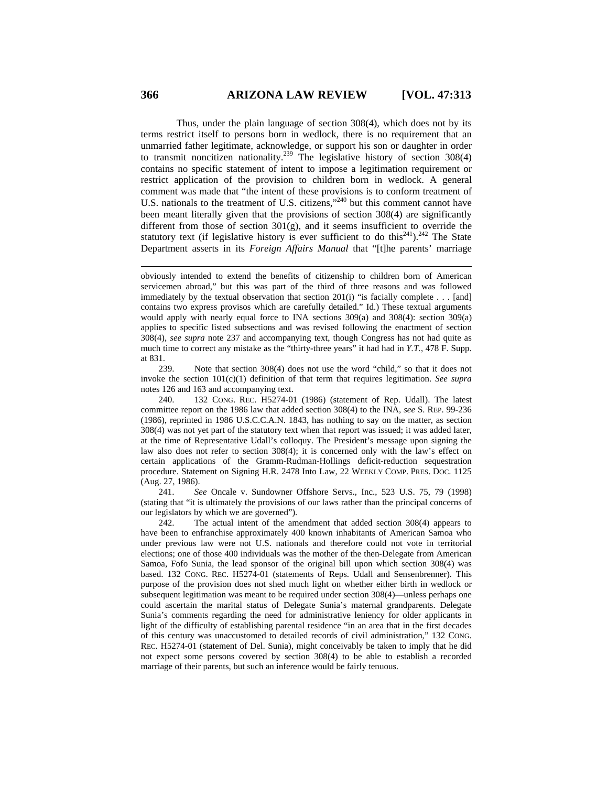Thus, under the plain language of section 308(4), which does not by its terms restrict itself to persons born in wedlock, there is no requirement that an unmarried father legitimate, acknowledge, or support his son or daughter in order to transmit noncitizen nationality.<sup>239</sup> The legislative history of section 308(4) contains no specific statement of intent to impose a legitimation requirement or restrict application of the provision to children born in wedlock. A general comment was made that "the intent of these provisions is to conform treatment of U.S. nationals to the treatment of U.S. citizens,"<sup>240</sup> but this comment cannot have been meant literally given that the provisions of section 308(4) are significantly different from those of section 301(g), and it seems insufficient to override the statutory text (if legislative history is ever sufficient to do this<sup>241</sup>).<sup>242</sup> The State Department asserts in its *Foreign Affairs Manual* that "[t]he parents' marriage

239. Note that section 308(4) does not use the word "child," so that it does not invoke the section 101(c)(1) definition of that term that requires legitimation. *See supra*  notes 126 and 163 and accompanying text.

240. 132 CONG. REC. H5274-01 (1986) (statement of Rep. Udall). The latest committee report on the 1986 law that added section 308(4) to the INA, *see* S. REP. 99-236 (1986), reprinted in 1986 U.S.C.C.A.N. 1843, has nothing to say on the matter, as section 308(4) was not yet part of the statutory text when that report was issued; it was added later, at the time of Representative Udall's colloquy. The President's message upon signing the law also does not refer to section 308(4); it is concerned only with the law's effect on certain applications of the Gramm-Rudman-Hollings deficit-reduction sequestration procedure. Statement on Signing H.R. 2478 Into Law, 22 WEEKLY COMP. PRES. DOC. 1125 (Aug. 27, 1986).

241. *See* Oncale v. Sundowner Offshore Servs., Inc., 523 U.S. 75, 79 (1998) (stating that "it is ultimately the provisions of our laws rather than the principal concerns of our legislators by which we are governed").

242. The actual intent of the amendment that added section 308(4) appears to have been to enfranchise approximately 400 known inhabitants of American Samoa who under previous law were not U.S. nationals and therefore could not vote in territorial elections; one of those 400 individuals was the mother of the then-Delegate from American Samoa, Fofo Sunia, the lead sponsor of the original bill upon which section 308(4) was based. 132 CONG. REC. H5274-01 (statements of Reps. Udall and Sensenbrenner). This purpose of the provision does not shed much light on whether either birth in wedlock or subsequent legitimation was meant to be required under section 308(4)—unless perhaps one could ascertain the marital status of Delegate Sunia's maternal grandparents. Delegate Sunia's comments regarding the need for administrative leniency for older applicants in light of the difficulty of establishing parental residence "in an area that in the first decades of this century was unaccustomed to detailed records of civil administration," 132 CONG. REC. H5274-01 (statement of Del. Sunia), might conceivably be taken to imply that he did not expect some persons covered by section 308(4) to be able to establish a recorded marriage of their parents, but such an inference would be fairly tenuous.

obviously intended to extend the benefits of citizenship to children born of American servicemen abroad," but this was part of the third of three reasons and was followed immediately by the textual observation that section  $201(i)$  "is facially complete . . . [and] contains two express provisos which are carefully detailed." Id.) These textual arguments would apply with nearly equal force to INA sections 309(a) and 308(4): section 309(a) applies to specific listed subsections and was revised following the enactment of section 308(4), *see supra* note 237 and accompanying text, though Congress has not had quite as much time to correct any mistake as the "thirty-three years" it had had in *Y.T.*, 478 F. Supp. at 831.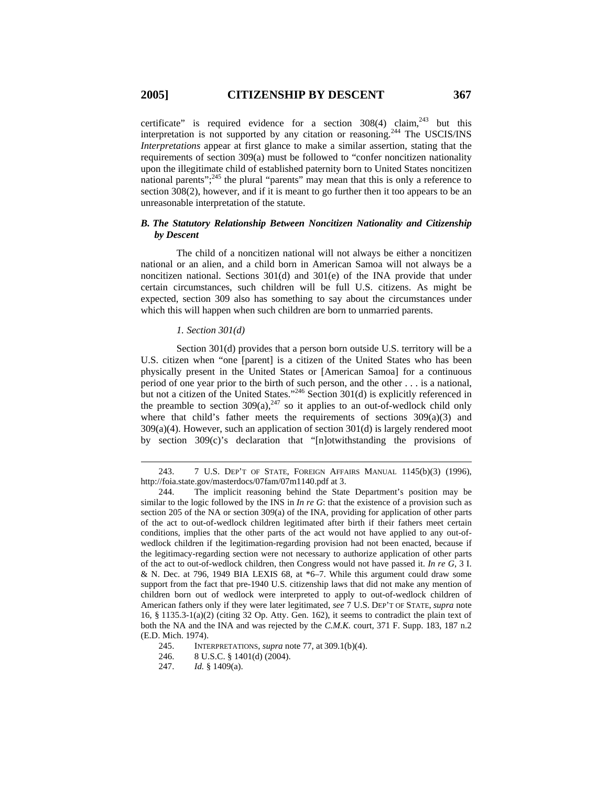$\overline{a}$ 

certificate" is required evidence for a section  $308(4)$  claim,<sup>243</sup> but this interpretation is not supported by any citation or reasoning.<sup>244</sup> The USCIS/INS *Interpretations* appear at first glance to make a similar assertion, stating that the requirements of section 309(a) must be followed to "confer noncitizen nationality upon the illegitimate child of established paternity born to United States noncitizen national parents";245 the plural "parents" may mean that this is only a reference to section 308(2), however, and if it is meant to go further then it too appears to be an unreasonable interpretation of the statute.

# *B. The Statutory Relationship Between Noncitizen Nationality and Citizenship by Descent*

The child of a noncitizen national will not always be either a noncitizen national or an alien, and a child born in American Samoa will not always be a noncitizen national. Sections 301(d) and 301(e) of the INA provide that under certain circumstances, such children will be full U.S. citizens. As might be expected, section 309 also has something to say about the circumstances under which this will happen when such children are born to unmarried parents.

### *1. Section 301(d)*

Section 301(d) provides that a person born outside U.S. territory will be a U.S. citizen when "one [parent] is a citizen of the United States who has been physically present in the United States or [American Samoa] for a continuous period of one year prior to the birth of such person, and the other . . . is a national, but not a citizen of the United States."<sup>246</sup> Section  $301(d)$  is explicitly referenced in the preamble to section  $309(a)$ ,  $247$  so it applies to an out-of-wedlock child only where that child's father meets the requirements of sections  $309(a)(3)$  and 309(a)(4). However, such an application of section 301(d) is largely rendered moot by section 309(c)'s declaration that "[n]otwithstanding the provisions of

<sup>243. 7</sup> U.S. DEP'T OF STATE, FOREIGN AFFAIRS MANUAL 1145(b)(3) (1996), http://foia.state.gov/masterdocs/07fam/07m1140.pdf at 3.

<sup>244.</sup> The implicit reasoning behind the State Department's position may be similar to the logic followed by the INS in *In re G*: that the existence of a provision such as section 205 of the NA or section 309(a) of the INA, providing for application of other parts of the act to out-of-wedlock children legitimated after birth if their fathers meet certain conditions, implies that the other parts of the act would not have applied to any out-ofwedlock children if the legitimation-regarding provision had not been enacted, because if the legitimacy-regarding section were not necessary to authorize application of other parts of the act to out-of-wedlock children, then Congress would not have passed it. *In re G*, 3 I. & N. Dec. at 796, 1949 BIA LEXIS 68, at \*6–7. While this argument could draw some support from the fact that pre-1940 U.S. citizenship laws that did not make any mention of children born out of wedlock were interpreted to apply to out-of-wedlock children of American fathers only if they were later legitimated, *see* 7 U.S. DEP'T OF STATE, *supra* note 16, § 1135.3-1(a)(2) (citing 32 Op. Atty. Gen. 162), it seems to contradict the plain text of both the NA and the INA and was rejected by the *C.M.K.* court, 371 F. Supp. 183, 187 n.2 (E.D. Mich. 1974).

<sup>245.</sup> INTERPRETATIONS, *supra* note 77, at 309.1(b)(4).

<sup>246. 8</sup> U.S.C. § 1401(d) (2004).

<sup>247.</sup> *Id.* § 1409(a).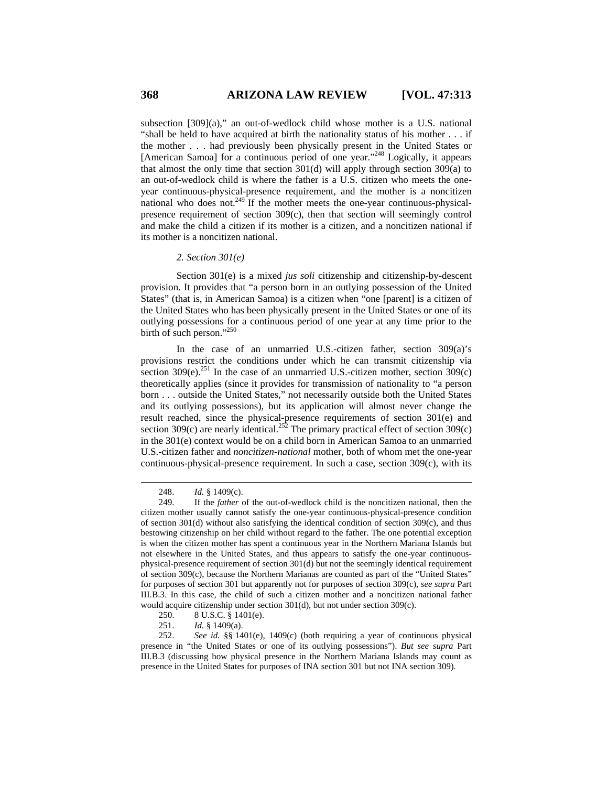subsection [309](a)," an out-of-wedlock child whose mother is a U.S. national "shall be held to have acquired at birth the nationality status of his mother . . . if the mother . . . had previously been physically present in the United States or [American Samoa] for a continuous period of one year."<sup>248</sup> Logically, it appears that almost the only time that section 301(d) will apply through section 309(a) to an out-of-wedlock child is where the father is a U.S. citizen who meets the oneyear continuous-physical-presence requirement, and the mother is a noncitizen national who does not.<sup>249</sup> If the mother meets the one-year continuous-physicalpresence requirement of section 309(c), then that section will seemingly control and make the child a citizen if its mother is a citizen, and a noncitizen national if its mother is a noncitizen national.

### *2. Section 301(e)*

Section 301(e) is a mixed *jus soli* citizenship and citizenship-by-descent provision. It provides that "a person born in an outlying possession of the United States" (that is, in American Samoa) is a citizen when "one [parent] is a citizen of the United States who has been physically present in the United States or one of its outlying possessions for a continuous period of one year at any time prior to the birth of such person."<sup>250</sup>

In the case of an unmarried U.S.-citizen father, section 309(a)'s provisions restrict the conditions under which he can transmit citizenship via section 309(e).<sup>251</sup> In the case of an unmarried U.S.-citizen mother, section  $309(c)$ theoretically applies (since it provides for transmission of nationality to "a person born . . . outside the United States," not necessarily outside both the United States and its outlying possessions), but its application will almost never change the result reached, since the physical-presence requirements of section 301(e) and section 309(c) are nearly identical.<sup>252</sup> The primary practical effect of section 309(c) in the 301(e) context would be on a child born in American Samoa to an unmarried U.S.-citizen father and *noncitizen-national* mother, both of whom met the one-year continuous-physical-presence requirement. In such a case, section 309(c), with its

<sup>248.</sup> *Id.* § 1409(c).

<sup>249.</sup> If the *father* of the out-of-wedlock child is the noncitizen national, then the citizen mother usually cannot satisfy the one-year continuous-physical-presence condition of section 301(d) without also satisfying the identical condition of section 309(c), and thus bestowing citizenship on her child without regard to the father. The one potential exception is when the citizen mother has spent a continuous year in the Northern Mariana Islands but not elsewhere in the United States, and thus appears to satisfy the one-year continuousphysical-presence requirement of section 301(d) but not the seemingly identical requirement of section 309(c), because the Northern Marianas are counted as part of the "United States" for purposes of section 301 but apparently not for purposes of section 309(c), *see supra* Part III.B.3. In this case, the child of such a citizen mother and a noncitizen national father would acquire citizenship under section 301(d), but not under section 309(c).

<sup>250. 8</sup> U.S.C. § 1401(e).

<sup>251.</sup> *Id.* § 1409(a).

<sup>252.</sup> *See id.* §§ 1401(e), 1409(c) (both requiring a year of continuous physical presence in "the United States or one of its outlying possessions"). *But see supra* Part III.B.3 (discussing how physical presence in the Northern Mariana Islands may count as presence in the United States for purposes of INA section 301 but not INA section 309).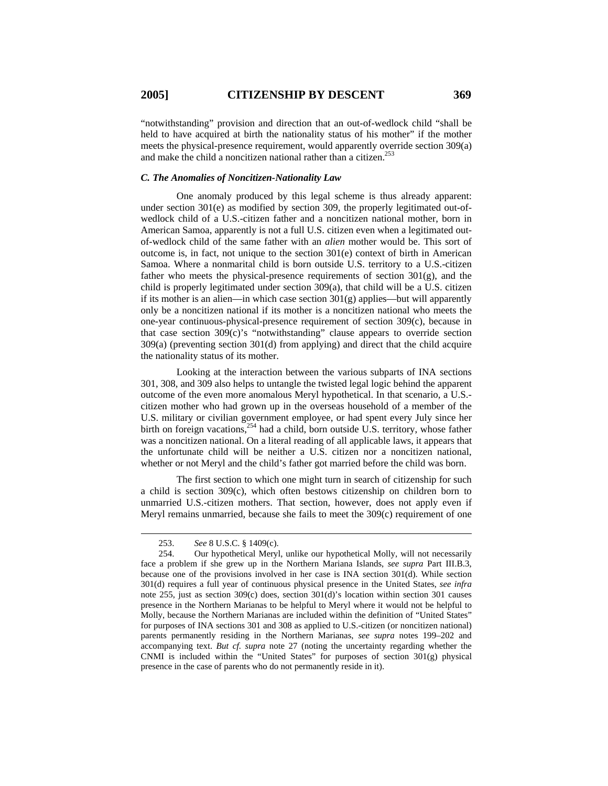"notwithstanding" provision and direction that an out-of-wedlock child "shall be held to have acquired at birth the nationality status of his mother" if the mother meets the physical-presence requirement, would apparently override section 309(a) and make the child a noncitizen national rather than a citizen.<sup>253</sup>

#### *C. The Anomalies of Noncitizen-Nationality Law*

One anomaly produced by this legal scheme is thus already apparent: under section 301(e) as modified by section 309, the properly legitimated out-ofwedlock child of a U.S.-citizen father and a noncitizen national mother, born in American Samoa, apparently is not a full U.S. citizen even when a legitimated outof-wedlock child of the same father with an *alien* mother would be. This sort of outcome is, in fact, not unique to the section 301(e) context of birth in American Samoa. Where a nonmarital child is born outside U.S. territory to a U.S.-citizen father who meets the physical-presence requirements of section 301(g), and the child is properly legitimated under section 309(a), that child will be a U.S. citizen if its mother is an alien—in which case section  $301(g)$  applies—but will apparently only be a noncitizen national if its mother is a noncitizen national who meets the one-year continuous-physical-presence requirement of section 309(c), because in that case section 309(c)'s "notwithstanding" clause appears to override section 309(a) (preventing section 301(d) from applying) and direct that the child acquire the nationality status of its mother.

Looking at the interaction between the various subparts of INA sections 301, 308, and 309 also helps to untangle the twisted legal logic behind the apparent outcome of the even more anomalous Meryl hypothetical. In that scenario, a U.S. citizen mother who had grown up in the overseas household of a member of the U.S. military or civilian government employee, or had spent every July since her birth on foreign vacations,<sup>254</sup> had a child, born outside U.S. territory, whose father was a noncitizen national. On a literal reading of all applicable laws, it appears that the unfortunate child will be neither a U.S. citizen nor a noncitizen national, whether or not Meryl and the child's father got married before the child was born.

The first section to which one might turn in search of citizenship for such a child is section 309(c), which often bestows citizenship on children born to unmarried U.S.-citizen mothers. That section, however, does not apply even if Meryl remains unmarried, because she fails to meet the 309(c) requirement of one

<sup>253.</sup> *See* 8 U.S.C. § 1409(c).

<sup>254.</sup> Our hypothetical Meryl, unlike our hypothetical Molly, will not necessarily face a problem if she grew up in the Northern Mariana Islands, *see supra* Part III.B.3, because one of the provisions involved in her case is INA section 301(d). While section 301(d) requires a full year of continuous physical presence in the United States, *see infra* note 255, just as section 309(c) does, section 301(d)'s location within section 301 causes presence in the Northern Marianas to be helpful to Meryl where it would not be helpful to Molly, because the Northern Marianas are included within the definition of "United States" for purposes of INA sections 301 and 308 as applied to U.S.-citizen (or noncitizen national) parents permanently residing in the Northern Marianas, *see supra* notes 199–202 and accompanying text. *But cf. supra* note 27 (noting the uncertainty regarding whether the CNMI is included within the "United States" for purposes of section  $301(g)$  physical presence in the case of parents who do not permanently reside in it).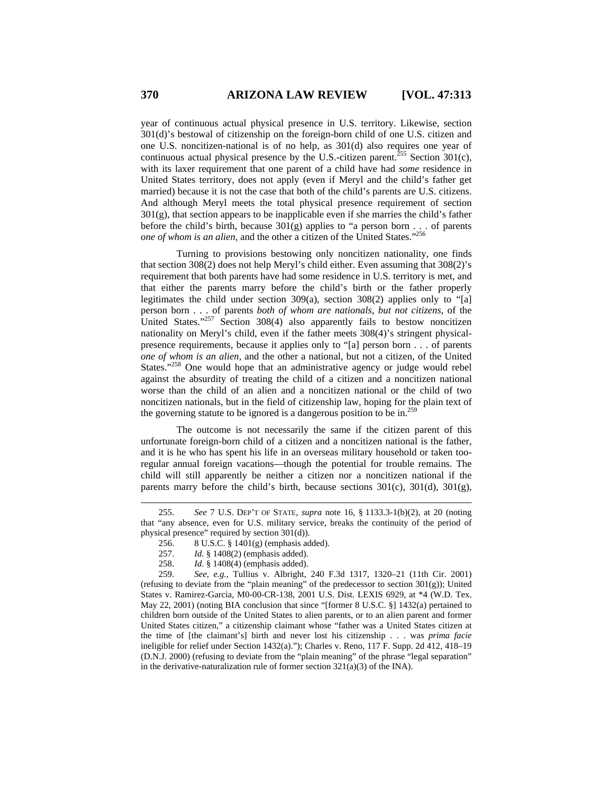year of continuous actual physical presence in U.S. territory. Likewise, section 301(d)'s bestowal of citizenship on the foreign-born child of one U.S. citizen and one U.S. noncitizen-national is of no help, as 301(d) also requires one year of continuous actual physical presence by the U.S.-citizen parent.<sup>255</sup> Section 301(c), with its laxer requirement that one parent of a child have had *some* residence in United States territory, does not apply (even if Meryl and the child's father get married) because it is not the case that both of the child's parents are U.S. citizens. And although Meryl meets the total physical presence requirement of section  $301(g)$ , that section appears to be inapplicable even if she marries the child's father before the child's birth, because 301(g) applies to "a person born . . . of parents *one of whom is an alien*, and the other a citizen of the United States."256

Turning to provisions bestowing only noncitizen nationality, one finds that section 308(2) does not help Meryl's child either. Even assuming that 308(2)'s requirement that both parents have had some residence in U.S. territory is met, and that either the parents marry before the child's birth or the father properly legitimates the child under section 309(a), section 308(2) applies only to "[a] person born . . . of parents *both of whom are nationals, but not citizens,* of the United States."<sup>257</sup> Section 308(4) also apparently fails to bestow noncitizen nationality on Meryl's child, even if the father meets 308(4)'s stringent physicalpresence requirements, because it applies only to "[a] person born . . . of parents *one of whom is an alien*, and the other a national, but not a citizen, of the United States."<sup>258</sup> One would hope that an administrative agency or judge would rebel against the absurdity of treating the child of a citizen and a noncitizen national worse than the child of an alien and a noncitizen national or the child of two noncitizen nationals, but in the field of citizenship law, hoping for the plain text of the governing statute to be ignored is a dangerous position to be in.<sup>259</sup>

The outcome is not necessarily the same if the citizen parent of this unfortunate foreign-born child of a citizen and a noncitizen national is the father, and it is he who has spent his life in an overseas military household or taken tooregular annual foreign vacations—though the potential for trouble remains. The child will still apparently be neither a citizen nor a noncitizen national if the parents marry before the child's birth, because sections  $301(c)$ ,  $301(d)$ ,  $301(g)$ ,

<sup>255.</sup> *See* 7 U.S. DEP'T OF STATE, *supra* note 16, § 1133.3-1(b)(2), at 20 (noting that "any absence, even for U.S. military service, breaks the continuity of the period of physical presence" required by section 301(d)).

<sup>256. 8</sup> U.S.C. § 1401(g) (emphasis added).

<sup>257.</sup> *Id.* § 1408(2) (emphasis added).

<sup>258.</sup> *Id.* § 1408(4) (emphasis added).

<sup>259.</sup> *See, e.g.*, Tullius v. Albright, 240 F.3d 1317, 1320–21 (11th Cir. 2001) (refusing to deviate from the "plain meaning" of the predecessor to section 301(g)); United States v. Ramirez-Garcia, M0-00-CR-138, 2001 U.S. Dist. LEXIS 6929, at \*4 (W.D. Tex. May 22, 2001) (noting BIA conclusion that since "[former 8 U.S.C. §] 1432(a) pertained to children born outside of the United States to alien parents, or to an alien parent and former United States citizen," a citizenship claimant whose "father was a United States citizen at the time of [the claimant's] birth and never lost his citizenship . . . was *prima facie* ineligible for relief under Section 1432(a)."); Charles v. Reno, 117 F. Supp. 2d 412, 418–19 (D.N.J. 2000) (refusing to deviate from the "plain meaning" of the phrase "legal separation" in the derivative-naturalization rule of former section  $321(a)(3)$  of the INA).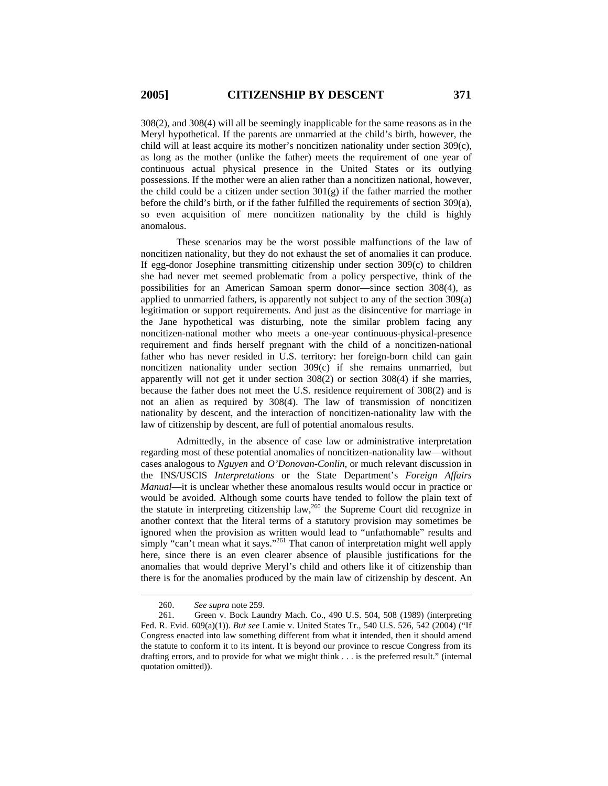308(2), and 308(4) will all be seemingly inapplicable for the same reasons as in the Meryl hypothetical. If the parents are unmarried at the child's birth, however, the child will at least acquire its mother's noncitizen nationality under section 309(c), as long as the mother (unlike the father) meets the requirement of one year of continuous actual physical presence in the United States or its outlying possessions. If the mother were an alien rather than a noncitizen national, however, the child could be a citizen under section  $301(g)$  if the father married the mother before the child's birth, or if the father fulfilled the requirements of section 309(a), so even acquisition of mere noncitizen nationality by the child is highly anomalous.

These scenarios may be the worst possible malfunctions of the law of noncitizen nationality, but they do not exhaust the set of anomalies it can produce. If egg-donor Josephine transmitting citizenship under section 309(c) to children she had never met seemed problematic from a policy perspective, think of the possibilities for an American Samoan sperm donor—since section 308(4), as applied to unmarried fathers, is apparently not subject to any of the section 309(a) legitimation or support requirements. And just as the disincentive for marriage in the Jane hypothetical was disturbing, note the similar problem facing any noncitizen-national mother who meets a one-year continuous-physical-presence requirement and finds herself pregnant with the child of a noncitizen-national father who has never resided in U.S. territory: her foreign-born child can gain noncitizen nationality under section 309(c) if she remains unmarried, but apparently will not get it under section 308(2) or section 308(4) if she marries, because the father does not meet the U.S. residence requirement of 308(2) and is not an alien as required by 308(4). The law of transmission of noncitizen nationality by descent, and the interaction of noncitizen-nationality law with the law of citizenship by descent, are full of potential anomalous results.

Admittedly, in the absence of case law or administrative interpretation regarding most of these potential anomalies of noncitizen-nationality law—without cases analogous to *Nguyen* and *O'Donovan-Conlin*, or much relevant discussion in the INS/USCIS *Interpretations* or the State Department's *Foreign Affairs Manual*—it is unclear whether these anomalous results would occur in practice or would be avoided. Although some courts have tended to follow the plain text of the statute in interpreting citizenship law, $^{260}$  the Supreme Court did recognize in another context that the literal terms of a statutory provision may sometimes be ignored when the provision as written would lead to "unfathomable" results and simply "can't mean what it says."<sup>261</sup> That canon of interpretation might well apply here, since there is an even clearer absence of plausible justifications for the anomalies that would deprive Meryl's child and others like it of citizenship than there is for the anomalies produced by the main law of citizenship by descent. An

<sup>260.</sup> *See supra* note 259.

<sup>261.</sup> Green v. Bock Laundry Mach. Co., 490 U.S. 504, 508 (1989) (interpreting Fed. R. Evid. 609(a)(1)). *But see* Lamie v. United States Tr., 540 U.S. 526, 542 (2004) ("If Congress enacted into law something different from what it intended, then it should amend the statute to conform it to its intent. It is beyond our province to rescue Congress from its drafting errors, and to provide for what we might think . . . is the preferred result." (internal quotation omitted)).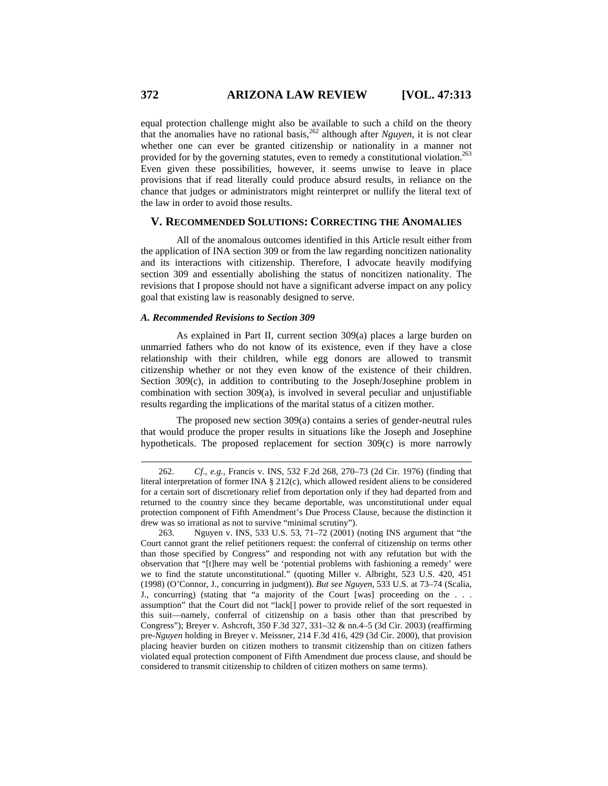equal protection challenge might also be available to such a child on the theory that the anomalies have no rational basis,  $262$  although after *Nguyen*, it is not clear whether one can ever be granted citizenship or nationality in a manner not provided for by the governing statutes, even to remedy a constitutional violation.<sup>263</sup> Even given these possibilities, however, it seems unwise to leave in place provisions that if read literally could produce absurd results, in reliance on the chance that judges or administrators might reinterpret or nullify the literal text of the law in order to avoid those results.

# **V. RECOMMENDED SOLUTIONS: CORRECTING THE ANOMALIES**

All of the anomalous outcomes identified in this Article result either from the application of INA section 309 or from the law regarding noncitizen nationality and its interactions with citizenship. Therefore, I advocate heavily modifying section 309 and essentially abolishing the status of noncitizen nationality. The revisions that I propose should not have a significant adverse impact on any policy goal that existing law is reasonably designed to serve.

### *A. Recommended Revisions to Section 309*

As explained in Part II, current section 309(a) places a large burden on unmarried fathers who do not know of its existence, even if they have a close relationship with their children, while egg donors are allowed to transmit citizenship whether or not they even know of the existence of their children. Section 309(c), in addition to contributing to the Joseph/Josephine problem in combination with section 309(a), is involved in several peculiar and unjustifiable results regarding the implications of the marital status of a citizen mother.

The proposed new section 309(a) contains a series of gender-neutral rules that would produce the proper results in situations like the Joseph and Josephine hypotheticals. The proposed replacement for section 309(c) is more narrowly

<sup>262.</sup> *Cf.*, *e.g.*, Francis v. INS, 532 F.2d 268, 270–73 (2d Cir. 1976) (finding that literal interpretation of former INA § 212(c), which allowed resident aliens to be considered for a certain sort of discretionary relief from deportation only if they had departed from and returned to the country since they became deportable, was unconstitutional under equal protection component of Fifth Amendment's Due Process Clause, because the distinction it drew was so irrational as not to survive "minimal scrutiny").

<sup>263.</sup> Nguyen v. INS, 533 U.S. 53, 71–72 (2001) (noting INS argument that "the Court cannot grant the relief petitioners request: the conferral of citizenship on terms other than those specified by Congress" and responding not with any refutation but with the observation that "[t]here may well be 'potential problems with fashioning a remedy' were we to find the statute unconstitutional." (quoting Miller v. Albright, 523 U.S. 420, 451 (1998) (O'Connor, J., concurring in judgment)). *But see Nguyen*, 533 U.S. at 73–74 (Scalia, J., concurring) (stating that "a majority of the Court [was] proceeding on the . . . assumption" that the Court did not "lack[] power to provide relief of the sort requested in this suit—namely, conferral of citizenship on a basis other than that prescribed by Congress"); Breyer v. Ashcroft, 350 F.3d 327, 331–32 & nn.4–5 (3d Cir. 2003) (reaffirming pre-*Nguyen* holding in Breyer v. Meissner, 214 F.3d 416, 429 (3d Cir. 2000), that provision placing heavier burden on citizen mothers to transmit citizenship than on citizen fathers violated equal protection component of Fifth Amendment due process clause, and should be considered to transmit citizenship to children of citizen mothers on same terms).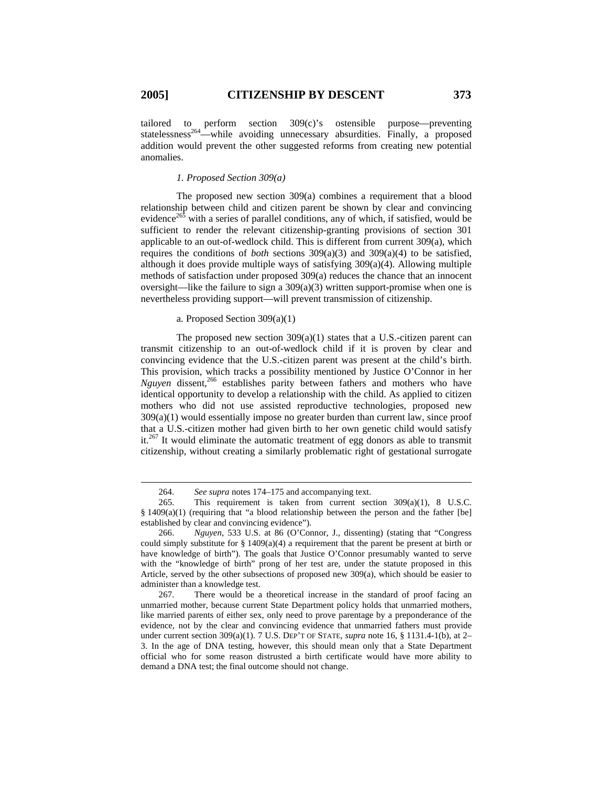$\overline{a}$ 

tailored to perform section 309(c)'s ostensible purpose—preventing statelessness<sup>264</sup>—while avoiding unnecessary absurdities. Finally, a proposed addition would prevent the other suggested reforms from creating new potential anomalies.

### *1. Proposed Section 309(a)*

The proposed new section 309(a) combines a requirement that a blood relationship between child and citizen parent be shown by clear and convincing evidence<sup>265</sup> with a series of parallel conditions, any of which, if satisfied, would be sufficient to render the relevant citizenship-granting provisions of section 301 applicable to an out-of-wedlock child. This is different from current 309(a), which requires the conditions of *both* sections 309(a)(3) and 309(a)(4) to be satisfied, although it does provide multiple ways of satisfying 309(a)(4). Allowing multiple methods of satisfaction under proposed 309(a) reduces the chance that an innocent oversight—like the failure to sign a 309(a)(3) written support-promise when one is nevertheless providing support—will prevent transmission of citizenship.

#### a. Proposed Section 309(a)(1)

The proposed new section  $309(a)(1)$  states that a U.S.-citizen parent can transmit citizenship to an out-of-wedlock child if it is proven by clear and convincing evidence that the U.S.-citizen parent was present at the child's birth. This provision, which tracks a possibility mentioned by Justice O'Connor in her *Nguyen* dissent,<sup>266</sup> establishes parity between fathers and mothers who have identical opportunity to develop a relationship with the child. As applied to citizen mothers who did not use assisted reproductive technologies, proposed new  $309(a)(1)$  would essentially impose no greater burden than current law, since proof that a U.S.-citizen mother had given birth to her own genetic child would satisfy it.<sup>267</sup> It would eliminate the automatic treatment of egg donors as able to transmit citizenship, without creating a similarly problematic right of gestational surrogate

<sup>264.</sup> *See supra* notes 174–175 and accompanying text.

<sup>265.</sup> This requirement is taken from current section 309(a)(1), 8 U.S.C. § 1409(a)(1) (requiring that "a blood relationship between the person and the father [be] established by clear and convincing evidence").

<sup>266.</sup> *Nguyen*, 533 U.S. at 86 (O'Connor, J., dissenting) (stating that "Congress could simply substitute for  $\S$  1409(a)(4) a requirement that the parent be present at birth or have knowledge of birth"). The goals that Justice O'Connor presumably wanted to serve with the "knowledge of birth" prong of her test are, under the statute proposed in this Article, served by the other subsections of proposed new 309(a), which should be easier to administer than a knowledge test.

<sup>267.</sup> There would be a theoretical increase in the standard of proof facing an unmarried mother, because current State Department policy holds that unmarried mothers, like married parents of either sex, only need to prove parentage by a preponderance of the evidence, not by the clear and convincing evidence that unmarried fathers must provide under current section 309(a)(1). 7 U.S. DEP'T OF STATE, *supra* note 16, § 1131.4-1(b), at 2– 3. In the age of DNA testing, however, this should mean only that a State Department official who for some reason distrusted a birth certificate would have more ability to demand a DNA test; the final outcome should not change.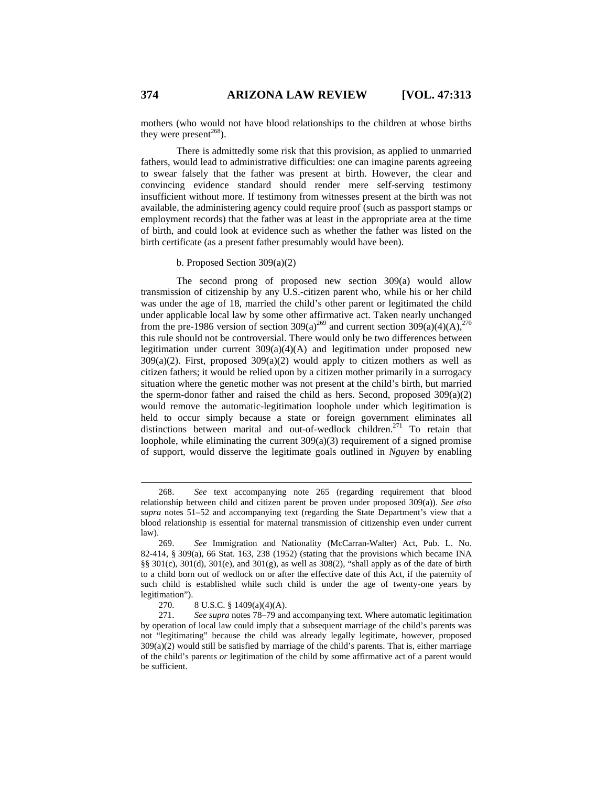mothers (who would not have blood relationships to the children at whose births they were present $^{268}$ ).

There is admittedly some risk that this provision, as applied to unmarried fathers, would lead to administrative difficulties: one can imagine parents agreeing to swear falsely that the father was present at birth. However, the clear and convincing evidence standard should render mere self-serving testimony insufficient without more. If testimony from witnesses present at the birth was not available, the administering agency could require proof (such as passport stamps or employment records) that the father was at least in the appropriate area at the time of birth, and could look at evidence such as whether the father was listed on the birth certificate (as a present father presumably would have been).

# b. Proposed Section 309(a)(2)

The second prong of proposed new section 309(a) would allow transmission of citizenship by any U.S.-citizen parent who, while his or her child was under the age of 18, married the child's other parent or legitimated the child under applicable local law by some other affirmative act. Taken nearly unchanged from the pre-1986 version of section 309(a)<sup>269</sup> and current section 309(a)(4)(A),<sup>270</sup> this rule should not be controversial. There would only be two differences between legitimation under current 309(a)(4)(A) and legitimation under proposed new  $309(a)(2)$ . First, proposed  $309(a)(2)$  would apply to citizen mothers as well as citizen fathers; it would be relied upon by a citizen mother primarily in a surrogacy situation where the genetic mother was not present at the child's birth, but married the sperm-donor father and raised the child as hers. Second, proposed  $309(a)(2)$ would remove the automatic-legitimation loophole under which legitimation is held to occur simply because a state or foreign government eliminates all distinctions between marital and out-of-wedlock children.<sup>271</sup> To retain that loophole, while eliminating the current 309(a)(3) requirement of a signed promise of support, would disserve the legitimate goals outlined in *Nguyen* by enabling

<sup>268.</sup> *See* text accompanying note 265 (regarding requirement that blood relationship between child and citizen parent be proven under proposed 309(a)). *See also supra* notes 51–52 and accompanying text (regarding the State Department's view that a blood relationship is essential for maternal transmission of citizenship even under current law).

<sup>269.</sup> *See* Immigration and Nationality (McCarran-Walter) Act, Pub. L. No. 82-414, § 309(a), 66 Stat. 163, 238 (1952) (stating that the provisions which became INA §§  $301(c)$ ,  $301(d)$ ,  $301(e)$ , and  $301(g)$ , as well as  $308(2)$ , "shall apply as of the date of birth to a child born out of wedlock on or after the effective date of this Act, if the paternity of such child is established while such child is under the age of twenty-one years by legitimation").

<sup>270. 8</sup> U.S.C. § 1409(a)(4)(A).

<sup>271.</sup> *See supra* notes 78–79 and accompanying text. Where automatic legitimation by operation of local law could imply that a subsequent marriage of the child's parents was not "legitimating" because the child was already legally legitimate, however, proposed 309(a)(2) would still be satisfied by marriage of the child's parents. That is, either marriage of the child's parents *or* legitimation of the child by some affirmative act of a parent would be sufficient.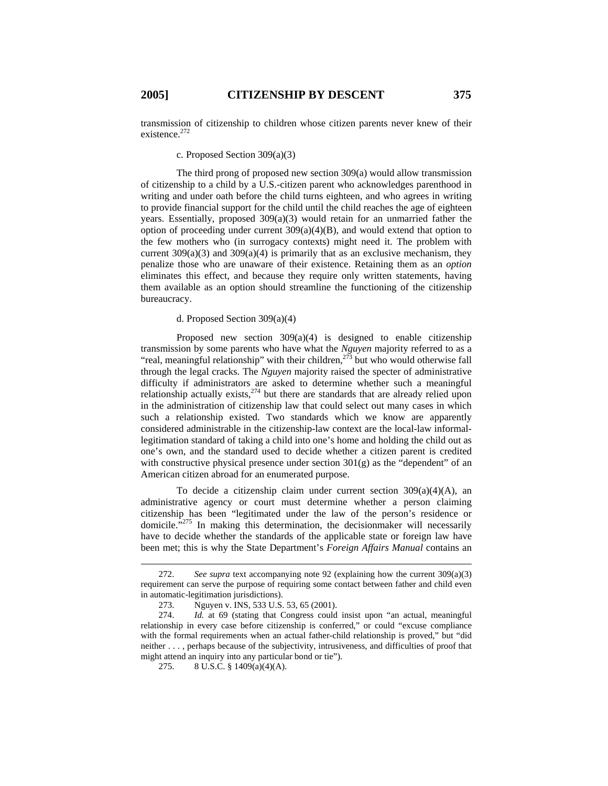transmission of citizenship to children whose citizen parents never knew of their existence.<sup>272</sup>

### c. Proposed Section 309(a)(3)

The third prong of proposed new section 309(a) would allow transmission of citizenship to a child by a U.S.-citizen parent who acknowledges parenthood in writing and under oath before the child turns eighteen, and who agrees in writing to provide financial support for the child until the child reaches the age of eighteen years. Essentially, proposed 309(a)(3) would retain for an unmarried father the option of proceeding under current  $309(a)(4)(B)$ , and would extend that option to the few mothers who (in surrogacy contexts) might need it. The problem with current  $309(a)(3)$  and  $309(a)(4)$  is primarily that as an exclusive mechanism, they penalize those who are unaware of their existence. Retaining them as an *option* eliminates this effect, and because they require only written statements, having them available as an option should streamline the functioning of the citizenship bureaucracy.

### d. Proposed Section 309(a)(4)

Proposed new section  $309(a)(4)$  is designed to enable citizenship transmission by some parents who have what the *Nguyen* majority referred to as a "real, meaningful relationship" with their children, $2^{73}$  but who would otherwise fall through the legal cracks. The *Nguyen* majority raised the specter of administrative difficulty if administrators are asked to determine whether such a meaningful relationship actually exists, $^{274}$  but there are standards that are already relied upon in the administration of citizenship law that could select out many cases in which such a relationship existed. Two standards which we know are apparently considered administrable in the citizenship-law context are the local-law informallegitimation standard of taking a child into one's home and holding the child out as one's own, and the standard used to decide whether a citizen parent is credited with constructive physical presence under section  $301(g)$  as the "dependent" of an American citizen abroad for an enumerated purpose.

To decide a citizenship claim under current section  $309(a)(4)(A)$ , an administrative agency or court must determine whether a person claiming citizenship has been "legitimated under the law of the person's residence or domicile. $\frac{1}{275}$  In making this determination, the decision maker will necessarily have to decide whether the standards of the applicable state or foreign law have been met; this is why the State Department's *Foreign Affairs Manual* contains an

<sup>272.</sup> *See supra* text accompanying note 92 (explaining how the current 309(a)(3) requirement can serve the purpose of requiring some contact between father and child even in automatic-legitimation jurisdictions).

<sup>273.</sup> Nguyen v. INS, 533 U.S. 53, 65 (2001).

<sup>274.</sup> *Id.* at 69 (stating that Congress could insist upon "an actual, meaningful relationship in every case before citizenship is conferred," or could "excuse compliance with the formal requirements when an actual father-child relationship is proved," but "did neither . . . , perhaps because of the subjectivity, intrusiveness, and difficulties of proof that might attend an inquiry into any particular bond or tie").

<sup>275. 8</sup> U.S.C. § 1409(a)(4)(A).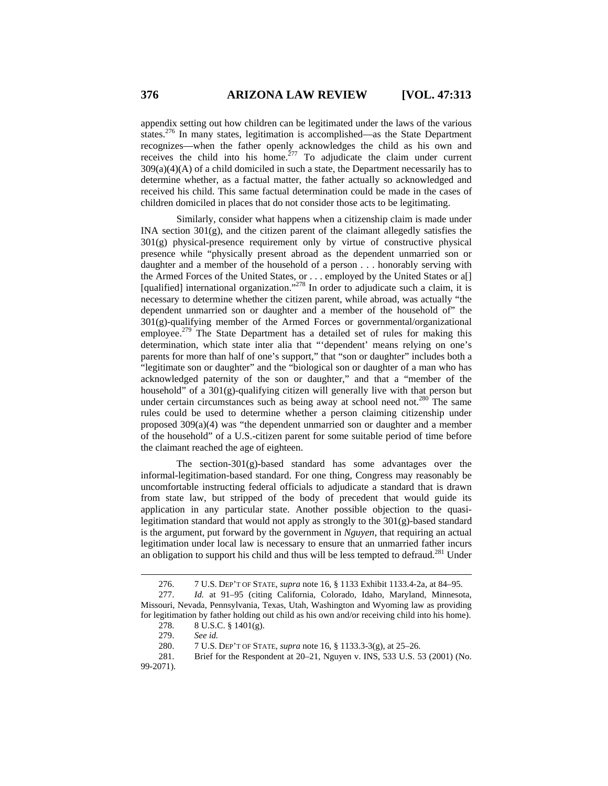appendix setting out how children can be legitimated under the laws of the various states.276 In many states, legitimation is accomplished—as the State Department recognizes—when the father openly acknowledges the child as his own and receives the child into his home.<sup>277</sup> To adjudicate the claim under current 309(a)(4)(A) of a child domiciled in such a state, the Department necessarily has to determine whether, as a factual matter, the father actually so acknowledged and received his child. This same factual determination could be made in the cases of children domiciled in places that do not consider those acts to be legitimating.

Similarly, consider what happens when a citizenship claim is made under INA section 301(g), and the citizen parent of the claimant allegedly satisfies the 301(g) physical-presence requirement only by virtue of constructive physical presence while "physically present abroad as the dependent unmarried son or daughter and a member of the household of a person . . . honorably serving with the Armed Forces of the United States, or . . . employed by the United States or a[] [qualified] international organization."<sup>278</sup> In order to adjudicate such a claim, it is necessary to determine whether the citizen parent, while abroad, was actually "the dependent unmarried son or daughter and a member of the household of" the  $301(g)$ -qualifying member of the Armed Forces or governmental/organizational employee.<sup>279</sup> The State Department has a detailed set of rules for making this determination, which state inter alia that "'dependent' means relying on one's parents for more than half of one's support," that "son or daughter" includes both a "legitimate son or daughter" and the "biological son or daughter of a man who has acknowledged paternity of the son or daughter," and that a "member of the household" of a  $301(g)$ -qualifying citizen will generally live with that person but under certain circumstances such as being away at school need not.<sup>280</sup> The same rules could be used to determine whether a person claiming citizenship under proposed 309(a)(4) was "the dependent unmarried son or daughter and a member of the household" of a U.S.-citizen parent for some suitable period of time before the claimant reached the age of eighteen.

The section-301(g)-based standard has some advantages over the informal-legitimation-based standard. For one thing, Congress may reasonably be uncomfortable instructing federal officials to adjudicate a standard that is drawn from state law, but stripped of the body of precedent that would guide its application in any particular state. Another possible objection to the quasilegitimation standard that would not apply as strongly to the  $301(g)$ -based standard is the argument, put forward by the government in *Nguyen*, that requiring an actual legitimation under local law is necessary to ensure that an unmarried father incurs an obligation to support his child and thus will be less tempted to defraud.<sup>281</sup> Under

<sup>276. 7</sup> U.S. DEP'T OF STATE, *supra* note 16, § 1133 Exhibit 1133.4-2a, at 84–95.

<sup>277.</sup> *Id.* at 91–95 (citing California, Colorado, Idaho, Maryland, Minnesota, Missouri, Nevada, Pennsylvania, Texas, Utah, Washington and Wyoming law as providing for legitimation by father holding out child as his own and/or receiving child into his home). 278. 8 U.S.C. § 1401(g).

<sup>279.</sup> *See id.* 

<sup>280. 7</sup> U.S. DEP'T OF STATE, *supra* note 16, § 1133.3-3(g), at 25–26.

<sup>281.</sup> Brief for the Respondent at 20–21, Nguyen v. INS, 533 U.S. 53 (2001) (No. 99-2071).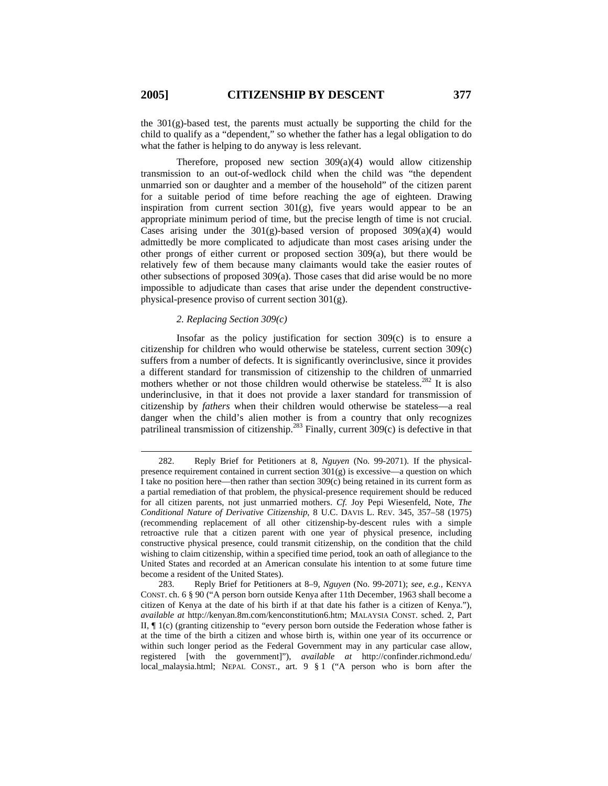$\overline{a}$ 

the 301(g)-based test, the parents must actually be supporting the child for the child to qualify as a "dependent," so whether the father has a legal obligation to do what the father is helping to do anyway is less relevant.

Therefore, proposed new section  $309(a)(4)$  would allow citizenship transmission to an out-of-wedlock child when the child was "the dependent unmarried son or daughter and a member of the household" of the citizen parent for a suitable period of time before reaching the age of eighteen. Drawing inspiration from current section  $301(g)$ , five years would appear to be an appropriate minimum period of time, but the precise length of time is not crucial. Cases arising under the  $301(g)$ -based version of proposed  $309(a)(4)$  would admittedly be more complicated to adjudicate than most cases arising under the other prongs of either current or proposed section 309(a), but there would be relatively few of them because many claimants would take the easier routes of other subsections of proposed 309(a). Those cases that did arise would be no more impossible to adjudicate than cases that arise under the dependent constructivephysical-presence proviso of current section 301(g).

### *2. Replacing Section 309(c)*

Insofar as the policy justification for section  $309(c)$  is to ensure a citizenship for children who would otherwise be stateless, current section 309(c) suffers from a number of defects. It is significantly overinclusive, since it provides a different standard for transmission of citizenship to the children of unmarried mothers whether or not those children would otherwise be stateless.<sup>282</sup> It is also underinclusive, in that it does not provide a laxer standard for transmission of citizenship by *fathers* when their children would otherwise be stateless—a real danger when the child's alien mother is from a country that only recognizes patrilineal transmission of citizenship.<sup>283</sup> Finally, current 309(c) is defective in that

283. Reply Brief for Petitioners at 8–9, *Nguyen* (No. 99-2071); *see, e.g.*, KENYA CONST. ch. 6 § 90 ("A person born outside Kenya after 11th December, 1963 shall become a citizen of Kenya at the date of his birth if at that date his father is a citizen of Kenya."), *available at* http://kenyan.8m.com/kenconstitution6.htm; MALAYSIA CONST. sched. 2, Part II, ¶ 1(c) (granting citizenship to "every person born outside the Federation whose father is at the time of the birth a citizen and whose birth is, within one year of its occurrence or within such longer period as the Federal Government may in any particular case allow, registered [with the government]"), *available at* http://confinder.richmond.edu/ local\_malaysia.html; NEPAL CONST., art. 9 § 1 ("A person who is born after the

<sup>282.</sup> Reply Brief for Petitioners at 8, *Nguyen* (No. 99-2071). If the physicalpresence requirement contained in current section  $301(g)$  is excessive—a question on which I take no position here—then rather than section 309(c) being retained in its current form as a partial remediation of that problem, the physical-presence requirement should be reduced for all citizen parents, not just unmarried mothers. *Cf.* Joy Pepi Wiesenfeld, Note, *The Conditional Nature of Derivative Citizenship*, 8 U.C. DAVIS L. REV. 345, 357–58 (1975) (recommending replacement of all other citizenship-by-descent rules with a simple retroactive rule that a citizen parent with one year of physical presence, including constructive physical presence, could transmit citizenship, on the condition that the child wishing to claim citizenship, within a specified time period, took an oath of allegiance to the United States and recorded at an American consulate his intention to at some future time become a resident of the United States).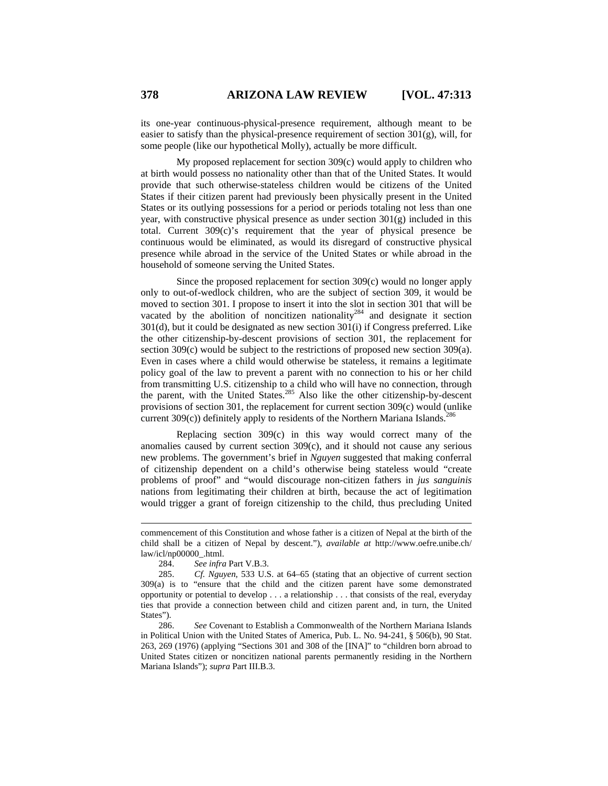its one-year continuous-physical-presence requirement, although meant to be easier to satisfy than the physical-presence requirement of section 301(g), will, for some people (like our hypothetical Molly), actually be more difficult.

My proposed replacement for section 309(c) would apply to children who at birth would possess no nationality other than that of the United States. It would provide that such otherwise-stateless children would be citizens of the United States if their citizen parent had previously been physically present in the United States or its outlying possessions for a period or periods totaling not less than one year, with constructive physical presence as under section  $301(g)$  included in this total. Current 309(c)'s requirement that the year of physical presence be continuous would be eliminated, as would its disregard of constructive physical presence while abroad in the service of the United States or while abroad in the household of someone serving the United States.

Since the proposed replacement for section 309(c) would no longer apply only to out-of-wedlock children, who are the subject of section 309, it would be moved to section 301. I propose to insert it into the slot in section 301 that will be vacated by the abolition of noncitizen nationality<sup>284</sup> and designate it section 301(d), but it could be designated as new section 301(i) if Congress preferred. Like the other citizenship-by-descent provisions of section 301, the replacement for section 309(c) would be subject to the restrictions of proposed new section 309(a). Even in cases where a child would otherwise be stateless, it remains a legitimate policy goal of the law to prevent a parent with no connection to his or her child from transmitting U.S. citizenship to a child who will have no connection, through the parent, with the United States.<sup>285</sup> Also like the other citizenship-by-descent provisions of section 301, the replacement for current section 309(c) would (unlike current  $309(c)$ ) definitely apply to residents of the Northern Mariana Islands.<sup>286</sup>

Replacing section 309(c) in this way would correct many of the anomalies caused by current section 309(c), and it should not cause any serious new problems. The government's brief in *Nguyen* suggested that making conferral of citizenship dependent on a child's otherwise being stateless would "create problems of proof" and "would discourage non-citizen fathers in *jus sanguinis* nations from legitimating their children at birth, because the act of legitimation would trigger a grant of foreign citizenship to the child, thus precluding United

284. *See infra* Part V.B.3.

 $\overline{a}$ 

286. *See* Covenant to Establish a Commonwealth of the Northern Mariana Islands in Political Union with the United States of America, Pub. L. No. 94-241, § 506(b), 90 Stat. 263, 269 (1976) (applying "Sections 301 and 308 of the [INA]" to "children born abroad to United States citizen or noncitizen national parents permanently residing in the Northern Mariana Islands"); *supra* Part III.B.3.

commencement of this Constitution and whose father is a citizen of Nepal at the birth of the child shall be a citizen of Nepal by descent."), *available at* http://www.oefre.unibe.ch/ law/icl/np00000\_.html.

<sup>285.</sup> *Cf. Nguyen*, 533 U.S. at 64–65 (stating that an objective of current section 309(a) is to "ensure that the child and the citizen parent have some demonstrated opportunity or potential to develop . . . a relationship . . . that consists of the real, everyday ties that provide a connection between child and citizen parent and, in turn, the United States").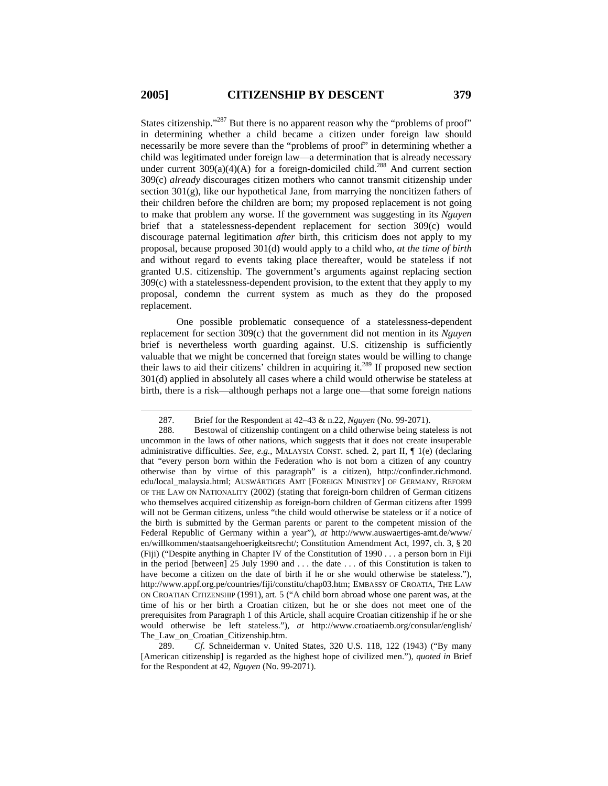$\overline{a}$ 

States citizenship."<sup>287</sup> But there is no apparent reason why the "problems of proof" in determining whether a child became a citizen under foreign law should necessarily be more severe than the "problems of proof" in determining whether a child was legitimated under foreign law—a determination that is already necessary under current  $309(a)(4)(A)$  for a foreign-domiciled child.<sup>288</sup> And current section 309(c) *already* discourages citizen mothers who cannot transmit citizenship under section 301(g), like our hypothetical Jane, from marrying the noncitizen fathers of their children before the children are born; my proposed replacement is not going to make that problem any worse. If the government was suggesting in its *Nguyen* brief that a statelessness-dependent replacement for section 309(c) would discourage paternal legitimation *after* birth, this criticism does not apply to my proposal, because proposed 301(d) would apply to a child who, *at the time of birth* and without regard to events taking place thereafter, would be stateless if not granted U.S. citizenship. The government's arguments against replacing section 309(c) with a statelessness-dependent provision, to the extent that they apply to my proposal, condemn the current system as much as they do the proposed replacement.

One possible problematic consequence of a statelessness-dependent replacement for section 309(c) that the government did not mention in its *Nguyen* brief is nevertheless worth guarding against. U.S. citizenship is sufficiently valuable that we might be concerned that foreign states would be willing to change their laws to aid their citizens' children in acquiring it. $^{289}$  If proposed new section 301(d) applied in absolutely all cases where a child would otherwise be stateless at birth, there is a risk—although perhaps not a large one—that some foreign nations

289. *Cf.* Schneiderman v. United States, 320 U.S. 118, 122 (1943) ("By many [American citizenship] is regarded as the highest hope of civilized men."), *quoted in* Brief for the Respondent at 42, *Nguyen* (No. 99-2071).

<sup>287.</sup> Brief for the Respondent at 42–43 & n.22, *Nguyen* (No. 99-2071).

<sup>288.</sup> Bestowal of citizenship contingent on a child otherwise being stateless is not uncommon in the laws of other nations, which suggests that it does not create insuperable administrative difficulties. *See, e.g.*, MALAYSIA CONST. sched. 2, part II, ¶ 1(e) (declaring that "every person born within the Federation who is not born a citizen of any country otherwise than by virtue of this paragraph" is a citizen), http://confinder.richmond. edu/local\_malaysia.html; AUSWÄRTIGES AMT [FOREIGN MINISTRY] OF GERMANY, REFORM OF THE LAW ON NATIONALITY (2002) (stating that foreign-born children of German citizens who themselves acquired citizenship as foreign-born children of German citizens after 1999 will not be German citizens, unless "the child would otherwise be stateless or if a notice of the birth is submitted by the German parents or parent to the competent mission of the Federal Republic of Germany within a year"), *at* http://www.auswaertiges-amt.de/www/ en/willkommen/staatsangehoerigkeitsrecht/; Constitution Amendment Act, 1997, ch. 3, § 20 (Fiji) ("Despite anything in Chapter IV of the Constitution of 1990 . . . a person born in Fiji in the period [between] 25 July 1990 and . . . the date . . . of this Constitution is taken to have become a citizen on the date of birth if he or she would otherwise be stateless."), http://www.appf.org.pe/countries/fiji/constitu/chap03.htm; EMBASSY OF CROATIA, THE LAW ON CROATIAN CITIZENSHIP (1991), art. 5 ("A child born abroad whose one parent was, at the time of his or her birth a Croatian citizen, but he or she does not meet one of the prerequisites from Paragraph 1 of this Article, shall acquire Croatian citizenship if he or she would otherwise be left stateless."), *at* http://www.croatiaemb.org/consular/english/ The\_Law\_on\_Croatian\_Citizenship.htm.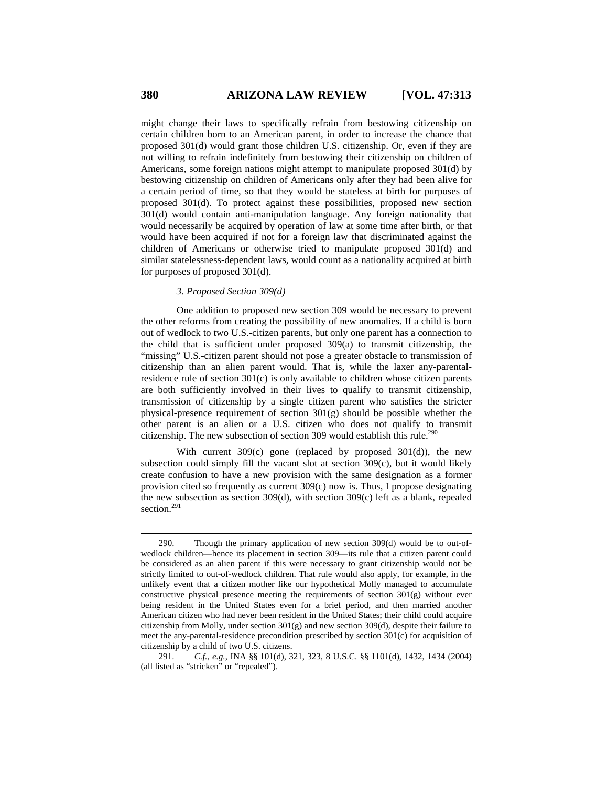might change their laws to specifically refrain from bestowing citizenship on certain children born to an American parent, in order to increase the chance that proposed 301(d) would grant those children U.S. citizenship. Or, even if they are not willing to refrain indefinitely from bestowing their citizenship on children of Americans, some foreign nations might attempt to manipulate proposed 301(d) by bestowing citizenship on children of Americans only after they had been alive for a certain period of time, so that they would be stateless at birth for purposes of proposed 301(d). To protect against these possibilities, proposed new section 301(d) would contain anti-manipulation language. Any foreign nationality that would necessarily be acquired by operation of law at some time after birth, or that would have been acquired if not for a foreign law that discriminated against the children of Americans or otherwise tried to manipulate proposed 301(d) and similar statelessness-dependent laws, would count as a nationality acquired at birth for purposes of proposed 301(d).

#### *3. Proposed Section 309(d)*

One addition to proposed new section 309 would be necessary to prevent the other reforms from creating the possibility of new anomalies. If a child is born out of wedlock to two U.S.-citizen parents, but only one parent has a connection to the child that is sufficient under proposed 309(a) to transmit citizenship, the "missing" U.S.-citizen parent should not pose a greater obstacle to transmission of citizenship than an alien parent would. That is, while the laxer any-parentalresidence rule of section  $301(c)$  is only available to children whose citizen parents are both sufficiently involved in their lives to qualify to transmit citizenship, transmission of citizenship by a single citizen parent who satisfies the stricter physical-presence requirement of section 301(g) should be possible whether the other parent is an alien or a U.S. citizen who does not qualify to transmit citizenship. The new subsection of section 309 would establish this rule.<sup>290</sup>

With current 309(c) gone (replaced by proposed 301(d)), the new subsection could simply fill the vacant slot at section 309(c), but it would likely create confusion to have a new provision with the same designation as a former provision cited so frequently as current 309(c) now is. Thus, I propose designating the new subsection as section 309(d), with section 309(c) left as a blank, repealed section.<sup>291</sup>

<sup>290.</sup> Though the primary application of new section 309(d) would be to out-ofwedlock children—hence its placement in section 309—its rule that a citizen parent could be considered as an alien parent if this were necessary to grant citizenship would not be strictly limited to out-of-wedlock children. That rule would also apply, for example, in the unlikely event that a citizen mother like our hypothetical Molly managed to accumulate constructive physical presence meeting the requirements of section  $301(g)$  without ever being resident in the United States even for a brief period, and then married another American citizen who had never been resident in the United States; their child could acquire citizenship from Molly, under section  $301(g)$  and new section  $309(d)$ , despite their failure to meet the any-parental-residence precondition prescribed by section 301(c) for acquisition of citizenship by a child of two U.S. citizens.

<sup>291.</sup> *C.f., e.g.*, INA §§ 101(d), 321, 323, 8 U.S.C. §§ 1101(d), 1432, 1434 (2004) (all listed as "stricken" or "repealed").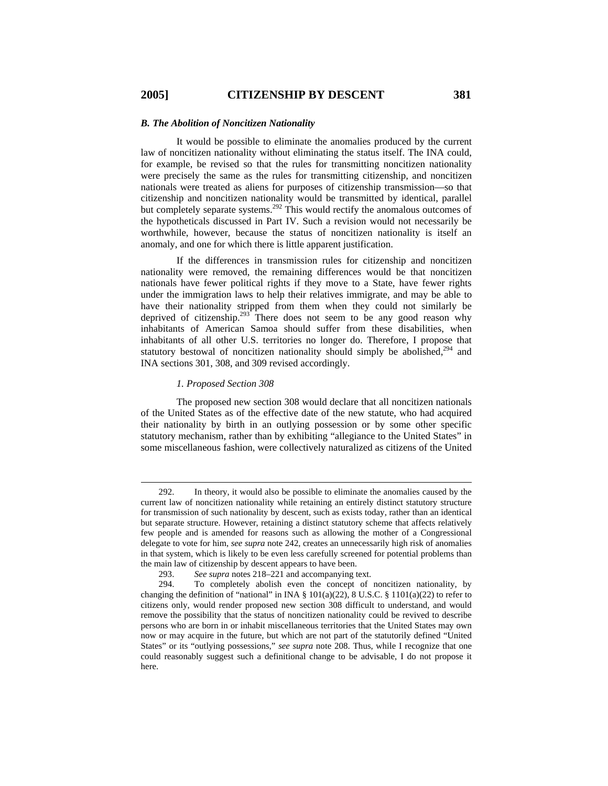#### *B. The Abolition of Noncitizen Nationality*

It would be possible to eliminate the anomalies produced by the current law of noncitizen nationality without eliminating the status itself. The INA could, for example, be revised so that the rules for transmitting noncitizen nationality were precisely the same as the rules for transmitting citizenship, and noncitizen nationals were treated as aliens for purposes of citizenship transmission—so that citizenship and noncitizen nationality would be transmitted by identical, parallel but completely separate systems.<sup>292</sup> This would rectify the anomalous outcomes of the hypotheticals discussed in Part IV. Such a revision would not necessarily be worthwhile, however, because the status of noncitizen nationality is itself an anomaly, and one for which there is little apparent justification.

If the differences in transmission rules for citizenship and noncitizen nationality were removed, the remaining differences would be that noncitizen nationals have fewer political rights if they move to a State, have fewer rights under the immigration laws to help their relatives immigrate, and may be able to have their nationality stripped from them when they could not similarly be deprived of citizenship.<sup>293</sup> There does not seem to be any good reason why inhabitants of American Samoa should suffer from these disabilities, when inhabitants of all other U.S. territories no longer do. Therefore, I propose that statutory bestowal of noncitizen nationality should simply be abolished,<sup>294</sup> and INA sections 301, 308, and 309 revised accordingly.

#### *1. Proposed Section 308*

The proposed new section 308 would declare that all noncitizen nationals of the United States as of the effective date of the new statute, who had acquired their nationality by birth in an outlying possession or by some other specific statutory mechanism, rather than by exhibiting "allegiance to the United States" in some miscellaneous fashion, were collectively naturalized as citizens of the United

<sup>292.</sup> In theory, it would also be possible to eliminate the anomalies caused by the current law of noncitizen nationality while retaining an entirely distinct statutory structure for transmission of such nationality by descent, such as exists today, rather than an identical but separate structure. However, retaining a distinct statutory scheme that affects relatively few people and is amended for reasons such as allowing the mother of a Congressional delegate to vote for him, *see supra* note 242, creates an unnecessarily high risk of anomalies in that system, which is likely to be even less carefully screened for potential problems than the main law of citizenship by descent appears to have been.

<sup>293.</sup> *See supra* notes 218–221 and accompanying text.

<sup>294.</sup> To completely abolish even the concept of noncitizen nationality, by changing the definition of "national" in INA  $\S$  101(a)(22), 8 U.S.C.  $\S$  1101(a)(22) to refer to citizens only, would render proposed new section 308 difficult to understand, and would remove the possibility that the status of noncitizen nationality could be revived to describe persons who are born in or inhabit miscellaneous territories that the United States may own now or may acquire in the future, but which are not part of the statutorily defined "United States" or its "outlying possessions," *see supra* note 208. Thus, while I recognize that one could reasonably suggest such a definitional change to be advisable, I do not propose it here.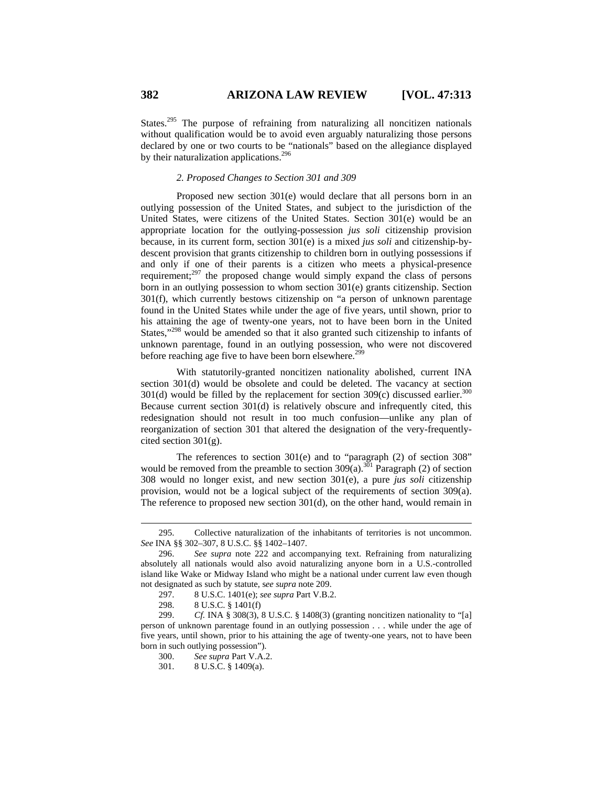States.<sup>295</sup> The purpose of refraining from naturalizing all noncitizen nationals without qualification would be to avoid even arguably naturalizing those persons declared by one or two courts to be "nationals" based on the allegiance displayed by their naturalization applications.<sup>296</sup>

### *2. Proposed Changes to Section 301 and 309*

Proposed new section 301(e) would declare that all persons born in an outlying possession of the United States, and subject to the jurisdiction of the United States, were citizens of the United States. Section 301(e) would be an appropriate location for the outlying-possession *jus soli* citizenship provision because, in its current form, section 301(e) is a mixed *jus soli* and citizenship-bydescent provision that grants citizenship to children born in outlying possessions if and only if one of their parents is a citizen who meets a physical-presence requirement; $^{297}$  the proposed change would simply expand the class of persons born in an outlying possession to whom section 301(e) grants citizenship. Section 301(f), which currently bestows citizenship on "a person of unknown parentage found in the United States while under the age of five years, until shown, prior to his attaining the age of twenty-one years, not to have been born in the United States,"298 would be amended so that it also granted such citizenship to infants of unknown parentage, found in an outlying possession, who were not discovered before reaching age five to have been born elsewhere.<sup>299</sup>

With statutorily-granted noncitizen nationality abolished, current INA section 301(d) would be obsolete and could be deleted. The vacancy at section 301(d) would be filled by the replacement for section  $309(c)$  discussed earlier.<sup>300</sup> Because current section 301(d) is relatively obscure and infrequently cited, this redesignation should not result in too much confusion—unlike any plan of reorganization of section 301 that altered the designation of the very-frequentlycited section  $301(g)$ .

The references to section 301(e) and to "paragraph (2) of section 308" would be removed from the preamble to section  $309(a)$ .<sup>301</sup> Paragraph (2) of section 308 would no longer exist, and new section 301(e), a pure *jus soli* citizenship provision, would not be a logical subject of the requirements of section 309(a). The reference to proposed new section  $301(d)$ , on the other hand, would remain in

<sup>295.</sup> Collective naturalization of the inhabitants of territories is not uncommon. *See* INA §§ 302–307, 8 U.S.C. §§ 1402–1407.

<sup>296.</sup> *See supra* note 222 and accompanying text. Refraining from naturalizing absolutely all nationals would also avoid naturalizing anyone born in a U.S.-controlled island like Wake or Midway Island who might be a national under current law even though not designated as such by statute, s*ee supra* note 209.

<sup>297. 8</sup> U.S.C. 1401(e); *see supra* Part V.B.2.

<sup>298. 8</sup> U.S.C. § 1401(f)

<sup>299.</sup> *Cf.* INA § 308(3), 8 U.S.C. § 1408(3) (granting noncitizen nationality to "[a] person of unknown parentage found in an outlying possession . . . while under the age of five years, until shown, prior to his attaining the age of twenty-one years, not to have been born in such outlying possession").

<sup>300.</sup> *See supra* Part V.A.2.

<sup>301. 8</sup> U.S.C. § 1409(a).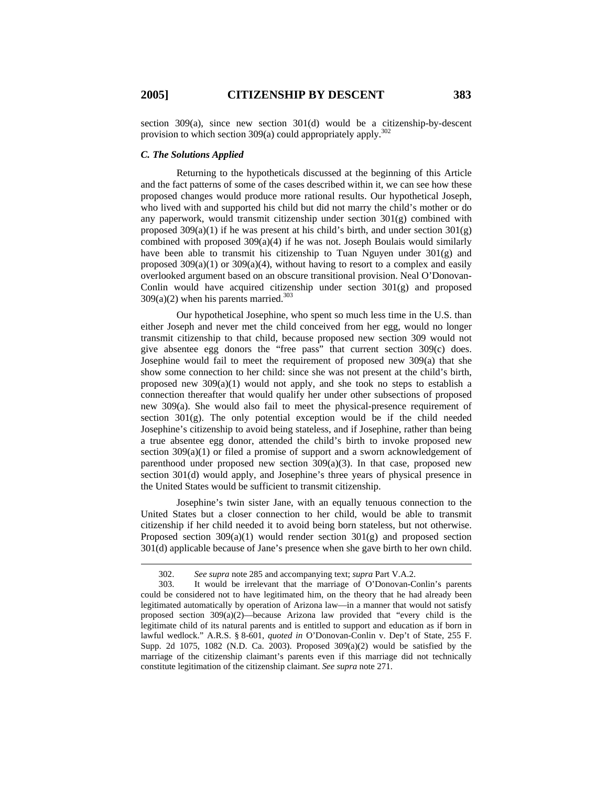section 309(a), since new section 301(d) would be a citizenship-by-descent provision to which section 309(a) could appropriately apply.<sup>302</sup>

# *C. The Solutions Applied*

Returning to the hypotheticals discussed at the beginning of this Article and the fact patterns of some of the cases described within it, we can see how these proposed changes would produce more rational results. Our hypothetical Joseph, who lived with and supported his child but did not marry the child's mother or do any paperwork, would transmit citizenship under section 301(g) combined with proposed  $309(a)(1)$  if he was present at his child's birth, and under section  $301(g)$ combined with proposed 309(a)(4) if he was not. Joseph Boulais would similarly have been able to transmit his citizenship to Tuan Nguyen under  $301(g)$  and proposed  $309(a)(1)$  or  $309(a)(4)$ , without having to resort to a complex and easily overlooked argument based on an obscure transitional provision. Neal O'Donovan-Conlin would have acquired citizenship under section  $301(g)$  and proposed  $309(a)(2)$  when his parents married.<sup>303</sup>

Our hypothetical Josephine, who spent so much less time in the U.S. than either Joseph and never met the child conceived from her egg, would no longer transmit citizenship to that child, because proposed new section 309 would not give absentee egg donors the "free pass" that current section 309(c) does. Josephine would fail to meet the requirement of proposed new 309(a) that she show some connection to her child: since she was not present at the child's birth, proposed new  $309(a)(1)$  would not apply, and she took no steps to establish a connection thereafter that would qualify her under other subsections of proposed new  $309(a)$ . She would also fail to meet the physical-presence requirement of section  $301(g)$ . The only potential exception would be if the child needed Josephine's citizenship to avoid being stateless, and if Josephine, rather than being a true absentee egg donor, attended the child's birth to invoke proposed new section 309(a)(1) or filed a promise of support and a sworn acknowledgement of parenthood under proposed new section  $309(a)(3)$ . In that case, proposed new section 301(d) would apply, and Josephine's three years of physical presence in the United States would be sufficient to transmit citizenship.

Josephine's twin sister Jane, with an equally tenuous connection to the United States but a closer connection to her child, would be able to transmit citizenship if her child needed it to avoid being born stateless, but not otherwise. Proposed section  $309(a)(1)$  would render section  $301(g)$  and proposed section 301(d) applicable because of Jane's presence when she gave birth to her own child.

<sup>302.</sup> *See supra* note 285 and accompanying text; *supra* Part V.A.2.

<sup>303.</sup> It would be irrelevant that the marriage of O'Donovan-Conlin's parents could be considered not to have legitimated him, on the theory that he had already been legitimated automatically by operation of Arizona law—in a manner that would not satisfy proposed section  $309(a)(2)$ —because Arizona law provided that "every child is the legitimate child of its natural parents and is entitled to support and education as if born in lawful wedlock." A.R.S. § 8-601, *quoted in* O'Donovan-Conlin v. Dep't of State, 255 F. Supp. 2d 1075, 1082 (N.D. Ca. 2003). Proposed  $309(a)(2)$  would be satisfied by the marriage of the citizenship claimant's parents even if this marriage did not technically constitute legitimation of the citizenship claimant. *See supra* note 271.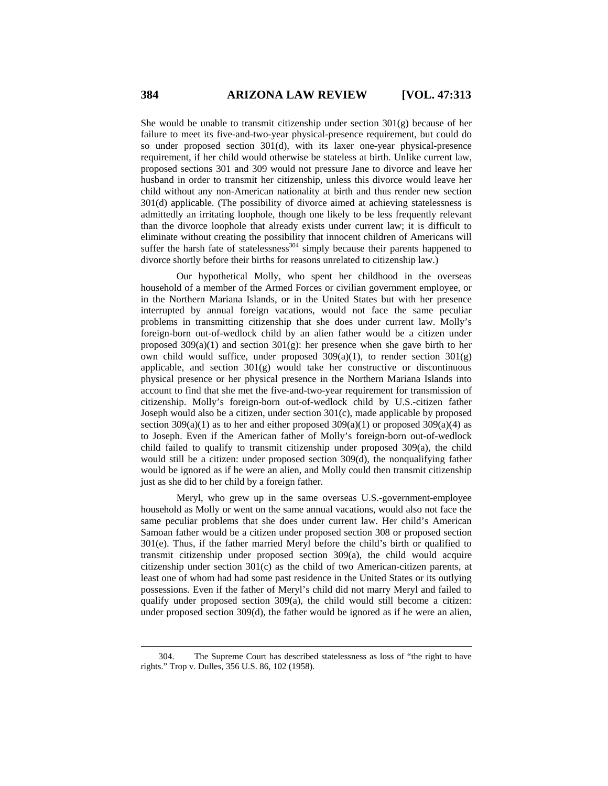She would be unable to transmit citizenship under section  $301(g)$  because of her failure to meet its five-and-two-year physical-presence requirement, but could do so under proposed section 301(d), with its laxer one-year physical-presence requirement, if her child would otherwise be stateless at birth. Unlike current law, proposed sections 301 and 309 would not pressure Jane to divorce and leave her husband in order to transmit her citizenship, unless this divorce would leave her child without any non-American nationality at birth and thus render new section 301(d) applicable. (The possibility of divorce aimed at achieving statelessness is admittedly an irritating loophole, though one likely to be less frequently relevant than the divorce loophole that already exists under current law; it is difficult to eliminate without creating the possibility that innocent children of Americans will suffer the harsh fate of statelessness<sup>304</sup> simply because their parents happened to divorce shortly before their births for reasons unrelated to citizenship law.)

Our hypothetical Molly, who spent her childhood in the overseas household of a member of the Armed Forces or civilian government employee, or in the Northern Mariana Islands, or in the United States but with her presence interrupted by annual foreign vacations, would not face the same peculiar problems in transmitting citizenship that she does under current law. Molly's foreign-born out-of-wedlock child by an alien father would be a citizen under proposed  $309(a)(1)$  and section  $301(g)$ : her presence when she gave birth to her own child would suffice, under proposed  $309(a)(1)$ , to render section  $301(g)$ applicable, and section 301(g) would take her constructive or discontinuous physical presence or her physical presence in the Northern Mariana Islands into account to find that she met the five-and-two-year requirement for transmission of citizenship. Molly's foreign-born out-of-wedlock child by U.S.-citizen father Joseph would also be a citizen, under section 301(c), made applicable by proposed section  $309(a)(1)$  as to her and either proposed  $309(a)(1)$  or proposed  $309(a)(4)$  as to Joseph. Even if the American father of Molly's foreign-born out-of-wedlock child failed to qualify to transmit citizenship under proposed 309(a), the child would still be a citizen: under proposed section 309(d), the nonqualifying father would be ignored as if he were an alien, and Molly could then transmit citizenship just as she did to her child by a foreign father.

Meryl, who grew up in the same overseas U.S.-government-employee household as Molly or went on the same annual vacations, would also not face the same peculiar problems that she does under current law. Her child's American Samoan father would be a citizen under proposed section 308 or proposed section 301(e). Thus, if the father married Meryl before the child's birth or qualified to transmit citizenship under proposed section  $309(a)$ , the child would acquire citizenship under section 301(c) as the child of two American-citizen parents, at least one of whom had had some past residence in the United States or its outlying possessions. Even if the father of Meryl's child did not marry Meryl and failed to qualify under proposed section 309(a), the child would still become a citizen: under proposed section 309(d), the father would be ignored as if he were an alien,

<sup>304.</sup> The Supreme Court has described statelessness as loss of "the right to have rights." Trop v. Dulles, 356 U.S. 86, 102 (1958).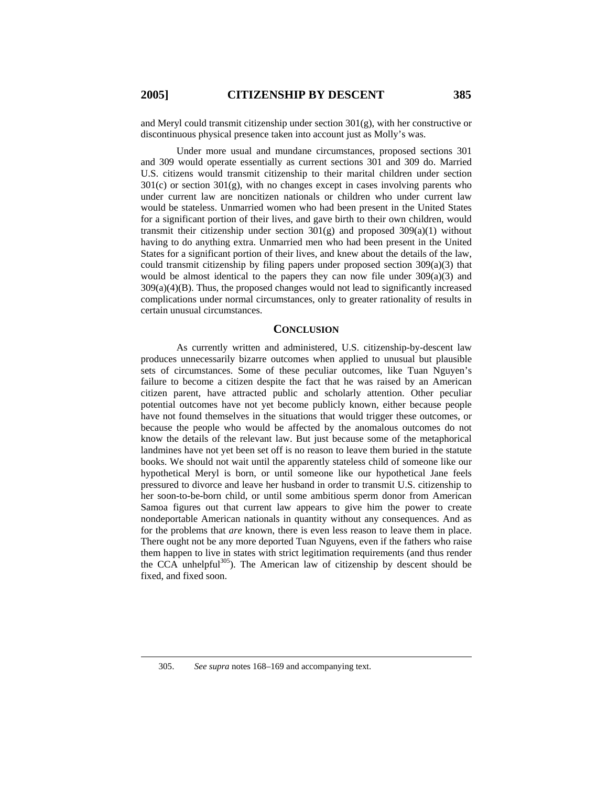$\overline{a}$ 

and Meryl could transmit citizenship under section 301(g), with her constructive or discontinuous physical presence taken into account just as Molly's was.

Under more usual and mundane circumstances, proposed sections 301 and 309 would operate essentially as current sections 301 and 309 do. Married U.S. citizens would transmit citizenship to their marital children under section 301(c) or section 301(g), with no changes except in cases involving parents who under current law are noncitizen nationals or children who under current law would be stateless. Unmarried women who had been present in the United States for a significant portion of their lives, and gave birth to their own children, would transmit their citizenship under section  $301(g)$  and proposed  $309(a)(1)$  without having to do anything extra. Unmarried men who had been present in the United States for a significant portion of their lives, and knew about the details of the law, could transmit citizenship by filing papers under proposed section  $309(a)(3)$  that would be almost identical to the papers they can now file under 309(a)(3) and  $309(a)(4)(B)$ . Thus, the proposed changes would not lead to significantly increased complications under normal circumstances, only to greater rationality of results in certain unusual circumstances.

# **CONCLUSION**

As currently written and administered, U.S. citizenship-by-descent law produces unnecessarily bizarre outcomes when applied to unusual but plausible sets of circumstances. Some of these peculiar outcomes, like Tuan Nguyen's failure to become a citizen despite the fact that he was raised by an American citizen parent, have attracted public and scholarly attention. Other peculiar potential outcomes have not yet become publicly known, either because people have not found themselves in the situations that would trigger these outcomes, or because the people who would be affected by the anomalous outcomes do not know the details of the relevant law. But just because some of the metaphorical landmines have not yet been set off is no reason to leave them buried in the statute books. We should not wait until the apparently stateless child of someone like our hypothetical Meryl is born, or until someone like our hypothetical Jane feels pressured to divorce and leave her husband in order to transmit U.S. citizenship to her soon-to-be-born child, or until some ambitious sperm donor from American Samoa figures out that current law appears to give him the power to create nondeportable American nationals in quantity without any consequences. And as for the problems that *are* known, there is even less reason to leave them in place. There ought not be any more deported Tuan Nguyens, even if the fathers who raise them happen to live in states with strict legitimation requirements (and thus render the CCA unhelpful $305$ ). The American law of citizenship by descent should be fixed, and fixed soon.

<sup>305.</sup> *See supra* notes 168–169 and accompanying text.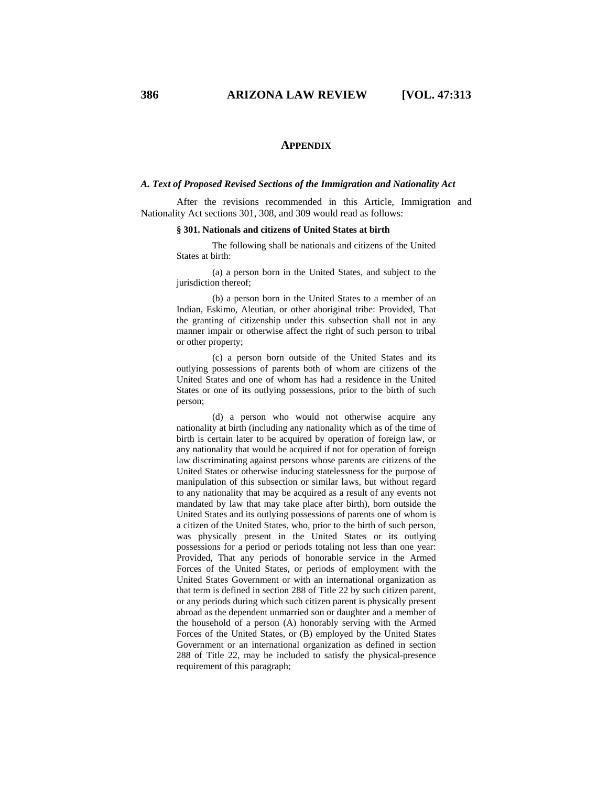## **APPENDIX**

### *A. Text of Proposed Revised Sections of the Immigration and Nationality Act*

After the revisions recommended in this Article, Immigration and Nationality Act sections 301, 308, and 309 would read as follows:

### **§ 301. Nationals and citizens of United States at birth**

 The following shall be nationals and citizens of the United States at birth:

 (a) a person born in the United States, and subject to the jurisdiction thereof;

 (b) a person born in the United States to a member of an Indian, Eskimo, Aleutian, or other aboriginal tribe: Provided, That the granting of citizenship under this subsection shall not in any manner impair or otherwise affect the right of such person to tribal or other property;

 (c) a person born outside of the United States and its outlying possessions of parents both of whom are citizens of the United States and one of whom has had a residence in the United States or one of its outlying possessions, prior to the birth of such person;

 (d) a person who would not otherwise acquire any nationality at birth (including any nationality which as of the time of birth is certain later to be acquired by operation of foreign law, or any nationality that would be acquired if not for operation of foreign law discriminating against persons whose parents are citizens of the United States or otherwise inducing statelessness for the purpose of manipulation of this subsection or similar laws, but without regard to any nationality that may be acquired as a result of any events not mandated by law that may take place after birth), born outside the United States and its outlying possessions of parents one of whom is a citizen of the United States, who, prior to the birth of such person, was physically present in the United States or its outlying possessions for a period or periods totaling not less than one year: Provided, That any periods of honorable service in the Armed Forces of the United States, or periods of employment with the United States Government or with an international organization as that term is defined in section 288 of Title 22 by such citizen parent, or any periods during which such citizen parent is physically present abroad as the dependent unmarried son or daughter and a member of the household of a person (A) honorably serving with the Armed Forces of the United States, or (B) employed by the United States Government or an international organization as defined in section 288 of Title 22, may be included to satisfy the physical-presence requirement of this paragraph;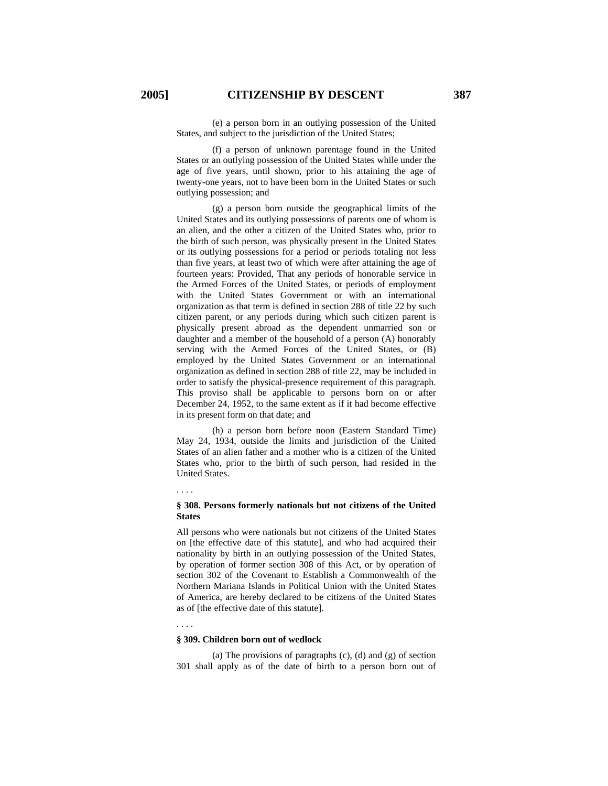(e) a person born in an outlying possession of the United States, and subject to the jurisdiction of the United States;

 (f) a person of unknown parentage found in the United States or an outlying possession of the United States while under the age of five years, until shown, prior to his attaining the age of twenty-one years, not to have been born in the United States or such outlying possession; and

 (g) a person born outside the geographical limits of the United States and its outlying possessions of parents one of whom is an alien, and the other a citizen of the United States who, prior to the birth of such person, was physically present in the United States or its outlying possessions for a period or periods totaling not less than five years, at least two of which were after attaining the age of fourteen years: Provided, That any periods of honorable service in the Armed Forces of the United States, or periods of employment with the United States Government or with an international organization as that term is defined in section 288 of title 22 by such citizen parent, or any periods during which such citizen parent is physically present abroad as the dependent unmarried son or daughter and a member of the household of a person (A) honorably serving with the Armed Forces of the United States, or (B) employed by the United States Government or an international organization as defined in section 288 of title 22, may be included in order to satisfy the physical-presence requirement of this paragraph. This proviso shall be applicable to persons born on or after December 24, 1952, to the same extent as if it had become effective in its present form on that date; and

 (h) a person born before noon (Eastern Standard Time) May 24, 1934, outside the limits and jurisdiction of the United States of an alien father and a mother who is a citizen of the United States who, prior to the birth of such person, had resided in the United States.

. . . .

### **§ 308. Persons formerly nationals but not citizens of the United States**

All persons who were nationals but not citizens of the United States on [the effective date of this statute], and who had acquired their nationality by birth in an outlying possession of the United States, by operation of former section 308 of this Act, or by operation of section 302 of the Covenant to Establish a Commonwealth of the Northern Mariana Islands in Political Union with the United States of America, are hereby declared to be citizens of the United States as of [the effective date of this statute].

. . . .

#### **§ 309. Children born out of wedlock**

 (a) The provisions of paragraphs (c), (d) and (g) of section 301 shall apply as of the date of birth to a person born out of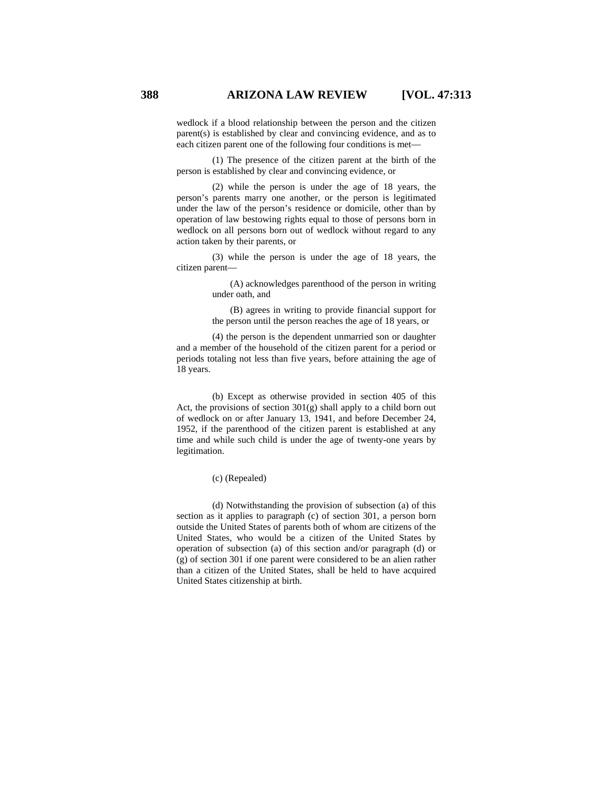wedlock if a blood relationship between the person and the citizen parent(s) is established by clear and convincing evidence, and as to each citizen parent one of the following four conditions is met—

 (1) The presence of the citizen parent at the birth of the person is established by clear and convincing evidence, or

 (2) while the person is under the age of 18 years, the person's parents marry one another, or the person is legitimated under the law of the person's residence or domicile, other than by operation of law bestowing rights equal to those of persons born in wedlock on all persons born out of wedlock without regard to any action taken by their parents, or

 (3) while the person is under the age of 18 years, the citizen parent—

> (A) acknowledges parenthood of the person in writing under oath, and

(B) agrees in writing to provide financial support for the person until the person reaches the age of 18 years, or

 (4) the person is the dependent unmarried son or daughter and a member of the household of the citizen parent for a period or periods totaling not less than five years, before attaining the age of 18 years.

 (b) Except as otherwise provided in section 405 of this Act, the provisions of section 301(g) shall apply to a child born out of wedlock on or after January 13, 1941, and before December 24, 1952, if the parenthood of the citizen parent is established at any time and while such child is under the age of twenty-one years by legitimation.

(c) (Repealed)

 (d) Notwithstanding the provision of subsection (a) of this section as it applies to paragraph (c) of section 301, a person born outside the United States of parents both of whom are citizens of the United States, who would be a citizen of the United States by operation of subsection (a) of this section and/or paragraph (d) or (g) of section 301 if one parent were considered to be an alien rather than a citizen of the United States, shall be held to have acquired United States citizenship at birth.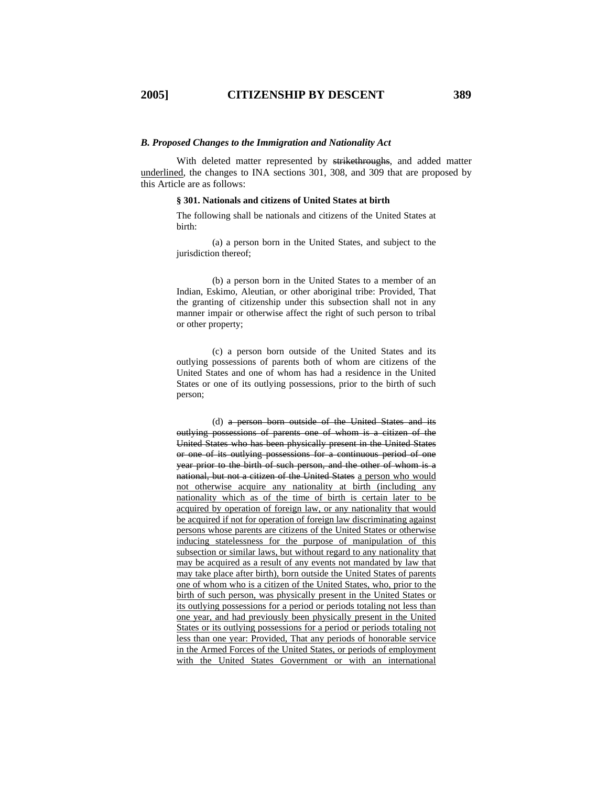### *B. Proposed Changes to the Immigration and Nationality Act*

With deleted matter represented by strikethroughs, and added matter underlined, the changes to INA sections 301, 308, and 309 that are proposed by this Article are as follows:

### **§ 301. Nationals and citizens of United States at birth**

The following shall be nationals and citizens of the United States at birth:

 (a) a person born in the United States, and subject to the jurisdiction thereof;

 (b) a person born in the United States to a member of an Indian, Eskimo, Aleutian, or other aboriginal tribe: Provided, That the granting of citizenship under this subsection shall not in any manner impair or otherwise affect the right of such person to tribal or other property;

 (c) a person born outside of the United States and its outlying possessions of parents both of whom are citizens of the United States and one of whom has had a residence in the United States or one of its outlying possessions, prior to the birth of such person;

 (d) a person born outside of the United States and its outlying possessions of parents one of whom is a citizen of the United States who has been physically present in the United States or one of its outlying possessions for a continuous period of one year prior to the birth of such person, and the other of whom is a national, but not a citizen of the United States a person who would not otherwise acquire any nationality at birth (including any nationality which as of the time of birth is certain later to be acquired by operation of foreign law, or any nationality that would be acquired if not for operation of foreign law discriminating against persons whose parents are citizens of the United States or otherwise inducing statelessness for the purpose of manipulation of this subsection or similar laws, but without regard to any nationality that may be acquired as a result of any events not mandated by law that may take place after birth), born outside the United States of parents one of whom who is a citizen of the United States, who, prior to the birth of such person, was physically present in the United States or its outlying possessions for a period or periods totaling not less than one year, and had previously been physically present in the United States or its outlying possessions for a period or periods totaling not less than one year: Provided, That any periods of honorable service in the Armed Forces of the United States, or periods of employment with the United States Government or with an international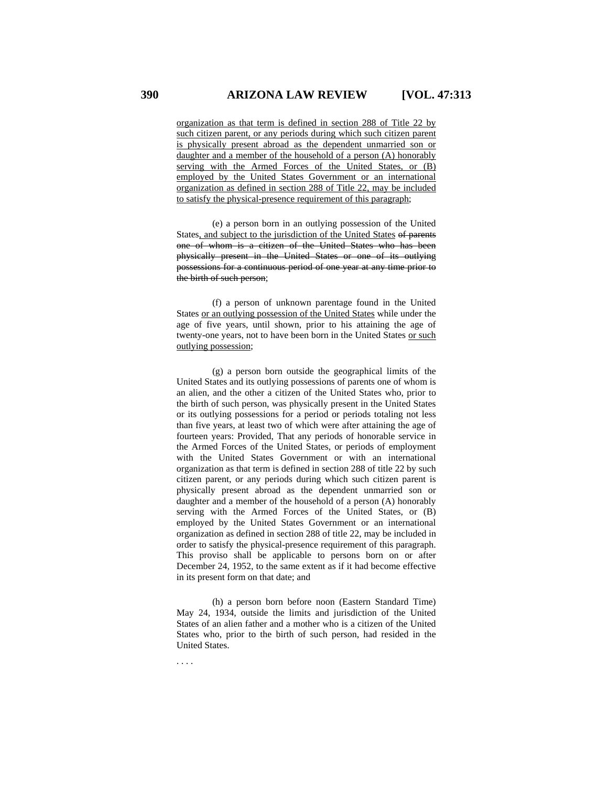organization as that term is defined in section 288 of Title 22 by such citizen parent, or any periods during which such citizen parent is physically present abroad as the dependent unmarried son or daughter and a member of the household of a person (A) honorably serving with the Armed Forces of the United States, or (B) employed by the United States Government or an international organization as defined in section 288 of Title 22, may be included to satisfy the physical-presence requirement of this paragraph;

 (e) a person born in an outlying possession of the United States, and subject to the jurisdiction of the United States of parents one of whom is a citizen of the United States who has been physically present in the United States or one of its outlying possessions for a continuous period of one year at any time prior to the birth of such person;

 (f) a person of unknown parentage found in the United States or an outlying possession of the United States while under the age of five years, until shown, prior to his attaining the age of twenty-one years, not to have been born in the United States or such outlying possession;

 (g) a person born outside the geographical limits of the United States and its outlying possessions of parents one of whom is an alien, and the other a citizen of the United States who, prior to the birth of such person, was physically present in the United States or its outlying possessions for a period or periods totaling not less than five years, at least two of which were after attaining the age of fourteen years: Provided, That any periods of honorable service in the Armed Forces of the United States, or periods of employment with the United States Government or with an international organization as that term is defined in section 288 of title 22 by such citizen parent, or any periods during which such citizen parent is physically present abroad as the dependent unmarried son or daughter and a member of the household of a person (A) honorably serving with the Armed Forces of the United States, or (B) employed by the United States Government or an international organization as defined in section 288 of title 22, may be included in order to satisfy the physical-presence requirement of this paragraph. This proviso shall be applicable to persons born on or after December 24, 1952, to the same extent as if it had become effective in its present form on that date; and

 (h) a person born before noon (Eastern Standard Time) May 24, 1934, outside the limits and jurisdiction of the United States of an alien father and a mother who is a citizen of the United States who, prior to the birth of such person, had resided in the United States.

. . . .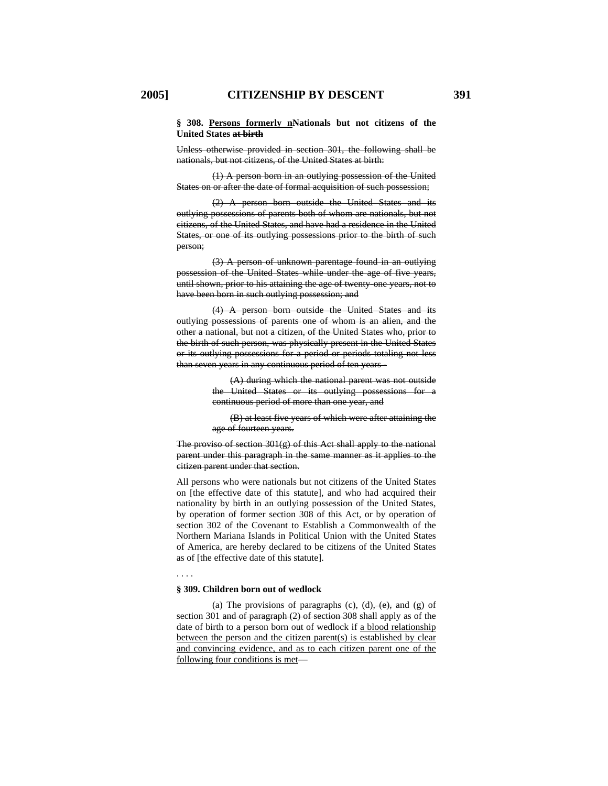Unless otherwise provided in section 301, the following shall be nationals, but not citizens, of the United States at birth:

 (1) A person born in an outlying possession of the United States on or after the date of formal acquisition of such possession;

 (2) A person born outside the United States and its outlying possessions of parents both of whom are nationals, but not citizens, of the United States, and have had a residence in the United States, or one of its outlying possessions prior to the birth of such person;

 (3) A person of unknown parentage found in an outlying possession of the United States while under the age of five years, until shown, prior to his attaining the age of twenty-one years, not to have been born in such outlying possession; and

 (4) A person born outside the United States and its outlying possessions of parents one of whom is an alien, and the other a national, but not a citizen, of the United States who, prior to the birth of such person, was physically present in the United States or its outlying possessions for a period or periods totaling not less than seven years in any continuous period of ten years -

> (A) during which the national parent was not outside the United States or its outlying possessions for a continuous period of more than one year, and

> (B) at least five years of which were after attaining the age of fourteen years.

The proviso of section  $301(g)$  of this Act shall apply to the national parent under this paragraph in the same manner as it applies to the citizen parent under that section.

All persons who were nationals but not citizens of the United States on [the effective date of this statute], and who had acquired their nationality by birth in an outlying possession of the United States, by operation of former section 308 of this Act, or by operation of section 302 of the Covenant to Establish a Commonwealth of the Northern Mariana Islands in Political Union with the United States of America, are hereby declared to be citizens of the United States as of [the effective date of this statute].

. . . .

## **§ 309. Children born out of wedlock**

(a) The provisions of paragraphs (c),  $(d)$ ,  $(e)$ , and (g) of section 301 and of paragraph (2) of section 308 shall apply as of the date of birth to a person born out of wedlock if a blood relationship between the person and the citizen parent(s) is established by clear and convincing evidence, and as to each citizen parent one of the following four conditions is met—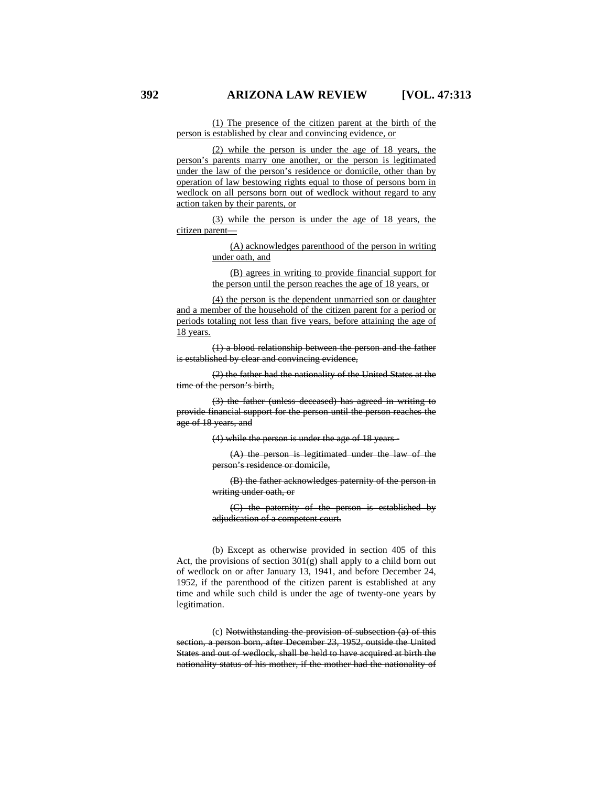(1) The presence of the citizen parent at the birth of the person is established by clear and convincing evidence, or

 (2) while the person is under the age of 18 years, the person's parents marry one another, or the person is legitimated under the law of the person's residence or domicile, other than by operation of law bestowing rights equal to those of persons born in wedlock on all persons born out of wedlock without regard to any action taken by their parents, or

 (3) while the person is under the age of 18 years, the citizen parent—

> (A) acknowledges parenthood of the person in writing under oath, and

(B) agrees in writing to provide financial support for the person until the person reaches the age of 18 years, or

 (4) the person is the dependent unmarried son or daughter and a member of the household of the citizen parent for a period or periods totaling not less than five years, before attaining the age of 18 years.

 (1) a blood relationship between the person and the father is established by clear and convincing evidence,

 (2) the father had the nationality of the United States at the time of the person's birth,

 (3) the father (unless deceased) has agreed in writing to provide financial support for the person until the person reaches the age of 18 years, and

(4) while the person is under the age of 18 years -

(A) the person is legitimated under the law of the person's residence or domicile,

(B) the father acknowledges paternity of the person in writing under oath, or

(C) the paternity of the person is established by adjudication of a competent court.

 (b) Except as otherwise provided in section 405 of this Act, the provisions of section 301(g) shall apply to a child born out of wedlock on or after January 13, 1941, and before December 24, 1952, if the parenthood of the citizen parent is established at any time and while such child is under the age of twenty-one years by legitimation.

 (c) Notwithstanding the provision of subsection (a) of this section, a person born, after December 23, 1952, outside the United States and out of wedlock, shall be held to have acquired at birth the nationality status of his mother, if the mother had the nationality of